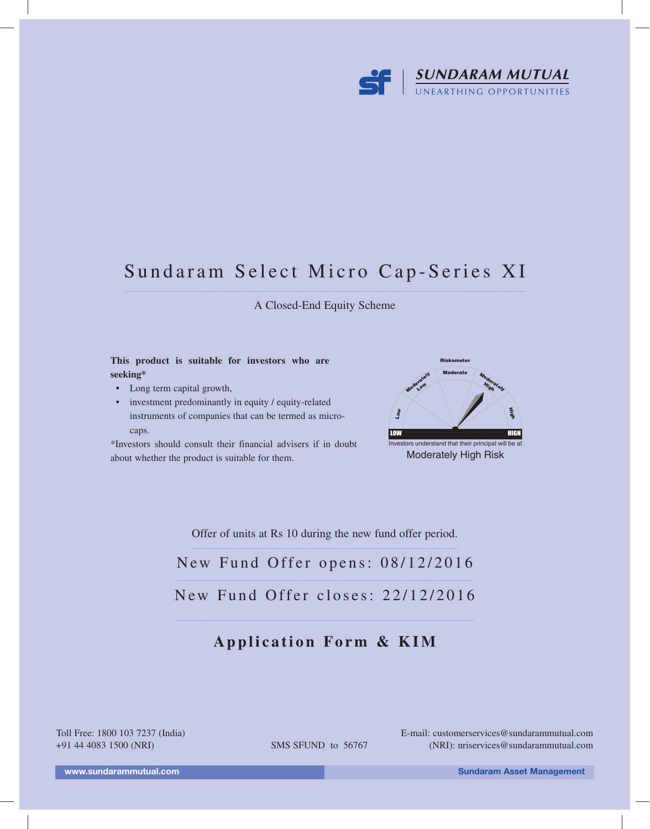

## Sundaram Select Micro Cap-Series XI

A Closed-End Equity Scheme

### **This product is suitable for investors who are seeking\***

- Long term capital growth,
- investment predominantly in equity / equity-related instruments of companies that can be termed as microcaps.

\*Investors should consult their financial advisers if in doubt about whether the product is suitable for them.



Moderately High Risk

Offer of units at Rs 10 during the new fund offer period.

### New Fund Offer opens: 08/12/2016

New Fund Offer closes: 22/12/2016

### **Ap p l i c a ti o n Fo r m & KIM**

Toll Free: 1800 103 7237 (India) E-mail: customerservices@sundarammutual.com +91 44 4083 1500 (NRI) SMS SFUND to 56767 (NRI): nriservices@sundarammutual.com

**www.sundarammutual.com Sundarammutual.com Sundaram Asset Management**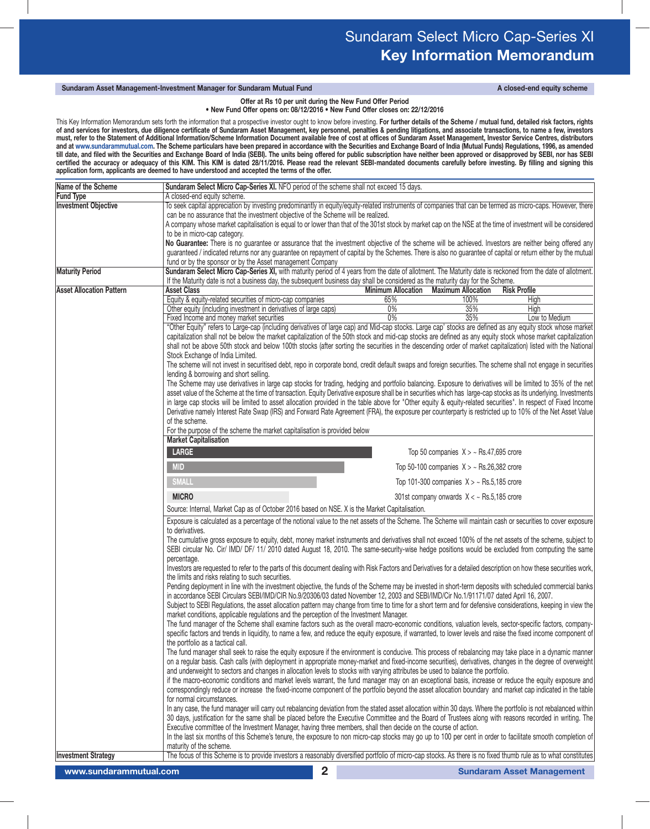#### **Sundaram Asset Management-Investment Manager for Sundaram Mutual Fund A closed-end equity scheme**

#### **Offer at Rs 10 per unit during the New Fund Offer Period • New Fund Offer opens on: 08/12/2016 • New Fund Offer closes on: 22/12/2016**

This Key Information Memorandum sets forth the information that a prospective investor ought to know before investing. For further details of the Scheme / mutual fund, detailed risk factors, rights of and services for investors, due diligence certificate of Sundaram Asset Management, key personnel, penalties & pending litigations, and associate transactions, to name a few, investors must, refer to the Statement of Additional Information/Scheme Information Document available free of cost at offices of Sundaram Asset Management, Investor Service Centres, distributors and at www.sundarammutual.com. The Scheme particulars have been prepared in accordance with the Securities and Exchange Board of India (Mutual Funds) Regulations, 1996, as amended till date, and filed with the Securities and Exchange Board of India (SEBI). The units being offered for public subscription have neither been approved or disapproved by SEBI, nor has SEBI certified the accuracy or adequacy of this KIM. This KIM is dated 28/11/2016. Please read the relevant SEBI-mandated documents carefully before investing. By filling and signing this **application form, applicants are deemed to have understood and accepted the terms of the offer.**

| Name of the Scheme              | Sundaram Select Micro Cap-Series XI. NFO period of the scheme shall not exceed 15 days.                                                                                                                                                                                                                                    |       |                                                 |                     |
|---------------------------------|----------------------------------------------------------------------------------------------------------------------------------------------------------------------------------------------------------------------------------------------------------------------------------------------------------------------------|-------|-------------------------------------------------|---------------------|
| <b>Fund Type</b>                | A closed-end equity scheme.                                                                                                                                                                                                                                                                                                |       |                                                 |                     |
| <b>Investment Objective</b>     | To seek capital appreciation by investing predominantly in equity/equity-related instruments of companies that can be termed as micro-caps. However, there<br>can be no assurance that the investment objective of the Scheme will be realized.                                                                            |       |                                                 |                     |
|                                 | A company whose market capitalisation is equal to or lower than that of the 301st stock by market cap on the NSE at the time of investment will be considered                                                                                                                                                              |       |                                                 |                     |
|                                 | to be in micro-cap category.                                                                                                                                                                                                                                                                                               |       |                                                 |                     |
|                                 | No Guarantee: There is no guarantee or assurance that the investment objective of the scheme will be achieved. Investors are neither being offered any                                                                                                                                                                     |       |                                                 |                     |
|                                 | guaranteed / indicated returns nor any guarantee on repayment of capital by the Schemes. There is also no guarantee of capital or return either by the mutual                                                                                                                                                              |       |                                                 |                     |
|                                 | fund or by the sponsor or by the Asset management Company                                                                                                                                                                                                                                                                  |       |                                                 |                     |
| <b>Maturity Period</b>          | Sundaram Select Micro Cap-Series XI, with maturity period of 4 years from the date of allotment. The Maturity date is reckoned from the date of allotment.                                                                                                                                                                 |       |                                                 |                     |
|                                 | If the Maturity date is not a business day, the subsequent business day shall be considered as the maturity day for the Scheme.                                                                                                                                                                                            |       |                                                 |                     |
| <b>Asset Allocation Pattern</b> | <b>Asset Class</b>                                                                                                                                                                                                                                                                                                         |       | Minimum Allocation Maximum Allocation           | <b>Risk Profile</b> |
|                                 | Equity & equity-related securities of micro-cap companies                                                                                                                                                                                                                                                                  | 65%   | 100%                                            | High                |
|                                 | Other equity (including investment in derivatives of large caps)                                                                                                                                                                                                                                                           | 0%    | 35%                                             | High                |
|                                 | Fixed Income and money market securities                                                                                                                                                                                                                                                                                   | $0\%$ | 35%                                             | Low to Medium       |
|                                 | "Other Equity" refers to Large-cap (including derivatives of large cap) and Mid-cap stocks. Large cap' stocks are defined as any equity stock whose market<br>capitalization shall not be below the market capitalization of the 50th stock and mid-cap stocks are defined as any equity stock whose market capitalization |       |                                                 |                     |
|                                 | shall not be above 50th stock and below 100th stocks (after sorting the securities in the descending order of market capitalization) listed with the National                                                                                                                                                              |       |                                                 |                     |
|                                 | Stock Exchange of India Limited.                                                                                                                                                                                                                                                                                           |       |                                                 |                     |
|                                 | The scheme will not invest in securitised debt, repo in corporate bond, credit default swaps and foreign securities. The scheme shall not engage in securities                                                                                                                                                             |       |                                                 |                     |
|                                 | lending & borrowing and short selling.                                                                                                                                                                                                                                                                                     |       |                                                 |                     |
|                                 | The Scheme may use derivatives in large cap stocks for trading, hedging and portfolio balancing. Exposure to derivatives will be limited to 35% of the net                                                                                                                                                                 |       |                                                 |                     |
|                                 | asset value of the Scheme at the time of transaction. Equity Derivative exposure shall be in securities which has large-cap stocks as its underlying. Investments                                                                                                                                                          |       |                                                 |                     |
|                                 | in large cap stocks will be limited to asset allocation provided in the table above for "Other equity & equity-related securities". In respect of Fixed Income                                                                                                                                                             |       |                                                 |                     |
|                                 | Derivative namely Interest Rate Swap (IRS) and Forward Rate Agreement (FRA), the exposure per counterparty is restricted up to 10% of the Net Asset Value                                                                                                                                                                  |       |                                                 |                     |
|                                 | of the scheme.                                                                                                                                                                                                                                                                                                             |       |                                                 |                     |
|                                 | For the purpose of the scheme the market capitalisation is provided below                                                                                                                                                                                                                                                  |       |                                                 |                     |
|                                 | <b>Market Capitalisation</b>                                                                                                                                                                                                                                                                                               |       |                                                 |                     |
|                                 | <b>LARGE</b>                                                                                                                                                                                                                                                                                                               |       | Top 50 companies $X > \sim$ Rs.47,695 crore     |                     |
|                                 | <b>MID</b>                                                                                                                                                                                                                                                                                                                 |       | Top 50-100 companies $X > -$ Rs.26,382 crore    |                     |
|                                 | <b>SMALL</b>                                                                                                                                                                                                                                                                                                               |       | Top 101-300 companies $X > -$ Rs.5,185 crore    |                     |
|                                 | <b>MICRO</b>                                                                                                                                                                                                                                                                                                               |       | 301st company onwards $X < \sim$ Rs.5,185 crore |                     |
|                                 | Source: Internal, Market Cap as of October 2016 based on NSE. X is the Market Capitalisation.                                                                                                                                                                                                                              |       |                                                 |                     |
|                                 | Exposure is calculated as a percentage of the notional value to the net assets of the Scheme. The Scheme will maintain cash or securities to cover exposure                                                                                                                                                                |       |                                                 |                     |
|                                 | to derivatives.                                                                                                                                                                                                                                                                                                            |       |                                                 |                     |
|                                 | The cumulative gross exposure to equity, debt, money market instruments and derivatives shall not exceed 100% of the net assets of the scheme, subject to<br>SEBI circular No. Cir/ IMD/ DF/ 11/ 2010 dated August 18, 2010. The same-security-wise hedge positions would be excluded from computing the same              |       |                                                 |                     |
|                                 | percentage.<br>Investors are requested to refer to the parts of this document dealing with Risk Factors and Derivatives for a detailed description on how these securities work,                                                                                                                                           |       |                                                 |                     |
|                                 | the limits and risks relating to such securities.                                                                                                                                                                                                                                                                          |       |                                                 |                     |
|                                 | Pending deployment in line with the investment objective, the funds of the Scheme may be invested in short-term deposits with scheduled commercial banks                                                                                                                                                                   |       |                                                 |                     |
|                                 | in accordance SEBI Circulars SEBI/IMD/CIR No.9/20306/03 dated November 12, 2003 and SEBI/IMD/Cir No.1/91171/07 dated April 16, 2007.                                                                                                                                                                                       |       |                                                 |                     |
|                                 | Subject to SEBI Regulations, the asset allocation pattern may change from time to time for a short term and for defensive considerations, keeping in view the                                                                                                                                                              |       |                                                 |                     |
|                                 | market conditions, applicable regulations and the perception of the Investment Manager.                                                                                                                                                                                                                                    |       |                                                 |                     |
|                                 | The fund manager of the Scheme shall examine factors such as the overall macro-economic conditions, valuation levels, sector-specific factors, company-                                                                                                                                                                    |       |                                                 |                     |
|                                 | specific factors and trends in liquidity, to name a few, and reduce the equity exposure, if warranted, to lower levels and raise the fixed income component of                                                                                                                                                             |       |                                                 |                     |
|                                 | the portfolio as a tactical call.                                                                                                                                                                                                                                                                                          |       |                                                 |                     |
|                                 | The fund manager shall seek to raise the equity exposure if the environment is conducive. This process of rebalancing may take place in a dynamic manner<br>on a regular basis. Cash calls (with deployment in appropriate money-market and fixed-income securities), derivatives, changes in the degree of overweight     |       |                                                 |                     |
|                                 | and underweight to sectors and changes in allocation levels to stocks with varying attributes be used to balance the portfolio.                                                                                                                                                                                            |       |                                                 |                     |
|                                 | if the macro-economic conditions and market levels warrant, the fund manager may on an exceptional basis, increase or reduce the equity exposure and                                                                                                                                                                       |       |                                                 |                     |
|                                 | correspondingly reduce or increase the fixed-income component of the portfolio beyond the asset allocation boundary and market cap indicated in the table                                                                                                                                                                  |       |                                                 |                     |
|                                 | for normal circumstances.                                                                                                                                                                                                                                                                                                  |       |                                                 |                     |
|                                 | In any case, the fund manager will carry out rebalancing deviation from the stated asset allocation within 30 days. Where the portfolio is not rebalanced within                                                                                                                                                           |       |                                                 |                     |
|                                 | 30 days, justification for the same shall be placed before the Executive Committee and the Board of Trustees along with reasons recorded in writing. The                                                                                                                                                                   |       |                                                 |                     |
|                                 | Executive committee of the Investment Manager, having three members, shall then decide on the course of action.                                                                                                                                                                                                            |       |                                                 |                     |
|                                 | In the last six months of this Scheme's tenure, the exposure to non micro-cap stocks may go up to 100 per cent in order to facilitate smooth completion of                                                                                                                                                                 |       |                                                 |                     |
|                                 | maturity of the scheme.                                                                                                                                                                                                                                                                                                    |       |                                                 |                     |
| <b>Investment Strategy</b>      | The focus of this Scheme is to provide investors a reasonably diversified portfolio of micro-cap stocks. As there is no fixed thumb rule as to what constitutes                                                                                                                                                            |       |                                                 |                     |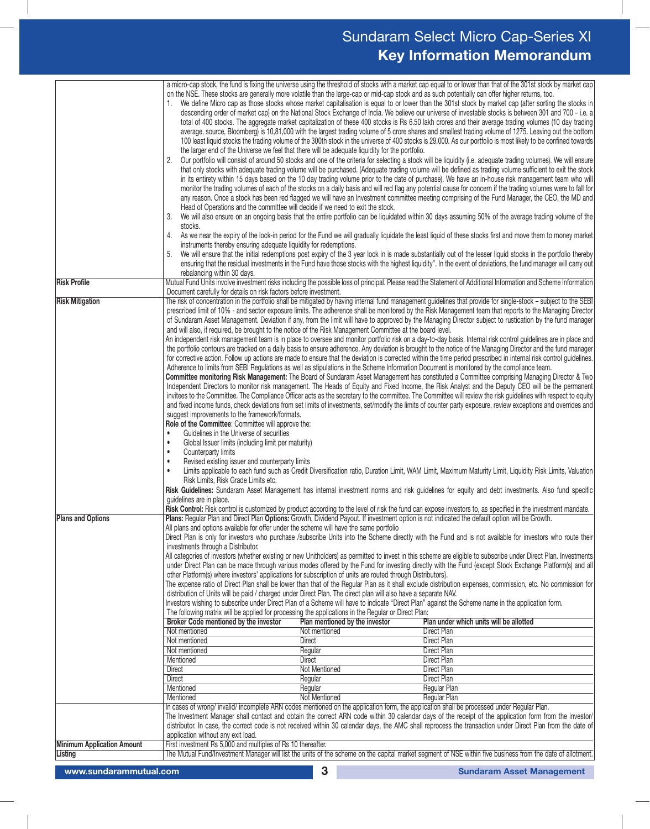|                                              | on the NSE. These stocks are generally more volatile than the large-cap or mid-cap stock and as such potentially can offer higher returns, too.<br>the larger end of the Universe we feel that there will be adequate liquidity for the portfolio.<br>Head of Operations and the committee will decide if we need to exit the stock.<br>stocks.<br>instruments thereby ensuring adequate liquidity for redemptions.<br>rebalancing within 30 days.                                                                                                                                                                                                                                                                                                                                                                                                                                                                                |                                                                                                                                               | a micro-cap stock, the fund is fixing the universe using the threshold of stocks with a market cap equal to or lower than that of the 301st stock by market cap<br>1. We define Micro cap as those stocks whose market capitalisation is equal to or lower than the 301st stock by market cap (after sorting the stocks in<br>descending order of market cap) on the National Stock Exchange of India. We believe our universe of investable stocks is between 301 and 700 - i.e. a<br>total of 400 stocks. The aggregate market capitalization of these 400 stocks is Rs 6.50 lakh crores and their average trading volumes (10 day trading<br>average, source, Bloomberg) is 10,81,000 with the largest trading volume of 5 crore shares and smallest trading volume of 1275. Leaving out the bottom<br>100 least liquid stocks the trading volume of the 300th stock in the universe of 400 stocks is 29,000. As our portfolio is most likely to be confined towards<br>2. Our portfolio will consist of around 50 stocks and one of the criteria for selecting a stock will be liquidity (i.e. adequate trading volumes). We will ensure<br>that only stocks with adequate trading volume will be purchased. (Adequate trading volume will be defined as trading volume sufficient to exit the stock<br>in its entirety within 15 days based on the 10 day trading volume prior to the date of purchase). We have an in-house risk management team who will<br>monitor the trading volumes of each of the stocks on a daily basis and will red flag any potential cause for concern if the trading volumes were to fall for<br>any reason. Once a stock has been red flagged we will have an Investment committee meeting comprising of the Fund Manager, the CEO, the MD and<br>3. We will also ensure on an ongoing basis that the entire portfolio can be liquidated within 30 days assuming 50% of the average trading volume of the<br>4. As we near the expiry of the lock-in period for the Fund we will gradually liquidate the least liquid of these stocks first and move them to money market<br>We will ensure that the initial redemptions post expiry of the 3 year lock in is made substantially out of the lesser liquid stocks in the portfolio thereby<br>ensuring that the residual investments in the Fund have those stocks with the highest liquidity". In the event of deviations, the fund manager will carry out |
|----------------------------------------------|-----------------------------------------------------------------------------------------------------------------------------------------------------------------------------------------------------------------------------------------------------------------------------------------------------------------------------------------------------------------------------------------------------------------------------------------------------------------------------------------------------------------------------------------------------------------------------------------------------------------------------------------------------------------------------------------------------------------------------------------------------------------------------------------------------------------------------------------------------------------------------------------------------------------------------------|-----------------------------------------------------------------------------------------------------------------------------------------------|-----------------------------------------------------------------------------------------------------------------------------------------------------------------------------------------------------------------------------------------------------------------------------------------------------------------------------------------------------------------------------------------------------------------------------------------------------------------------------------------------------------------------------------------------------------------------------------------------------------------------------------------------------------------------------------------------------------------------------------------------------------------------------------------------------------------------------------------------------------------------------------------------------------------------------------------------------------------------------------------------------------------------------------------------------------------------------------------------------------------------------------------------------------------------------------------------------------------------------------------------------------------------------------------------------------------------------------------------------------------------------------------------------------------------------------------------------------------------------------------------------------------------------------------------------------------------------------------------------------------------------------------------------------------------------------------------------------------------------------------------------------------------------------------------------------------------------------------------------------------------------------------------------------------------------------------------------------------------------------------------------------------------------------------------------------------------------------------------------------------------------------------------------------------------------------------------------------------------------------------------------------------------------------------------------------------------------------------------------------------------------------------------------------------------------------------------|
| <b>Risk Profile</b>                          | Document carefully for details on risk factors before investment.                                                                                                                                                                                                                                                                                                                                                                                                                                                                                                                                                                                                                                                                                                                                                                                                                                                                 |                                                                                                                                               | Mutual Fund Units involve investment risks including the possible loss of principal. Please read the Statement of Additional Information and Scheme Information                                                                                                                                                                                                                                                                                                                                                                                                                                                                                                                                                                                                                                                                                                                                                                                                                                                                                                                                                                                                                                                                                                                                                                                                                                                                                                                                                                                                                                                                                                                                                                                                                                                                                                                                                                                                                                                                                                                                                                                                                                                                                                                                                                                                                                                                               |
| <b>Risk Mitigation</b>                       | and will also, if required, be brought to the notice of the Risk Management Committee at the board level.<br>Adherence to limits from SEBI Regulations as well as stipulations in the Scheme Information Document is monitored by the compliance team.<br>suggest improvements to the framework/formats.<br>Role of the Committee: Committee will approve the:<br>Guidelines in the Universe of securities<br>$\bullet$<br>$\bullet$<br>Global Issuer limits (including limit per maturity)<br>Counterparty limits<br>$\bullet$<br>Revised existing issuer and counterparty limits<br>$\bullet$<br>$\bullet$<br>Risk Limits, Risk Grade Limits etc.<br>guidelines are in place.                                                                                                                                                                                                                                                   |                                                                                                                                               | The risk of concentration in the portfolio shall be mitigated by having internal fund management guidelines that provide for single-stock - subject to the SEBI<br>prescribed limit of 10% - and sector exposure limits. The adherence shall be monitored by the Risk Management team that reports to the Managing Director<br>of Sundaram Asset Management. Deviation if any, from the limit will have to approved by the Managing Director subject to rustication by the fund manager<br>An independent risk management team is in place to oversee and monitor portfolio risk on a day-to-day basis. Internal risk control guidelines are in place and<br>the portfolio contours are tracked on a daily basis to ensure adherence. Any deviation is brought to the notice of the Managing Director and the fund manager<br>for corrective action. Follow up actions are made to ensure that the deviation is corrected within the time period prescribed in internal risk control guidelines.<br>Committee monitoring Risk Management: The Board of Sundaram Asset Management has constituted a Committee comprising Managing Director & Two<br>Independent Directors to monitor risk management. The Heads of Equity and Fixed Income, the Risk Analyst and the Deputy CEO will be the permanent<br>invitees to the Committee. The Compliance Officer acts as the secretary to the committee. The Committee will review the risk guidelines with respect to equity<br>and fixed income funds, check deviations from set limits of investments, set/modify the limits of counter party exposure, review exceptions and overrides and<br>Limits applicable to each fund such as Credit Diversification ratio, Duration Limit, WAM Limit, Maximum Maturity Limit, Liquidity Risk Limits, Valuation<br>Risk Guidelines: Sundaram Asset Management has internal investment norms and risk guidelines for equity and debt investments. Also fund specific<br>Risk Control: Risk control is customized by product according to the level of risk the fund can expose investors to, as specified in the investment mandate.                                                                                                                                                                                                                                                                                                                       |
| <b>Plans and Options</b>                     | Plans: Regular Plan and Direct Plan Options: Growth, Dividend Payout. If investment option is not indicated the default option will be Growth.<br>All plans and options available for offer under the scheme will have the same portfolio<br>investments through a Distributor.<br>other Platform(s) where investors' applications for subscription of units are routed through Distributors}.<br>distribution of Units will be paid / charged under Direct Plan. The direct plan will also have a separate NAV.<br>The following matrix will be applied for processing the applications in the Regular or Direct Plan:<br>Broker Code mentioned by the investor<br>Not mentioned<br>Not mentioned<br>Not mentioned<br>Mentioned<br><b>Direct</b><br>Direct<br>Mentioned<br>Mentioned<br>In cases of wrong/invalid/incomplete ARN codes mentioned on the application form, the application shall be processed under Regular Plan. | Plan mentioned by the investor<br>Not mentioned<br>Direct<br>Regular<br><b>Direct</b><br>Not Mentioned<br>Regular<br>Regular<br>Not Mentioned | Direct Plan is only for investors who purchase /subscribe Units into the Scheme directly with the Fund and is not available for investors who route their<br>All categories of investors (whether existing or new Unitholders) as permitted to invest in this scheme are eligible to subscribe under Direct Plan. Investments<br>under Direct Plan can be made through various modes offered by the Fund for investing directly with the Fund {except Stock Exchange Platform(s) and all<br>The expense ratio of Direct Plan shall be lower than that of the Regular Plan as it shall exclude distribution expenses, commission, etc. No commission for<br>Investors wishing to subscribe under Direct Plan of a Scheme will have to indicate "Direct Plan" against the Scheme name in the application form.<br>Plan under which units will be allotted<br><b>Direct Plan</b><br><b>Direct Plan</b><br><b>Direct Plan</b><br><b>Direct Plan</b><br><b>Direct Plan</b><br>Direct Plan<br>Regular Plan<br>Regular Plan<br>The Investment Manager shall contact and obtain the correct ARN code within 30 calendar days of the receipt of the application form from the investor/                                                                                                                                                                                                                                                                                                                                                                                                                                                                                                                                                                                                                                                                                                                                                                                                                                                                                                                                                                                                                                                                                                                                                                                                                                                                |
|                                              |                                                                                                                                                                                                                                                                                                                                                                                                                                                                                                                                                                                                                                                                                                                                                                                                                                                                                                                                   |                                                                                                                                               | distributor. In case, the correct code is not received within 30 calendar days, the AMC shall reprocess the transaction under Direct Plan from the date of                                                                                                                                                                                                                                                                                                                                                                                                                                                                                                                                                                                                                                                                                                                                                                                                                                                                                                                                                                                                                                                                                                                                                                                                                                                                                                                                                                                                                                                                                                                                                                                                                                                                                                                                                                                                                                                                                                                                                                                                                                                                                                                                                                                                                                                                                    |
| <b>Minimum Application Amount</b><br>Listing | application without any exit load.<br>First investment Rs 5,000 and multiples of Rs 10 thereafter.                                                                                                                                                                                                                                                                                                                                                                                                                                                                                                                                                                                                                                                                                                                                                                                                                                |                                                                                                                                               | The Mutual Fund/Investment Manager will list the units of the scheme on the capital market segment of NSE within five business from the date of allotment.                                                                                                                                                                                                                                                                                                                                                                                                                                                                                                                                                                                                                                                                                                                                                                                                                                                                                                                                                                                                                                                                                                                                                                                                                                                                                                                                                                                                                                                                                                                                                                                                                                                                                                                                                                                                                                                                                                                                                                                                                                                                                                                                                                                                                                                                                    |

**xww.sundarammutual.com 3 3 Sundaram Asset Management**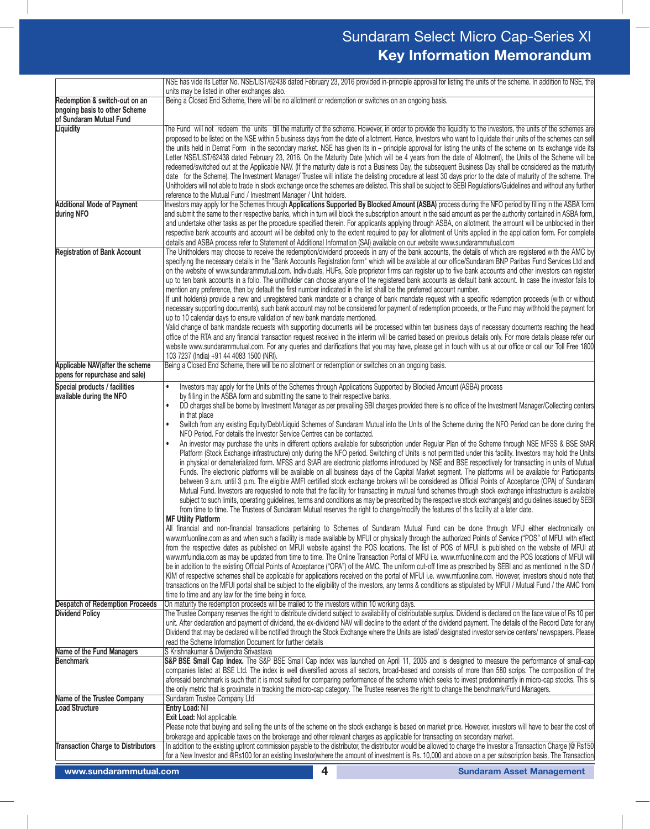|                                                                   | NSE has vide its Letter No. NSE/LIST/62438 dated February 23, 2016 provided in-principle approval for listing the units of the scheme. In addition to NSE, the                                                                                                                                                                                                                                                                                                                                                                                                                                                                                                                                                                                                                                                                                                                                                                                                                                                                                                                                                                                                                                                                                                                                                                                                                                                                                                                                                                                                                                                                                                                                                                                                                                                                                                                                                                                                                                                                                                                                                                                                                                                                                                                                                                                                                                                                                                                                                                                                                                                                                                                                                                                                                                                                                                                                                                                                                                                                                                                                                                                                                                                                                                                                                                                                                                                                                                                                       |  |
|-------------------------------------------------------------------|------------------------------------------------------------------------------------------------------------------------------------------------------------------------------------------------------------------------------------------------------------------------------------------------------------------------------------------------------------------------------------------------------------------------------------------------------------------------------------------------------------------------------------------------------------------------------------------------------------------------------------------------------------------------------------------------------------------------------------------------------------------------------------------------------------------------------------------------------------------------------------------------------------------------------------------------------------------------------------------------------------------------------------------------------------------------------------------------------------------------------------------------------------------------------------------------------------------------------------------------------------------------------------------------------------------------------------------------------------------------------------------------------------------------------------------------------------------------------------------------------------------------------------------------------------------------------------------------------------------------------------------------------------------------------------------------------------------------------------------------------------------------------------------------------------------------------------------------------------------------------------------------------------------------------------------------------------------------------------------------------------------------------------------------------------------------------------------------------------------------------------------------------------------------------------------------------------------------------------------------------------------------------------------------------------------------------------------------------------------------------------------------------------------------------------------------------------------------------------------------------------------------------------------------------------------------------------------------------------------------------------------------------------------------------------------------------------------------------------------------------------------------------------------------------------------------------------------------------------------------------------------------------------------------------------------------------------------------------------------------------------------------------------------------------------------------------------------------------------------------------------------------------------------------------------------------------------------------------------------------------------------------------------------------------------------------------------------------------------------------------------------------------------------------------------------------------------------------------------------------------|--|
| Redemption & switch-out on an                                     |                                                                                                                                                                                                                                                                                                                                                                                                                                                                                                                                                                                                                                                                                                                                                                                                                                                                                                                                                                                                                                                                                                                                                                                                                                                                                                                                                                                                                                                                                                                                                                                                                                                                                                                                                                                                                                                                                                                                                                                                                                                                                                                                                                                                                                                                                                                                                                                                                                                                                                                                                                                                                                                                                                                                                                                                                                                                                                                                                                                                                                                                                                                                                                                                                                                                                                                                                                                                                                                                                                      |  |
| ongoing basis to other Scheme<br>of Sundaram Mutual Fund          |                                                                                                                                                                                                                                                                                                                                                                                                                                                                                                                                                                                                                                                                                                                                                                                                                                                                                                                                                                                                                                                                                                                                                                                                                                                                                                                                                                                                                                                                                                                                                                                                                                                                                                                                                                                                                                                                                                                                                                                                                                                                                                                                                                                                                                                                                                                                                                                                                                                                                                                                                                                                                                                                                                                                                                                                                                                                                                                                                                                                                                                                                                                                                                                                                                                                                                                                                                                                                                                                                                      |  |
| <b>Liquidity</b>                                                  | units may be listed in other exchanges also.<br>Being a Closed End Scheme, there will be no allotment or redemption or switches on an ongoing basis.<br>The Fund will not redeem the units till the maturity of the scheme. However, in order to provide the liquidity to the investors, the units of the schemes are<br>proposed to be listed on the NSE within 5 business days from the date of allotment. Hence, Investors who want to liquidate their units of the schemes can sell<br>the units held in Demat Form in the secondary market. NSE has given its in - principle approval for listing the units of the scheme on its exchange vide its<br>Letter NSE/LIST/62438 dated February 23, 2016. On the Maturity Date (which will be 4 years from the date of Allotment), the Units of the Scheme will be<br>redeemed/switched out at the Applicable NAV. (If the maturity date is not a Business Day, the subsequent Business Day shall be considered as the maturity<br>date for the Scheme). The Investment Manager/ Trustee will initiate the delisting procedure at least 30 days prior to the date of maturity of the scheme. The<br>Unitholders will not able to trade in stock exchange once the schemes are delisted. This shall be subject to SEBI Regulations/Guidelines and without any further<br>reference to the Mutual Fund / Investment Manager / Unit holders.<br>Investors may apply for the Schemes through Applications Supported By Blocked Amount (ASBA) process during the NFO period by filling in the ASBA form<br>details and ASBA process refer to Statement of Additional Information (SAI) available on our website www.sundarammutual.com<br>mention any preference, then by default the first number indicated in the list shall be the preferred account number.<br>up to 10 calendar days to ensure validation of new bank mandate mentioned.<br>103 7237 (India) +91 44 4083 1500 (NRI).<br>Being a Closed End Scheme, there will be no allotment or redemption or switches on an ongoing basis.<br>Investors may apply for the Units of the Schemes through Applications Supported by Blocked Amount (ASBA) process<br>by filling in the ASBA form and submitting the same to their respective banks.<br>available during the NFO<br>in that place<br>NFO Period. For details the Investor Service Centres can be contacted.<br>from time to time. The Trustees of Sundaram Mutual reserves the right to change/modify the features of this facility at a later date.<br><b>MF Utility Platform</b><br>time to time and any law for the time being in force.<br>On maturity the redemption proceeds will be mailed to the investors within 10 working days.<br>The Trustee Company reserves the right to distribute dividend subject to availability of distributable surplus. Dividend is declared on the face value of Rs 10 per<br>read the Scheme Information Document for further details<br>S Krishnakumar & Dwijendra Srivastava<br>S&P BSE Small Cap Index. The S&P BSE Small Cap index was launched on April 11, 2005 and is designed to measure the performance of small-cap<br>the only metric that is proximate in tracking the micro-cap category. The Trustee reserves the right to change the benchmark/Fund Managers.<br>Sundaram Trustee Company Ltd<br>Entry Load: Nil<br>Exit Load: Not applicable.<br>brokerage and applicable taxes on the brokerage and other relevant charges as applicable for transacting on secondary market. |  |
| <b>Additional Mode of Payment</b><br>during NFO                   | and submit the same to their respective banks, which in turn will block the subscription amount in the said amount as per the authority contained in ASBA form,<br>and undertake other tasks as per the procedure specified therein. For applicants applying through ASBA, on allotment, the amount will be unblocked in their<br>respective bank accounts and account will be debited only to the extent required to pay for allotment of Units applied in the application form. For complete                                                                                                                                                                                                                                                                                                                                                                                                                                                                                                                                                                                                                                                                                                                                                                                                                                                                                                                                                                                                                                                                                                                                                                                                                                                                                                                                                                                                                                                                                                                                                                                                                                                                                                                                                                                                                                                                                                                                                                                                                                                                                                                                                                                                                                                                                                                                                                                                                                                                                                                                                                                                                                                                                                                                                                                                                                                                                                                                                                                                       |  |
| <b>Registration of Bank Account</b>                               | The Unitholders may choose to receive the redemption/dividend proceeds in any of the bank accounts, the details of which are registered with the AMC by<br>specifying the necessary details in the "Bank Accounts Registration form" which will be available at our office/Sundaram BNP Paribas Fund Services Ltd and<br>on the website of www.sundarammutual.com. Individuals, HUFs, Sole proprietor firms can register up to five bank accounts and other investors can register<br>up to ten bank accounts in a folio. The unitholder can choose anyone of the registered bank accounts as default bank account. In case the investor fails to<br>If unit holder(s) provide a new and unregistered bank mandate or a change of bank mandate request with a specific redemption proceeds (with or without<br>necessary supporting documents), such bank account may not be considered for payment of redemption proceeds, or the Fund may withhold the payment for<br>Valid change of bank mandate requests with supporting documents will be processed within ten business days of necessary documents reaching the head<br>office of the RTA and any financial transaction request received in the interim will be carried based on previous details only. For more details please refer our<br>website www.sundarammutual.com. For any queries and clarifications that you may have, please get in touch with us at our office or call our Toll Free 1800                                                                                                                                                                                                                                                                                                                                                                                                                                                                                                                                                                                                                                                                                                                                                                                                                                                                                                                                                                                                                                                                                                                                                                                                                                                                                                                                                                                                                                                                                                                                                                                                                                                                                                                                                                                                                                                                                                                                                                                                                                       |  |
| Applicable NAV(after the scheme<br>opens for repurchase and sale) |                                                                                                                                                                                                                                                                                                                                                                                                                                                                                                                                                                                                                                                                                                                                                                                                                                                                                                                                                                                                                                                                                                                                                                                                                                                                                                                                                                                                                                                                                                                                                                                                                                                                                                                                                                                                                                                                                                                                                                                                                                                                                                                                                                                                                                                                                                                                                                                                                                                                                                                                                                                                                                                                                                                                                                                                                                                                                                                                                                                                                                                                                                                                                                                                                                                                                                                                                                                                                                                                                                      |  |
| Special products / facilities                                     |                                                                                                                                                                                                                                                                                                                                                                                                                                                                                                                                                                                                                                                                                                                                                                                                                                                                                                                                                                                                                                                                                                                                                                                                                                                                                                                                                                                                                                                                                                                                                                                                                                                                                                                                                                                                                                                                                                                                                                                                                                                                                                                                                                                                                                                                                                                                                                                                                                                                                                                                                                                                                                                                                                                                                                                                                                                                                                                                                                                                                                                                                                                                                                                                                                                                                                                                                                                                                                                                                                      |  |
|                                                                   | DD charges shall be borne by Investment Manager as per prevailing SBI charges provided there is no office of the Investment Manager/Collecting centers<br>Switch from any existing Equity/Debt/Liquid Schemes of Sundaram Mutual into the Units of the Scheme during the NFO Period can be done during the<br>An investor may purchase the units in different options available for subscription under Regular Plan of the Scheme through NSE MFSS & BSE StAR<br>Platform (Stock Exchange infrastructure) only during the NFO period. Switching of Units is not permitted under this facility. Investors may hold the Units<br>in physical or dematerialized form. MFSS and StAR are electronic platforms introduced by NSE and BSE respectively for transacting in units of Mutual<br>Funds. The electronic platforms will be available on all business days of the Capital Market segment. The platforms will be available for Participants<br>between 9 a.m. until 3 p.m. The eligible AMFI certified stock exchange brokers will be considered as Official Points of Acceptance (OPA) of Sundaram<br>Mutual Fund. Investors are requested to note that the facility for transacting in mutual fund schemes through stock exchange infrastructure is available<br>subject to such limits, operating guidelines, terms and conditions as may be prescribed by the respective stock exchange(s) and guidelines issued by SEBI<br>All financial and non-financial transactions pertaining to Schemes of Sundaram Mutual Fund can be done through MFU either electronically on<br>www.mfuonline.com as and when such a facility is made available by MFUI or physically through the authorized Points of Service ("POS" of MFUI with effect<br>from the respective dates as published on MFUI website against the POS locations. The list of POS of MFUI is published on the website of MFUI at<br>www.mfuindia.com as may be updated from time to time. The Online Transaction Portal of MFU i.e. www.mfuonline.com and the POS locations of MFUI will<br>be in addition to the existing Official Points of Acceptance ("OPA") of the AMC. The uniform cut-off time as prescribed by SEBI and as mentioned in the SID /<br>KIM of respective schemes shall be applicable for applications received on the portal of MFUI i.e. www.mfuonline.com. However, investors should note that<br>transactions on the MFUI portal shall be subject to the eligibility of the investors, any terms & conditions as stipulated by MFUI / Mutual Fund / the AMC from                                                                                                                                                                                                                                                                                                                                                                                                                                                                                                                                                                                                                                                                                                                                                                                                                                                                                                                                              |  |
| <b>Despatch of Redemption Proceeds</b><br><b>Dividend Policy</b>  |                                                                                                                                                                                                                                                                                                                                                                                                                                                                                                                                                                                                                                                                                                                                                                                                                                                                                                                                                                                                                                                                                                                                                                                                                                                                                                                                                                                                                                                                                                                                                                                                                                                                                                                                                                                                                                                                                                                                                                                                                                                                                                                                                                                                                                                                                                                                                                                                                                                                                                                                                                                                                                                                                                                                                                                                                                                                                                                                                                                                                                                                                                                                                                                                                                                                                                                                                                                                                                                                                                      |  |
|                                                                   | unit. After declaration and payment of dividend, the ex-dividend NAV will decline to the extent of the dividend payment. The details of the Record Date for any<br>Dividend that may be declared will be notified through the Stock Exchange where the Units are listed/ designated investor service centers/ newspapers. Please                                                                                                                                                                                                                                                                                                                                                                                                                                                                                                                                                                                                                                                                                                                                                                                                                                                                                                                                                                                                                                                                                                                                                                                                                                                                                                                                                                                                                                                                                                                                                                                                                                                                                                                                                                                                                                                                                                                                                                                                                                                                                                                                                                                                                                                                                                                                                                                                                                                                                                                                                                                                                                                                                                                                                                                                                                                                                                                                                                                                                                                                                                                                                                     |  |
| Name of the Fund Managers<br><b>Benchmark</b>                     |                                                                                                                                                                                                                                                                                                                                                                                                                                                                                                                                                                                                                                                                                                                                                                                                                                                                                                                                                                                                                                                                                                                                                                                                                                                                                                                                                                                                                                                                                                                                                                                                                                                                                                                                                                                                                                                                                                                                                                                                                                                                                                                                                                                                                                                                                                                                                                                                                                                                                                                                                                                                                                                                                                                                                                                                                                                                                                                                                                                                                                                                                                                                                                                                                                                                                                                                                                                                                                                                                                      |  |
| Name of the Trustee Company                                       | companies listed at BSE Ltd. The index is well diversified across all sectors, broad-based and consists of more than 580 scrips. The composition of the<br>aforesaid benchmark is such that it is most suited for comparing performance of the scheme which seeks to invest predominantly in micro-cap stocks. This is                                                                                                                                                                                                                                                                                                                                                                                                                                                                                                                                                                                                                                                                                                                                                                                                                                                                                                                                                                                                                                                                                                                                                                                                                                                                                                                                                                                                                                                                                                                                                                                                                                                                                                                                                                                                                                                                                                                                                                                                                                                                                                                                                                                                                                                                                                                                                                                                                                                                                                                                                                                                                                                                                                                                                                                                                                                                                                                                                                                                                                                                                                                                                                               |  |
| <b>Load Structure</b>                                             |                                                                                                                                                                                                                                                                                                                                                                                                                                                                                                                                                                                                                                                                                                                                                                                                                                                                                                                                                                                                                                                                                                                                                                                                                                                                                                                                                                                                                                                                                                                                                                                                                                                                                                                                                                                                                                                                                                                                                                                                                                                                                                                                                                                                                                                                                                                                                                                                                                                                                                                                                                                                                                                                                                                                                                                                                                                                                                                                                                                                                                                                                                                                                                                                                                                                                                                                                                                                                                                                                                      |  |
| <b>Transaction Charge to Distributors</b>                         | Please note that buying and selling the units of the scheme on the stock exchange is based on market price. However, investors will have to bear the cost of<br>In addition to the existing upfront commission payable to the distributor, the distributor would be allowed to charge the Investor a Transaction Charge (@ Rs150)<br>for a New Investor and @Rs100 for an existing Investor)where the amount of investment is Rs. 10,000 and above on a per subscription basis. The Transaction                                                                                                                                                                                                                                                                                                                                                                                                                                                                                                                                                                                                                                                                                                                                                                                                                                                                                                                                                                                                                                                                                                                                                                                                                                                                                                                                                                                                                                                                                                                                                                                                                                                                                                                                                                                                                                                                                                                                                                                                                                                                                                                                                                                                                                                                                                                                                                                                                                                                                                                                                                                                                                                                                                                                                                                                                                                                                                                                                                                                      |  |
| www.sundarammutual.com                                            | 4<br><b>Sundaram Asset Management</b>                                                                                                                                                                                                                                                                                                                                                                                                                                                                                                                                                                                                                                                                                                                                                                                                                                                                                                                                                                                                                                                                                                                                                                                                                                                                                                                                                                                                                                                                                                                                                                                                                                                                                                                                                                                                                                                                                                                                                                                                                                                                                                                                                                                                                                                                                                                                                                                                                                                                                                                                                                                                                                                                                                                                                                                                                                                                                                                                                                                                                                                                                                                                                                                                                                                                                                                                                                                                                                                                |  |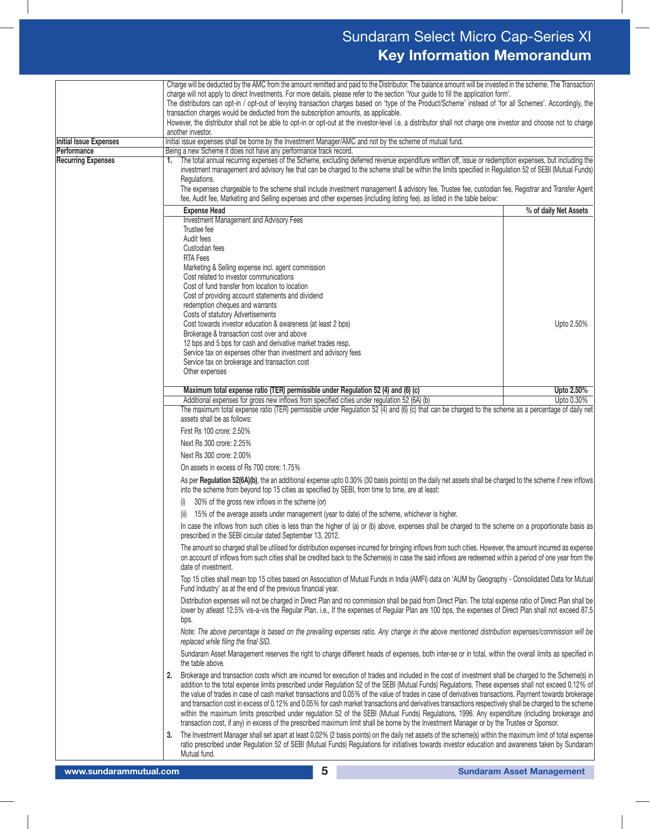| The distributors can opt-in / opt-out of levying transaction charges based on 'type of the Product/Scheme' instead of 'for all Schemes'. Accordingly, the<br>transaction charges would be deducted from the subscription amounts, as applicable.<br>However, the distributor shall not be able to opt-in or opt-out at the investor-level i.e. a distributor shall not charge one investor and choose not to charge<br>another investor.<br>Initial issue expenses shall be borne by the Investment Manager/AMC and not by the scheme of mutual fund.<br>Being a new Scheme it does not have any performance track record.<br>1. The total annual recurring expenses of the Scheme, excluding deferred revenue expenditure written off, issue or redemption expenses, but including the<br>investment management and advisory fee that can be charged to the scheme shall be within the limits specified in Regulation 52 of SEBI (Mutual Funds)<br>Regulations.<br>The expenses chargeable to the scheme shall include investment management & advisory fee, Trustee fee, custodian fee, Registrar and Transfer Agent<br>fee, Audit fee, Marketing and Selling expenses and other expenses (including listing fee). as listed in the table below:<br><b>Expense Head</b><br>Investment Management and Advisory Fees<br>Trustee fee<br>Audit fees<br>Custodian fees<br><b>RTA Fees</b><br>Marketing & Selling expense incl. agent commission<br>Cost related to investor communications<br>Cost of fund transfer from location to location<br>Cost of providing account statements and dividend<br>redemption cheques and warrants<br>Costs of statutory Advertisements<br>Cost towards investor education & awareness (at least 2 bps)<br>Brokerage & transaction cost over and above<br>12 bps and 5 bps for cash and derivative market trades resp.<br>Service tax on expenses other than investment and advisory fees<br>Service tax on brokerage and transaction cost<br>Other expenses<br>Maximum total expense ratio (TER) permissible under Regulation 52 (4) and (6) (c)<br>Additional expenses for gross new inflows from specified cities under regulation 52 (6A) (b)<br>Upto 0.30%<br>The maximum total expense ratio (TER) permissible under Regulation 52 (4) and (6) (c) that can be charged to the scheme as a percentage of daily net<br>assets shall be as follows:<br>First Rs 100 crore: 2.50%<br>Next Rs 300 crore: 2.25%<br>Next Rs 300 crore: 2.00%<br>On assets in excess of Rs 700 crore: 1.75%<br>As per Regulation 52(6A)(b), the an additional expense upto 0.30% (30 basis points) on the daily net assets shall be charged to the scheme if new inflows<br>into the scheme from beyond top 15 cities as specified by SEBI, from time to time, are at least:<br>30% of the gross new inflows in the scheme (or)<br>15% of the average assets under management (year to date) of the scheme, whichever is higher.<br>In case the inflows from such cities is less than the higher of (a) or (b) above, expenses shall be charged to the scheme on a proportionate basis as<br>prescribed in the SEBI circular dated September 13, 2012.<br>The amount so charged shall be utilised for distribution expenses incurred for bringing inflows from such cities. However, the amount incurred as expense<br>on account of inflows from such cities shall be credited back to the Scheme(s) in case the said inflows are redeemed within a period of one year from the<br>date of investment.<br>Top 15 cities shall mean top 15 cities based on Association of Mutual Funds in India (AMFI) data on 'AUM by Geography - Consolidated Data for Mutual<br>Fund Industry' as at the end of the previous financial year.<br>Distribution expenses will not be charged in Direct Plan and no commission shall be paid from Direct Plan. The total expense ratio of Direct Plan shall be<br>lower by atleast 12.5% vis-a-vis the Regular Plan. i.e., If the expenses of Regular Plan are 100 bps, the expenses of Direct Plan shall not exceed 87.5<br>bps.<br>Note: The above percentage is based on the prevailing expenses ratio. Any change in the above mentioned distribution expenses/commission will be<br>replaced while filing the final SID.<br>Sundaram Asset Management reserves the right to charge different heads of expenses, both inter-se or in total, within the overall limits as specified in | Charge will be deducted by the AMC from the amount remitted and paid to the Distributor. The balance amount will be invested in the scheme. The Transaction |                       |
|----------------------------------------------------------------------------------------------------------------------------------------------------------------------------------------------------------------------------------------------------------------------------------------------------------------------------------------------------------------------------------------------------------------------------------------------------------------------------------------------------------------------------------------------------------------------------------------------------------------------------------------------------------------------------------------------------------------------------------------------------------------------------------------------------------------------------------------------------------------------------------------------------------------------------------------------------------------------------------------------------------------------------------------------------------------------------------------------------------------------------------------------------------------------------------------------------------------------------------------------------------------------------------------------------------------------------------------------------------------------------------------------------------------------------------------------------------------------------------------------------------------------------------------------------------------------------------------------------------------------------------------------------------------------------------------------------------------------------------------------------------------------------------------------------------------------------------------------------------------------------------------------------------------------------------------------------------------------------------------------------------------------------------------------------------------------------------------------------------------------------------------------------------------------------------------------------------------------------------------------------------------------------------------------------------------------------------------------------------------------------------------------------------------------------------------------------------------------------------------------------------------------------------------------------------------------------------------------------------------------------------------------------------------------------------------------------------------------------------------------------------------------------------------------------------------------------------------------------------------------------------------------------------------------------------------------------------------------------------------------------------------------------------------------------------------------------------------------------------------------------------------------------------------------------------------------------------------------------------------------------------------------------------------------------------------------------------------------------------------------------------------------------------------------------------------------------------------------------------------------------------------------------------------------------------------------------------------------------------------------------------------------------------------------------------------------------------------------------------------------------------------------------------------------------------------------------------------------------------------------------------------------------------------------------------------------------------------------------------------------------------------------------------------------------------------------------------------------------------------------------------------------------------------------------------------------------------------------------------------------------------------------------------------------------------------------------------------------------------------------------------------------------------------------------------------|-------------------------------------------------------------------------------------------------------------------------------------------------------------|-----------------------|
| Performance                                                                                                                                                                                                                                                                                                                                                                                                                                                                                                                                                                                                                                                                                                                                                                                                                                                                                                                                                                                                                                                                                                                                                                                                                                                                                                                                                                                                                                                                                                                                                                                                                                                                                                                                                                                                                                                                                                                                                                                                                                                                                                                                                                                                                                                                                                                                                                                                                                                                                                                                                                                                                                                                                                                                                                                                                                                                                                                                                                                                                                                                                                                                                                                                                                                                                                                                                                                                                                                                                                                                                                                                                                                                                                                                                                                                                                                                                                                                                                                                                                                                                                                                                                                                                                                                                                                                                                                                                            | charge will not apply to direct Investments. For more details, please refer to the section 'Your guide to fill the application form'.                       |                       |
| <b>Initial Issue Expenses</b><br><b>Recurring Expenses</b>                                                                                                                                                                                                                                                                                                                                                                                                                                                                                                                                                                                                                                                                                                                                                                                                                                                                                                                                                                                                                                                                                                                                                                                                                                                                                                                                                                                                                                                                                                                                                                                                                                                                                                                                                                                                                                                                                                                                                                                                                                                                                                                                                                                                                                                                                                                                                                                                                                                                                                                                                                                                                                                                                                                                                                                                                                                                                                                                                                                                                                                                                                                                                                                                                                                                                                                                                                                                                                                                                                                                                                                                                                                                                                                                                                                                                                                                                                                                                                                                                                                                                                                                                                                                                                                                                                                                                                             |                                                                                                                                                             |                       |
|                                                                                                                                                                                                                                                                                                                                                                                                                                                                                                                                                                                                                                                                                                                                                                                                                                                                                                                                                                                                                                                                                                                                                                                                                                                                                                                                                                                                                                                                                                                                                                                                                                                                                                                                                                                                                                                                                                                                                                                                                                                                                                                                                                                                                                                                                                                                                                                                                                                                                                                                                                                                                                                                                                                                                                                                                                                                                                                                                                                                                                                                                                                                                                                                                                                                                                                                                                                                                                                                                                                                                                                                                                                                                                                                                                                                                                                                                                                                                                                                                                                                                                                                                                                                                                                                                                                                                                                                                                        |                                                                                                                                                             |                       |
|                                                                                                                                                                                                                                                                                                                                                                                                                                                                                                                                                                                                                                                                                                                                                                                                                                                                                                                                                                                                                                                                                                                                                                                                                                                                                                                                                                                                                                                                                                                                                                                                                                                                                                                                                                                                                                                                                                                                                                                                                                                                                                                                                                                                                                                                                                                                                                                                                                                                                                                                                                                                                                                                                                                                                                                                                                                                                                                                                                                                                                                                                                                                                                                                                                                                                                                                                                                                                                                                                                                                                                                                                                                                                                                                                                                                                                                                                                                                                                                                                                                                                                                                                                                                                                                                                                                                                                                                                                        |                                                                                                                                                             |                       |
|                                                                                                                                                                                                                                                                                                                                                                                                                                                                                                                                                                                                                                                                                                                                                                                                                                                                                                                                                                                                                                                                                                                                                                                                                                                                                                                                                                                                                                                                                                                                                                                                                                                                                                                                                                                                                                                                                                                                                                                                                                                                                                                                                                                                                                                                                                                                                                                                                                                                                                                                                                                                                                                                                                                                                                                                                                                                                                                                                                                                                                                                                                                                                                                                                                                                                                                                                                                                                                                                                                                                                                                                                                                                                                                                                                                                                                                                                                                                                                                                                                                                                                                                                                                                                                                                                                                                                                                                                                        |                                                                                                                                                             |                       |
|                                                                                                                                                                                                                                                                                                                                                                                                                                                                                                                                                                                                                                                                                                                                                                                                                                                                                                                                                                                                                                                                                                                                                                                                                                                                                                                                                                                                                                                                                                                                                                                                                                                                                                                                                                                                                                                                                                                                                                                                                                                                                                                                                                                                                                                                                                                                                                                                                                                                                                                                                                                                                                                                                                                                                                                                                                                                                                                                                                                                                                                                                                                                                                                                                                                                                                                                                                                                                                                                                                                                                                                                                                                                                                                                                                                                                                                                                                                                                                                                                                                                                                                                                                                                                                                                                                                                                                                                                                        |                                                                                                                                                             |                       |
|                                                                                                                                                                                                                                                                                                                                                                                                                                                                                                                                                                                                                                                                                                                                                                                                                                                                                                                                                                                                                                                                                                                                                                                                                                                                                                                                                                                                                                                                                                                                                                                                                                                                                                                                                                                                                                                                                                                                                                                                                                                                                                                                                                                                                                                                                                                                                                                                                                                                                                                                                                                                                                                                                                                                                                                                                                                                                                                                                                                                                                                                                                                                                                                                                                                                                                                                                                                                                                                                                                                                                                                                                                                                                                                                                                                                                                                                                                                                                                                                                                                                                                                                                                                                                                                                                                                                                                                                                                        |                                                                                                                                                             |                       |
|                                                                                                                                                                                                                                                                                                                                                                                                                                                                                                                                                                                                                                                                                                                                                                                                                                                                                                                                                                                                                                                                                                                                                                                                                                                                                                                                                                                                                                                                                                                                                                                                                                                                                                                                                                                                                                                                                                                                                                                                                                                                                                                                                                                                                                                                                                                                                                                                                                                                                                                                                                                                                                                                                                                                                                                                                                                                                                                                                                                                                                                                                                                                                                                                                                                                                                                                                                                                                                                                                                                                                                                                                                                                                                                                                                                                                                                                                                                                                                                                                                                                                                                                                                                                                                                                                                                                                                                                                                        |                                                                                                                                                             |                       |
|                                                                                                                                                                                                                                                                                                                                                                                                                                                                                                                                                                                                                                                                                                                                                                                                                                                                                                                                                                                                                                                                                                                                                                                                                                                                                                                                                                                                                                                                                                                                                                                                                                                                                                                                                                                                                                                                                                                                                                                                                                                                                                                                                                                                                                                                                                                                                                                                                                                                                                                                                                                                                                                                                                                                                                                                                                                                                                                                                                                                                                                                                                                                                                                                                                                                                                                                                                                                                                                                                                                                                                                                                                                                                                                                                                                                                                                                                                                                                                                                                                                                                                                                                                                                                                                                                                                                                                                                                                        |                                                                                                                                                             |                       |
|                                                                                                                                                                                                                                                                                                                                                                                                                                                                                                                                                                                                                                                                                                                                                                                                                                                                                                                                                                                                                                                                                                                                                                                                                                                                                                                                                                                                                                                                                                                                                                                                                                                                                                                                                                                                                                                                                                                                                                                                                                                                                                                                                                                                                                                                                                                                                                                                                                                                                                                                                                                                                                                                                                                                                                                                                                                                                                                                                                                                                                                                                                                                                                                                                                                                                                                                                                                                                                                                                                                                                                                                                                                                                                                                                                                                                                                                                                                                                                                                                                                                                                                                                                                                                                                                                                                                                                                                                                        |                                                                                                                                                             |                       |
|                                                                                                                                                                                                                                                                                                                                                                                                                                                                                                                                                                                                                                                                                                                                                                                                                                                                                                                                                                                                                                                                                                                                                                                                                                                                                                                                                                                                                                                                                                                                                                                                                                                                                                                                                                                                                                                                                                                                                                                                                                                                                                                                                                                                                                                                                                                                                                                                                                                                                                                                                                                                                                                                                                                                                                                                                                                                                                                                                                                                                                                                                                                                                                                                                                                                                                                                                                                                                                                                                                                                                                                                                                                                                                                                                                                                                                                                                                                                                                                                                                                                                                                                                                                                                                                                                                                                                                                                                                        |                                                                                                                                                             |                       |
|                                                                                                                                                                                                                                                                                                                                                                                                                                                                                                                                                                                                                                                                                                                                                                                                                                                                                                                                                                                                                                                                                                                                                                                                                                                                                                                                                                                                                                                                                                                                                                                                                                                                                                                                                                                                                                                                                                                                                                                                                                                                                                                                                                                                                                                                                                                                                                                                                                                                                                                                                                                                                                                                                                                                                                                                                                                                                                                                                                                                                                                                                                                                                                                                                                                                                                                                                                                                                                                                                                                                                                                                                                                                                                                                                                                                                                                                                                                                                                                                                                                                                                                                                                                                                                                                                                                                                                                                                                        |                                                                                                                                                             | % of daily Net Assets |
|                                                                                                                                                                                                                                                                                                                                                                                                                                                                                                                                                                                                                                                                                                                                                                                                                                                                                                                                                                                                                                                                                                                                                                                                                                                                                                                                                                                                                                                                                                                                                                                                                                                                                                                                                                                                                                                                                                                                                                                                                                                                                                                                                                                                                                                                                                                                                                                                                                                                                                                                                                                                                                                                                                                                                                                                                                                                                                                                                                                                                                                                                                                                                                                                                                                                                                                                                                                                                                                                                                                                                                                                                                                                                                                                                                                                                                                                                                                                                                                                                                                                                                                                                                                                                                                                                                                                                                                                                                        |                                                                                                                                                             |                       |
|                                                                                                                                                                                                                                                                                                                                                                                                                                                                                                                                                                                                                                                                                                                                                                                                                                                                                                                                                                                                                                                                                                                                                                                                                                                                                                                                                                                                                                                                                                                                                                                                                                                                                                                                                                                                                                                                                                                                                                                                                                                                                                                                                                                                                                                                                                                                                                                                                                                                                                                                                                                                                                                                                                                                                                                                                                                                                                                                                                                                                                                                                                                                                                                                                                                                                                                                                                                                                                                                                                                                                                                                                                                                                                                                                                                                                                                                                                                                                                                                                                                                                                                                                                                                                                                                                                                                                                                                                                        |                                                                                                                                                             |                       |
|                                                                                                                                                                                                                                                                                                                                                                                                                                                                                                                                                                                                                                                                                                                                                                                                                                                                                                                                                                                                                                                                                                                                                                                                                                                                                                                                                                                                                                                                                                                                                                                                                                                                                                                                                                                                                                                                                                                                                                                                                                                                                                                                                                                                                                                                                                                                                                                                                                                                                                                                                                                                                                                                                                                                                                                                                                                                                                                                                                                                                                                                                                                                                                                                                                                                                                                                                                                                                                                                                                                                                                                                                                                                                                                                                                                                                                                                                                                                                                                                                                                                                                                                                                                                                                                                                                                                                                                                                                        |                                                                                                                                                             |                       |
|                                                                                                                                                                                                                                                                                                                                                                                                                                                                                                                                                                                                                                                                                                                                                                                                                                                                                                                                                                                                                                                                                                                                                                                                                                                                                                                                                                                                                                                                                                                                                                                                                                                                                                                                                                                                                                                                                                                                                                                                                                                                                                                                                                                                                                                                                                                                                                                                                                                                                                                                                                                                                                                                                                                                                                                                                                                                                                                                                                                                                                                                                                                                                                                                                                                                                                                                                                                                                                                                                                                                                                                                                                                                                                                                                                                                                                                                                                                                                                                                                                                                                                                                                                                                                                                                                                                                                                                                                                        |                                                                                                                                                             |                       |
|                                                                                                                                                                                                                                                                                                                                                                                                                                                                                                                                                                                                                                                                                                                                                                                                                                                                                                                                                                                                                                                                                                                                                                                                                                                                                                                                                                                                                                                                                                                                                                                                                                                                                                                                                                                                                                                                                                                                                                                                                                                                                                                                                                                                                                                                                                                                                                                                                                                                                                                                                                                                                                                                                                                                                                                                                                                                                                                                                                                                                                                                                                                                                                                                                                                                                                                                                                                                                                                                                                                                                                                                                                                                                                                                                                                                                                                                                                                                                                                                                                                                                                                                                                                                                                                                                                                                                                                                                                        |                                                                                                                                                             |                       |
|                                                                                                                                                                                                                                                                                                                                                                                                                                                                                                                                                                                                                                                                                                                                                                                                                                                                                                                                                                                                                                                                                                                                                                                                                                                                                                                                                                                                                                                                                                                                                                                                                                                                                                                                                                                                                                                                                                                                                                                                                                                                                                                                                                                                                                                                                                                                                                                                                                                                                                                                                                                                                                                                                                                                                                                                                                                                                                                                                                                                                                                                                                                                                                                                                                                                                                                                                                                                                                                                                                                                                                                                                                                                                                                                                                                                                                                                                                                                                                                                                                                                                                                                                                                                                                                                                                                                                                                                                                        |                                                                                                                                                             |                       |
|                                                                                                                                                                                                                                                                                                                                                                                                                                                                                                                                                                                                                                                                                                                                                                                                                                                                                                                                                                                                                                                                                                                                                                                                                                                                                                                                                                                                                                                                                                                                                                                                                                                                                                                                                                                                                                                                                                                                                                                                                                                                                                                                                                                                                                                                                                                                                                                                                                                                                                                                                                                                                                                                                                                                                                                                                                                                                                                                                                                                                                                                                                                                                                                                                                                                                                                                                                                                                                                                                                                                                                                                                                                                                                                                                                                                                                                                                                                                                                                                                                                                                                                                                                                                                                                                                                                                                                                                                                        |                                                                                                                                                             |                       |
|                                                                                                                                                                                                                                                                                                                                                                                                                                                                                                                                                                                                                                                                                                                                                                                                                                                                                                                                                                                                                                                                                                                                                                                                                                                                                                                                                                                                                                                                                                                                                                                                                                                                                                                                                                                                                                                                                                                                                                                                                                                                                                                                                                                                                                                                                                                                                                                                                                                                                                                                                                                                                                                                                                                                                                                                                                                                                                                                                                                                                                                                                                                                                                                                                                                                                                                                                                                                                                                                                                                                                                                                                                                                                                                                                                                                                                                                                                                                                                                                                                                                                                                                                                                                                                                                                                                                                                                                                                        |                                                                                                                                                             |                       |
|                                                                                                                                                                                                                                                                                                                                                                                                                                                                                                                                                                                                                                                                                                                                                                                                                                                                                                                                                                                                                                                                                                                                                                                                                                                                                                                                                                                                                                                                                                                                                                                                                                                                                                                                                                                                                                                                                                                                                                                                                                                                                                                                                                                                                                                                                                                                                                                                                                                                                                                                                                                                                                                                                                                                                                                                                                                                                                                                                                                                                                                                                                                                                                                                                                                                                                                                                                                                                                                                                                                                                                                                                                                                                                                                                                                                                                                                                                                                                                                                                                                                                                                                                                                                                                                                                                                                                                                                                                        |                                                                                                                                                             |                       |
|                                                                                                                                                                                                                                                                                                                                                                                                                                                                                                                                                                                                                                                                                                                                                                                                                                                                                                                                                                                                                                                                                                                                                                                                                                                                                                                                                                                                                                                                                                                                                                                                                                                                                                                                                                                                                                                                                                                                                                                                                                                                                                                                                                                                                                                                                                                                                                                                                                                                                                                                                                                                                                                                                                                                                                                                                                                                                                                                                                                                                                                                                                                                                                                                                                                                                                                                                                                                                                                                                                                                                                                                                                                                                                                                                                                                                                                                                                                                                                                                                                                                                                                                                                                                                                                                                                                                                                                                                                        |                                                                                                                                                             |                       |
|                                                                                                                                                                                                                                                                                                                                                                                                                                                                                                                                                                                                                                                                                                                                                                                                                                                                                                                                                                                                                                                                                                                                                                                                                                                                                                                                                                                                                                                                                                                                                                                                                                                                                                                                                                                                                                                                                                                                                                                                                                                                                                                                                                                                                                                                                                                                                                                                                                                                                                                                                                                                                                                                                                                                                                                                                                                                                                                                                                                                                                                                                                                                                                                                                                                                                                                                                                                                                                                                                                                                                                                                                                                                                                                                                                                                                                                                                                                                                                                                                                                                                                                                                                                                                                                                                                                                                                                                                                        |                                                                                                                                                             | Upto 2.50%            |
|                                                                                                                                                                                                                                                                                                                                                                                                                                                                                                                                                                                                                                                                                                                                                                                                                                                                                                                                                                                                                                                                                                                                                                                                                                                                                                                                                                                                                                                                                                                                                                                                                                                                                                                                                                                                                                                                                                                                                                                                                                                                                                                                                                                                                                                                                                                                                                                                                                                                                                                                                                                                                                                                                                                                                                                                                                                                                                                                                                                                                                                                                                                                                                                                                                                                                                                                                                                                                                                                                                                                                                                                                                                                                                                                                                                                                                                                                                                                                                                                                                                                                                                                                                                                                                                                                                                                                                                                                                        |                                                                                                                                                             |                       |
|                                                                                                                                                                                                                                                                                                                                                                                                                                                                                                                                                                                                                                                                                                                                                                                                                                                                                                                                                                                                                                                                                                                                                                                                                                                                                                                                                                                                                                                                                                                                                                                                                                                                                                                                                                                                                                                                                                                                                                                                                                                                                                                                                                                                                                                                                                                                                                                                                                                                                                                                                                                                                                                                                                                                                                                                                                                                                                                                                                                                                                                                                                                                                                                                                                                                                                                                                                                                                                                                                                                                                                                                                                                                                                                                                                                                                                                                                                                                                                                                                                                                                                                                                                                                                                                                                                                                                                                                                                        |                                                                                                                                                             |                       |
|                                                                                                                                                                                                                                                                                                                                                                                                                                                                                                                                                                                                                                                                                                                                                                                                                                                                                                                                                                                                                                                                                                                                                                                                                                                                                                                                                                                                                                                                                                                                                                                                                                                                                                                                                                                                                                                                                                                                                                                                                                                                                                                                                                                                                                                                                                                                                                                                                                                                                                                                                                                                                                                                                                                                                                                                                                                                                                                                                                                                                                                                                                                                                                                                                                                                                                                                                                                                                                                                                                                                                                                                                                                                                                                                                                                                                                                                                                                                                                                                                                                                                                                                                                                                                                                                                                                                                                                                                                        |                                                                                                                                                             |                       |
|                                                                                                                                                                                                                                                                                                                                                                                                                                                                                                                                                                                                                                                                                                                                                                                                                                                                                                                                                                                                                                                                                                                                                                                                                                                                                                                                                                                                                                                                                                                                                                                                                                                                                                                                                                                                                                                                                                                                                                                                                                                                                                                                                                                                                                                                                                                                                                                                                                                                                                                                                                                                                                                                                                                                                                                                                                                                                                                                                                                                                                                                                                                                                                                                                                                                                                                                                                                                                                                                                                                                                                                                                                                                                                                                                                                                                                                                                                                                                                                                                                                                                                                                                                                                                                                                                                                                                                                                                                        |                                                                                                                                                             |                       |
|                                                                                                                                                                                                                                                                                                                                                                                                                                                                                                                                                                                                                                                                                                                                                                                                                                                                                                                                                                                                                                                                                                                                                                                                                                                                                                                                                                                                                                                                                                                                                                                                                                                                                                                                                                                                                                                                                                                                                                                                                                                                                                                                                                                                                                                                                                                                                                                                                                                                                                                                                                                                                                                                                                                                                                                                                                                                                                                                                                                                                                                                                                                                                                                                                                                                                                                                                                                                                                                                                                                                                                                                                                                                                                                                                                                                                                                                                                                                                                                                                                                                                                                                                                                                                                                                                                                                                                                                                                        |                                                                                                                                                             |                       |
|                                                                                                                                                                                                                                                                                                                                                                                                                                                                                                                                                                                                                                                                                                                                                                                                                                                                                                                                                                                                                                                                                                                                                                                                                                                                                                                                                                                                                                                                                                                                                                                                                                                                                                                                                                                                                                                                                                                                                                                                                                                                                                                                                                                                                                                                                                                                                                                                                                                                                                                                                                                                                                                                                                                                                                                                                                                                                                                                                                                                                                                                                                                                                                                                                                                                                                                                                                                                                                                                                                                                                                                                                                                                                                                                                                                                                                                                                                                                                                                                                                                                                                                                                                                                                                                                                                                                                                                                                                        |                                                                                                                                                             |                       |
|                                                                                                                                                                                                                                                                                                                                                                                                                                                                                                                                                                                                                                                                                                                                                                                                                                                                                                                                                                                                                                                                                                                                                                                                                                                                                                                                                                                                                                                                                                                                                                                                                                                                                                                                                                                                                                                                                                                                                                                                                                                                                                                                                                                                                                                                                                                                                                                                                                                                                                                                                                                                                                                                                                                                                                                                                                                                                                                                                                                                                                                                                                                                                                                                                                                                                                                                                                                                                                                                                                                                                                                                                                                                                                                                                                                                                                                                                                                                                                                                                                                                                                                                                                                                                                                                                                                                                                                                                                        |                                                                                                                                                             | Upto 2.50%            |
|                                                                                                                                                                                                                                                                                                                                                                                                                                                                                                                                                                                                                                                                                                                                                                                                                                                                                                                                                                                                                                                                                                                                                                                                                                                                                                                                                                                                                                                                                                                                                                                                                                                                                                                                                                                                                                                                                                                                                                                                                                                                                                                                                                                                                                                                                                                                                                                                                                                                                                                                                                                                                                                                                                                                                                                                                                                                                                                                                                                                                                                                                                                                                                                                                                                                                                                                                                                                                                                                                                                                                                                                                                                                                                                                                                                                                                                                                                                                                                                                                                                                                                                                                                                                                                                                                                                                                                                                                                        |                                                                                                                                                             |                       |
|                                                                                                                                                                                                                                                                                                                                                                                                                                                                                                                                                                                                                                                                                                                                                                                                                                                                                                                                                                                                                                                                                                                                                                                                                                                                                                                                                                                                                                                                                                                                                                                                                                                                                                                                                                                                                                                                                                                                                                                                                                                                                                                                                                                                                                                                                                                                                                                                                                                                                                                                                                                                                                                                                                                                                                                                                                                                                                                                                                                                                                                                                                                                                                                                                                                                                                                                                                                                                                                                                                                                                                                                                                                                                                                                                                                                                                                                                                                                                                                                                                                                                                                                                                                                                                                                                                                                                                                                                                        |                                                                                                                                                             |                       |
|                                                                                                                                                                                                                                                                                                                                                                                                                                                                                                                                                                                                                                                                                                                                                                                                                                                                                                                                                                                                                                                                                                                                                                                                                                                                                                                                                                                                                                                                                                                                                                                                                                                                                                                                                                                                                                                                                                                                                                                                                                                                                                                                                                                                                                                                                                                                                                                                                                                                                                                                                                                                                                                                                                                                                                                                                                                                                                                                                                                                                                                                                                                                                                                                                                                                                                                                                                                                                                                                                                                                                                                                                                                                                                                                                                                                                                                                                                                                                                                                                                                                                                                                                                                                                                                                                                                                                                                                                                        |                                                                                                                                                             |                       |
|                                                                                                                                                                                                                                                                                                                                                                                                                                                                                                                                                                                                                                                                                                                                                                                                                                                                                                                                                                                                                                                                                                                                                                                                                                                                                                                                                                                                                                                                                                                                                                                                                                                                                                                                                                                                                                                                                                                                                                                                                                                                                                                                                                                                                                                                                                                                                                                                                                                                                                                                                                                                                                                                                                                                                                                                                                                                                                                                                                                                                                                                                                                                                                                                                                                                                                                                                                                                                                                                                                                                                                                                                                                                                                                                                                                                                                                                                                                                                                                                                                                                                                                                                                                                                                                                                                                                                                                                                                        |                                                                                                                                                             |                       |
|                                                                                                                                                                                                                                                                                                                                                                                                                                                                                                                                                                                                                                                                                                                                                                                                                                                                                                                                                                                                                                                                                                                                                                                                                                                                                                                                                                                                                                                                                                                                                                                                                                                                                                                                                                                                                                                                                                                                                                                                                                                                                                                                                                                                                                                                                                                                                                                                                                                                                                                                                                                                                                                                                                                                                                                                                                                                                                                                                                                                                                                                                                                                                                                                                                                                                                                                                                                                                                                                                                                                                                                                                                                                                                                                                                                                                                                                                                                                                                                                                                                                                                                                                                                                                                                                                                                                                                                                                                        |                                                                                                                                                             |                       |
|                                                                                                                                                                                                                                                                                                                                                                                                                                                                                                                                                                                                                                                                                                                                                                                                                                                                                                                                                                                                                                                                                                                                                                                                                                                                                                                                                                                                                                                                                                                                                                                                                                                                                                                                                                                                                                                                                                                                                                                                                                                                                                                                                                                                                                                                                                                                                                                                                                                                                                                                                                                                                                                                                                                                                                                                                                                                                                                                                                                                                                                                                                                                                                                                                                                                                                                                                                                                                                                                                                                                                                                                                                                                                                                                                                                                                                                                                                                                                                                                                                                                                                                                                                                                                                                                                                                                                                                                                                        |                                                                                                                                                             |                       |
|                                                                                                                                                                                                                                                                                                                                                                                                                                                                                                                                                                                                                                                                                                                                                                                                                                                                                                                                                                                                                                                                                                                                                                                                                                                                                                                                                                                                                                                                                                                                                                                                                                                                                                                                                                                                                                                                                                                                                                                                                                                                                                                                                                                                                                                                                                                                                                                                                                                                                                                                                                                                                                                                                                                                                                                                                                                                                                                                                                                                                                                                                                                                                                                                                                                                                                                                                                                                                                                                                                                                                                                                                                                                                                                                                                                                                                                                                                                                                                                                                                                                                                                                                                                                                                                                                                                                                                                                                                        |                                                                                                                                                             |                       |
|                                                                                                                                                                                                                                                                                                                                                                                                                                                                                                                                                                                                                                                                                                                                                                                                                                                                                                                                                                                                                                                                                                                                                                                                                                                                                                                                                                                                                                                                                                                                                                                                                                                                                                                                                                                                                                                                                                                                                                                                                                                                                                                                                                                                                                                                                                                                                                                                                                                                                                                                                                                                                                                                                                                                                                                                                                                                                                                                                                                                                                                                                                                                                                                                                                                                                                                                                                                                                                                                                                                                                                                                                                                                                                                                                                                                                                                                                                                                                                                                                                                                                                                                                                                                                                                                                                                                                                                                                                        |                                                                                                                                                             |                       |
|                                                                                                                                                                                                                                                                                                                                                                                                                                                                                                                                                                                                                                                                                                                                                                                                                                                                                                                                                                                                                                                                                                                                                                                                                                                                                                                                                                                                                                                                                                                                                                                                                                                                                                                                                                                                                                                                                                                                                                                                                                                                                                                                                                                                                                                                                                                                                                                                                                                                                                                                                                                                                                                                                                                                                                                                                                                                                                                                                                                                                                                                                                                                                                                                                                                                                                                                                                                                                                                                                                                                                                                                                                                                                                                                                                                                                                                                                                                                                                                                                                                                                                                                                                                                                                                                                                                                                                                                                                        |                                                                                                                                                             |                       |
|                                                                                                                                                                                                                                                                                                                                                                                                                                                                                                                                                                                                                                                                                                                                                                                                                                                                                                                                                                                                                                                                                                                                                                                                                                                                                                                                                                                                                                                                                                                                                                                                                                                                                                                                                                                                                                                                                                                                                                                                                                                                                                                                                                                                                                                                                                                                                                                                                                                                                                                                                                                                                                                                                                                                                                                                                                                                                                                                                                                                                                                                                                                                                                                                                                                                                                                                                                                                                                                                                                                                                                                                                                                                                                                                                                                                                                                                                                                                                                                                                                                                                                                                                                                                                                                                                                                                                                                                                                        |                                                                                                                                                             |                       |
|                                                                                                                                                                                                                                                                                                                                                                                                                                                                                                                                                                                                                                                                                                                                                                                                                                                                                                                                                                                                                                                                                                                                                                                                                                                                                                                                                                                                                                                                                                                                                                                                                                                                                                                                                                                                                                                                                                                                                                                                                                                                                                                                                                                                                                                                                                                                                                                                                                                                                                                                                                                                                                                                                                                                                                                                                                                                                                                                                                                                                                                                                                                                                                                                                                                                                                                                                                                                                                                                                                                                                                                                                                                                                                                                                                                                                                                                                                                                                                                                                                                                                                                                                                                                                                                                                                                                                                                                                                        |                                                                                                                                                             |                       |
|                                                                                                                                                                                                                                                                                                                                                                                                                                                                                                                                                                                                                                                                                                                                                                                                                                                                                                                                                                                                                                                                                                                                                                                                                                                                                                                                                                                                                                                                                                                                                                                                                                                                                                                                                                                                                                                                                                                                                                                                                                                                                                                                                                                                                                                                                                                                                                                                                                                                                                                                                                                                                                                                                                                                                                                                                                                                                                                                                                                                                                                                                                                                                                                                                                                                                                                                                                                                                                                                                                                                                                                                                                                                                                                                                                                                                                                                                                                                                                                                                                                                                                                                                                                                                                                                                                                                                                                                                                        |                                                                                                                                                             |                       |
|                                                                                                                                                                                                                                                                                                                                                                                                                                                                                                                                                                                                                                                                                                                                                                                                                                                                                                                                                                                                                                                                                                                                                                                                                                                                                                                                                                                                                                                                                                                                                                                                                                                                                                                                                                                                                                                                                                                                                                                                                                                                                                                                                                                                                                                                                                                                                                                                                                                                                                                                                                                                                                                                                                                                                                                                                                                                                                                                                                                                                                                                                                                                                                                                                                                                                                                                                                                                                                                                                                                                                                                                                                                                                                                                                                                                                                                                                                                                                                                                                                                                                                                                                                                                                                                                                                                                                                                                                                        |                                                                                                                                                             |                       |
|                                                                                                                                                                                                                                                                                                                                                                                                                                                                                                                                                                                                                                                                                                                                                                                                                                                                                                                                                                                                                                                                                                                                                                                                                                                                                                                                                                                                                                                                                                                                                                                                                                                                                                                                                                                                                                                                                                                                                                                                                                                                                                                                                                                                                                                                                                                                                                                                                                                                                                                                                                                                                                                                                                                                                                                                                                                                                                                                                                                                                                                                                                                                                                                                                                                                                                                                                                                                                                                                                                                                                                                                                                                                                                                                                                                                                                                                                                                                                                                                                                                                                                                                                                                                                                                                                                                                                                                                                                        |                                                                                                                                                             |                       |
|                                                                                                                                                                                                                                                                                                                                                                                                                                                                                                                                                                                                                                                                                                                                                                                                                                                                                                                                                                                                                                                                                                                                                                                                                                                                                                                                                                                                                                                                                                                                                                                                                                                                                                                                                                                                                                                                                                                                                                                                                                                                                                                                                                                                                                                                                                                                                                                                                                                                                                                                                                                                                                                                                                                                                                                                                                                                                                                                                                                                                                                                                                                                                                                                                                                                                                                                                                                                                                                                                                                                                                                                                                                                                                                                                                                                                                                                                                                                                                                                                                                                                                                                                                                                                                                                                                                                                                                                                                        |                                                                                                                                                             |                       |
|                                                                                                                                                                                                                                                                                                                                                                                                                                                                                                                                                                                                                                                                                                                                                                                                                                                                                                                                                                                                                                                                                                                                                                                                                                                                                                                                                                                                                                                                                                                                                                                                                                                                                                                                                                                                                                                                                                                                                                                                                                                                                                                                                                                                                                                                                                                                                                                                                                                                                                                                                                                                                                                                                                                                                                                                                                                                                                                                                                                                                                                                                                                                                                                                                                                                                                                                                                                                                                                                                                                                                                                                                                                                                                                                                                                                                                                                                                                                                                                                                                                                                                                                                                                                                                                                                                                                                                                                                                        |                                                                                                                                                             |                       |
| the table above.                                                                                                                                                                                                                                                                                                                                                                                                                                                                                                                                                                                                                                                                                                                                                                                                                                                                                                                                                                                                                                                                                                                                                                                                                                                                                                                                                                                                                                                                                                                                                                                                                                                                                                                                                                                                                                                                                                                                                                                                                                                                                                                                                                                                                                                                                                                                                                                                                                                                                                                                                                                                                                                                                                                                                                                                                                                                                                                                                                                                                                                                                                                                                                                                                                                                                                                                                                                                                                                                                                                                                                                                                                                                                                                                                                                                                                                                                                                                                                                                                                                                                                                                                                                                                                                                                                                                                                                                                       |                                                                                                                                                             |                       |
| Brokerage and transaction costs which are incurred for execution of trades and included in the cost of investment shall be charged to the Scheme(s) in<br>2.<br>addition to the total expense limits prescribed under Regulation 52 of the SEBI (Mutual Funds) Regulations. These expenses shall not exceed 0.12% of<br>the value of trades in case of cash market transactions and 0.05% of the value of trades in case of derivatives transactions. Payment towards brokerage<br>and transaction cost in excess of 0.12% and 0.05% for cash market transactions and derivatives transactions respectively shall be charged to the scheme<br>within the maximum limits prescribed under regulation 52 of the SEBI (Mutual Funds) Regulations, 1996. Any expenditure (including brokerage and<br>transaction cost, if any) in excess of the prescribed maximum limit shall be borne by the Investment Manager or by the Trustee or Sponsor.                                                                                                                                                                                                                                                                                                                                                                                                                                                                                                                                                                                                                                                                                                                                                                                                                                                                                                                                                                                                                                                                                                                                                                                                                                                                                                                                                                                                                                                                                                                                                                                                                                                                                                                                                                                                                                                                                                                                                                                                                                                                                                                                                                                                                                                                                                                                                                                                                                                                                                                                                                                                                                                                                                                                                                                                                                                                                                                                                                                                                                                                                                                                                                                                                                                                                                                                                                                                                                                                                            |                                                                                                                                                             |                       |
| The Investment Manager shall set apart at least 0.02% (2 basis points) on the daily net assets of the scheme(s) within the maximum limit of total expense<br>3.                                                                                                                                                                                                                                                                                                                                                                                                                                                                                                                                                                                                                                                                                                                                                                                                                                                                                                                                                                                                                                                                                                                                                                                                                                                                                                                                                                                                                                                                                                                                                                                                                                                                                                                                                                                                                                                                                                                                                                                                                                                                                                                                                                                                                                                                                                                                                                                                                                                                                                                                                                                                                                                                                                                                                                                                                                                                                                                                                                                                                                                                                                                                                                                                                                                                                                                                                                                                                                                                                                                                                                                                                                                                                                                                                                                                                                                                                                                                                                                                                                                                                                                                                                                                                                                                        |                                                                                                                                                             |                       |
| ratio prescribed under Regulation 52 of SEBI (Mutual Funds) Regulations for initiatives towards investor education and awareness taken by Sundaram<br>Mutual fund.                                                                                                                                                                                                                                                                                                                                                                                                                                                                                                                                                                                                                                                                                                                                                                                                                                                                                                                                                                                                                                                                                                                                                                                                                                                                                                                                                                                                                                                                                                                                                                                                                                                                                                                                                                                                                                                                                                                                                                                                                                                                                                                                                                                                                                                                                                                                                                                                                                                                                                                                                                                                                                                                                                                                                                                                                                                                                                                                                                                                                                                                                                                                                                                                                                                                                                                                                                                                                                                                                                                                                                                                                                                                                                                                                                                                                                                                                                                                                                                                                                                                                                                                                                                                                                                                     |                                                                                                                                                             |                       |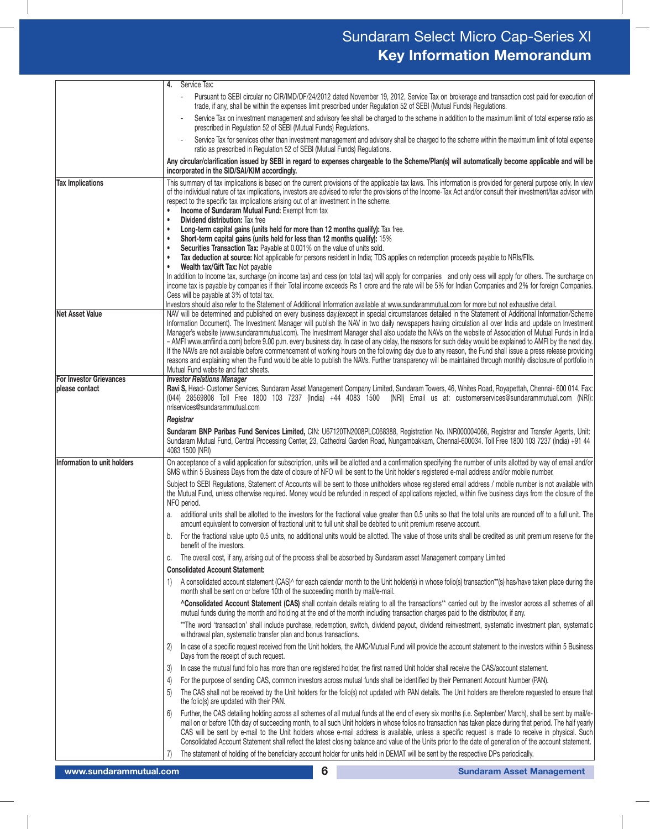|                                                  | 4. Service Tax:                                                                                                                                                                                                                                                                                                                                                                                                                                                                                                                                                                                                                                                                                                                                                                                                                                                                                                                                                                                                                                                                                                                                             |
|--------------------------------------------------|-------------------------------------------------------------------------------------------------------------------------------------------------------------------------------------------------------------------------------------------------------------------------------------------------------------------------------------------------------------------------------------------------------------------------------------------------------------------------------------------------------------------------------------------------------------------------------------------------------------------------------------------------------------------------------------------------------------------------------------------------------------------------------------------------------------------------------------------------------------------------------------------------------------------------------------------------------------------------------------------------------------------------------------------------------------------------------------------------------------------------------------------------------------|
|                                                  | Pursuant to SEBI circular no CIR/IMD/DF/24/2012 dated November 19, 2012, Service Tax on brokerage and transaction cost paid for execution of<br>trade, if any, shall be within the expenses limit prescribed under Regulation 52 of SEBI (Mutual Funds) Regulations.                                                                                                                                                                                                                                                                                                                                                                                                                                                                                                                                                                                                                                                                                                                                                                                                                                                                                        |
|                                                  | Service Tax on investment management and advisory fee shall be charged to the scheme in addition to the maximum limit of total expense ratio as<br>Ĭ.<br>prescribed in Regulation 52 of SEBI (Mutual Funds) Regulations.                                                                                                                                                                                                                                                                                                                                                                                                                                                                                                                                                                                                                                                                                                                                                                                                                                                                                                                                    |
|                                                  | Service Tax for services other than investment management and advisory shall be charged to the scheme within the maximum limit of total expense<br>ratio as prescribed in Regulation 52 of SEBI (Mutual Funds) Regulations.                                                                                                                                                                                                                                                                                                                                                                                                                                                                                                                                                                                                                                                                                                                                                                                                                                                                                                                                 |
|                                                  | Any circular/clarification issued by SEBI in regard to expenses chargeable to the Scheme/Plan(s) will automatically become applicable and will be<br>incorporated in the SID/SAI/KIM accordingly.                                                                                                                                                                                                                                                                                                                                                                                                                                                                                                                                                                                                                                                                                                                                                                                                                                                                                                                                                           |
| <b>Tax Implications</b>                          | This summary of tax implications is based on the current provisions of the applicable tax laws. This information is provided for general purpose only. In view<br>of the individual nature of tax implications, investors are advised to refer the provisions of the Income-Tax Act and/or consult their investment/tax advisor with<br>respect to the specific tax implications arising out of an investment in the scheme.<br>Income of Sundaram Mutual Fund: Exempt from tax<br>$\bullet$<br>Dividend distribution: Tax free<br>$\bullet$<br>$\bullet$<br>Long-term capital gains (units held for more than 12 months qualify): Tax free.<br>Short-term capital gains (units held for less than 12 months qualify): 15%<br>$\bullet$<br>Securities Transaction Tax: Payable at 0.001% on the value of units sold.<br>$\bullet$                                                                                                                                                                                                                                                                                                                           |
|                                                  | Tax deduction at source: Not applicable for persons resident in India; TDS applies on redemption proceeds payable to NRIs/FIIs.<br>$\bullet$<br>Wealth tax/Gift Tax: Not payable<br>In addition to Income tax, surcharge (on income tax) and cess (on total tax) will apply for companies and only cess will apply for others. The surcharge on<br>income tax is payable by companies if their Total income exceeds Rs 1 crore and the rate will be 5% for Indian Companies and 2% for foreign Companies.<br>Cess will be payable at 3% of total tax.                                                                                                                                                                                                                                                                                                                                                                                                                                                                                                                                                                                                       |
| <b>Net Asset Value</b>                           | Investors should also refer to the Statement of Additional Information available at www.sundarammutual.com for more but not exhaustive detail.<br>NAV will be determined and published on every business day (except in special circumstances detailed in the Statement of Additional Information/Scheme<br>Information Document). The Investment Manager will publish the NAV in two daily newspapers having circulation all over India and update on Investment<br>Manager's website (www.sundarammutual.com). The Investment Manager shall also update the NAVs on the website of Association of Mutual Funds in India<br>- AMFI www.amfiindia.com) before 9.00 p.m. every business day. In case of any delay, the reasons for such delay would be explained to AMFI by the next day.<br>If the NAVs are not available before commencement of working hours on the following day due to any reason, the Fund shall issue a press release providing<br>reasons and explaining when the Fund would be able to publish the NAVs. Further transparency will be maintained through monthly disclosure of portfolio in<br>Mutual Fund website and fact sheets. |
| <b>For Investor Grievances</b><br>please contact | <b>Investor Relations Manager</b><br>Ravi S, Head- Customer Services, Sundaram Asset Management Company Limited, Sundaram Towers, 46, Whites Road, Royapettah, Chennai- 600 014. Fax:<br>(044) 28569808 Toll Free 1800 103 7237 (India) +44 4083 1500 (NRI) Email us at: customerservices@sundarammutual.com (NRI):<br>nriservices@sundarammutual.com                                                                                                                                                                                                                                                                                                                                                                                                                                                                                                                                                                                                                                                                                                                                                                                                       |
|                                                  | Registrar<br>Sundaram BNP Paribas Fund Services Limited, CIN: U67120TN2008PLC068388, Registration No. INR000004066, Registrar and Transfer Agents, Unit:<br>Sundaram Mutual Fund, Central Processing Center, 23, Cathedral Garden Road, Nungambakkam, Chennal-600034. Toll Free 1800 103 7237 (India) +91 44<br>4083 1500 (NRI)                                                                                                                                                                                                                                                                                                                                                                                                                                                                                                                                                                                                                                                                                                                                                                                                                             |
| Information to unit holders                      | On acceptance of a valid application for subscription, units will be allotted and a confirmation specifying the number of units allotted by way of email and/or<br>SMS within 5 Business Days from the date of closure of NFO will be sent to the Unit holder's registered e-mail address and/or mobile number.<br>Subject to SEBI Regulations, Statement of Accounts will be sent to those unitholders whose registered email address / mobile number is not available with<br>the Mutual Fund, unless otherwise required. Money would be refunded in respect of applications rejected, within five business days from the closure of the<br>NFO period.                                                                                                                                                                                                                                                                                                                                                                                                                                                                                                   |
|                                                  | additional units shall be allotted to the investors for the fractional value greater than 0.5 units so that the total units are rounded off to a full unit. The<br>а.<br>amount equivalent to conversion of fractional unit to full unit shall be debited to unit premium reserve account.                                                                                                                                                                                                                                                                                                                                                                                                                                                                                                                                                                                                                                                                                                                                                                                                                                                                  |
|                                                  | For the fractional value upto 0.5 units, no additional units would be allotted. The value of those units shall be credited as unit premium reserve for the<br>b.<br>benefit of the investors.                                                                                                                                                                                                                                                                                                                                                                                                                                                                                                                                                                                                                                                                                                                                                                                                                                                                                                                                                               |
|                                                  | The overall cost, if any, arising out of the process shall be absorbed by Sundaram asset Management company Limited<br>C.<br><b>Consolidated Account Statement:</b>                                                                                                                                                                                                                                                                                                                                                                                                                                                                                                                                                                                                                                                                                                                                                                                                                                                                                                                                                                                         |
|                                                  | A consolidated account statement (CAS)^ for each calendar month to the Unit holder(s) in whose folio(s) transaction**(s) has/have taken place during the<br>1)<br>month shall be sent on or before 10th of the succeeding month by mail/e-mail.                                                                                                                                                                                                                                                                                                                                                                                                                                                                                                                                                                                                                                                                                                                                                                                                                                                                                                             |
|                                                  | ^Consolidated Account Statement (CAS) shall contain details relating to all the transactions** carried out by the investor across all schemes of all<br>mutual funds during the month and holding at the end of the month including transaction charges paid to the distributor, if any.                                                                                                                                                                                                                                                                                                                                                                                                                                                                                                                                                                                                                                                                                                                                                                                                                                                                    |
|                                                  | **The word 'transaction' shall include purchase, redemption, switch, dividend payout, dividend reinvestment, systematic investment plan, systematic<br>withdrawal plan, systematic transfer plan and bonus transactions.                                                                                                                                                                                                                                                                                                                                                                                                                                                                                                                                                                                                                                                                                                                                                                                                                                                                                                                                    |
|                                                  | In case of a specific request received from the Unit holders, the AMC/Mutual Fund will provide the account statement to the investors within 5 Business<br>$\mathbf{2}$<br>Days from the receipt of such request.                                                                                                                                                                                                                                                                                                                                                                                                                                                                                                                                                                                                                                                                                                                                                                                                                                                                                                                                           |
|                                                  | In case the mutual fund folio has more than one registered holder, the first named Unit holder shall receive the CAS/account statement.<br>3)<br>For the purpose of sending CAS, common investors across mutual funds shall be identified by their Permanent Account Number (PAN).<br>$\left( 4\right)$                                                                                                                                                                                                                                                                                                                                                                                                                                                                                                                                                                                                                                                                                                                                                                                                                                                     |
|                                                  | The CAS shall not be received by the Unit holders for the folio(s) not updated with PAN details. The Unit holders are therefore requested to ensure that<br>5)<br>the folio(s) are updated with their PAN.                                                                                                                                                                                                                                                                                                                                                                                                                                                                                                                                                                                                                                                                                                                                                                                                                                                                                                                                                  |
|                                                  | Further, the CAS detailing holding across all schemes of all mutual funds at the end of every six months (i.e. September/ March), shall be sent by mail/e-<br>mail on or before 10th day of succeeding month, to all such Unit holders in whose folios no transaction has taken place during that period. The half yearly<br>CAS will be sent by e-mail to the Unit holders whose e-mail address is available, unless a specific request is made to receive in physical. Such<br>Consolidated Account Statement shall reflect the latest closing balance and value of the Units prior to the date of generation of the account statement.                                                                                                                                                                                                                                                                                                                                                                                                                                                                                                                   |
|                                                  | The statement of holding of the beneficiary account holder for units held in DEMAT will be sent by the respective DPs periodically.<br>7                                                                                                                                                                                                                                                                                                                                                                                                                                                                                                                                                                                                                                                                                                                                                                                                                                                                                                                                                                                                                    |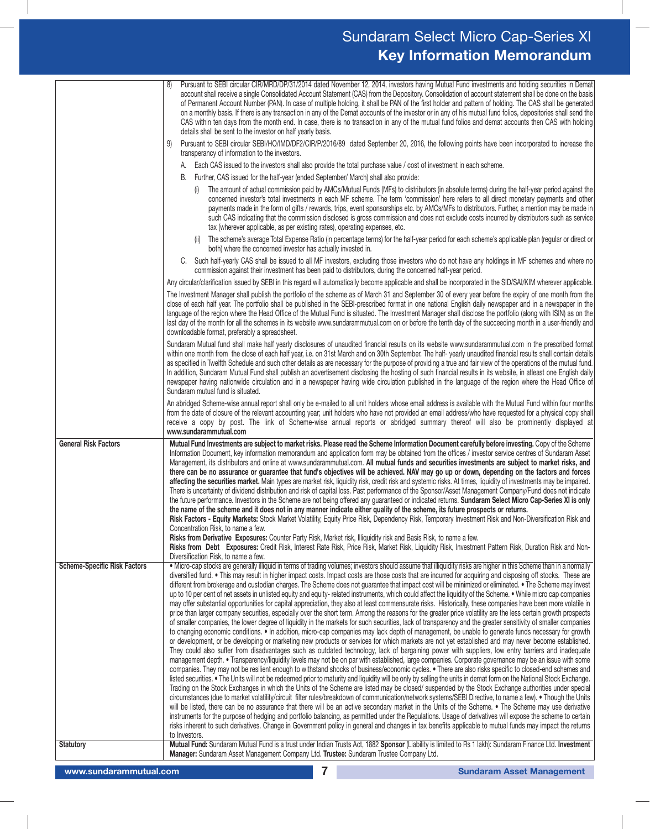|                                     | Pursuant to SEBI circular CIR/MRD/DP/31/2014 dated November 12, 2014, investors having Mutual Fund investments and holding securities in Demat<br>account shall receive a single Consolidated Account Statement (CAS) from the Depository. Consolidation of account statement shall be done on the basis<br>of Permanent Account Number (PAN). In case of multiple holding, it shall be PAN of the first holder and pattern of holding. The CAS shall be generated<br>on a monthly basis. If there is any transaction in any of the Demat accounts of the investor or in any of his mutual fund folios, depositories shall send the<br>CAS within ten days from the month end. In case, there is no transaction in any of the mutual fund folios and demat accounts then CAS with holding<br>details shall be sent to the investor on half yearly basis.                                                                                                                                                                                                                                                                                                                                                                                                                                                                                                                                                                                                                                                                                                                                                                                                                                                                                                                                                                                                                                                                                                                                                                                                                                                                                                                                                                                                                                                                                                                                                                                                                                                                                                                                                                                                                                                                                                                                                                                                                                                                                              |
|-------------------------------------|-------------------------------------------------------------------------------------------------------------------------------------------------------------------------------------------------------------------------------------------------------------------------------------------------------------------------------------------------------------------------------------------------------------------------------------------------------------------------------------------------------------------------------------------------------------------------------------------------------------------------------------------------------------------------------------------------------------------------------------------------------------------------------------------------------------------------------------------------------------------------------------------------------------------------------------------------------------------------------------------------------------------------------------------------------------------------------------------------------------------------------------------------------------------------------------------------------------------------------------------------------------------------------------------------------------------------------------------------------------------------------------------------------------------------------------------------------------------------------------------------------------------------------------------------------------------------------------------------------------------------------------------------------------------------------------------------------------------------------------------------------------------------------------------------------------------------------------------------------------------------------------------------------------------------------------------------------------------------------------------------------------------------------------------------------------------------------------------------------------------------------------------------------------------------------------------------------------------------------------------------------------------------------------------------------------------------------------------------------------------------------------------------------------------------------------------------------------------------------------------------------------------------------------------------------------------------------------------------------------------------------------------------------------------------------------------------------------------------------------------------------------------------------------------------------------------------------------------------------------------------------------------------------------------------------------------------------|
|                                     | Pursuant to SEBI circular SEBI/HO/IMD/DF2/CIR/P/2016/89 dated September 20, 2016, the following points have been incorporated to increase the<br>9)<br>transperancy of information to the investors.                                                                                                                                                                                                                                                                                                                                                                                                                                                                                                                                                                                                                                                                                                                                                                                                                                                                                                                                                                                                                                                                                                                                                                                                                                                                                                                                                                                                                                                                                                                                                                                                                                                                                                                                                                                                                                                                                                                                                                                                                                                                                                                                                                                                                                                                                                                                                                                                                                                                                                                                                                                                                                                                                                                                                  |
|                                     | Each CAS issued to the investors shall also provide the total purchase value / cost of investment in each scheme.<br>A.                                                                                                                                                                                                                                                                                                                                                                                                                                                                                                                                                                                                                                                                                                                                                                                                                                                                                                                                                                                                                                                                                                                                                                                                                                                                                                                                                                                                                                                                                                                                                                                                                                                                                                                                                                                                                                                                                                                                                                                                                                                                                                                                                                                                                                                                                                                                                                                                                                                                                                                                                                                                                                                                                                                                                                                                                               |
|                                     | Further, CAS issued for the half-year (ended September/ March) shall also provide:<br>В.                                                                                                                                                                                                                                                                                                                                                                                                                                                                                                                                                                                                                                                                                                                                                                                                                                                                                                                                                                                                                                                                                                                                                                                                                                                                                                                                                                                                                                                                                                                                                                                                                                                                                                                                                                                                                                                                                                                                                                                                                                                                                                                                                                                                                                                                                                                                                                                                                                                                                                                                                                                                                                                                                                                                                                                                                                                              |
|                                     | The amount of actual commission paid by AMCs/Mutual Funds (MFs) to distributors (in absolute terms) during the half-year period against the<br>concerned investor's total investments in each MF scheme. The term 'commission' here refers to all direct monetary payments and other<br>payments made in the form of gifts / rewards, trips, event sponsorships etc. by AMCs/MFs to distributors. Further, a mention may be made in<br>such CAS indicating that the commission disclosed is gross commission and does not exclude costs incurred by distributors such as service<br>tax (wherever applicable, as per existing rates), operating expenses, etc.                                                                                                                                                                                                                                                                                                                                                                                                                                                                                                                                                                                                                                                                                                                                                                                                                                                                                                                                                                                                                                                                                                                                                                                                                                                                                                                                                                                                                                                                                                                                                                                                                                                                                                                                                                                                                                                                                                                                                                                                                                                                                                                                                                                                                                                                                        |
|                                     | The scheme's average Total Expense Ratio (in percentage terms) for the half-year period for each scheme's applicable plan (regular or direct or<br>(ii)<br>both) where the concerned investor has actually invested in.                                                                                                                                                                                                                                                                                                                                                                                                                                                                                                                                                                                                                                                                                                                                                                                                                                                                                                                                                                                                                                                                                                                                                                                                                                                                                                                                                                                                                                                                                                                                                                                                                                                                                                                                                                                                                                                                                                                                                                                                                                                                                                                                                                                                                                                                                                                                                                                                                                                                                                                                                                                                                                                                                                                               |
|                                     | Such half-yearly CAS shall be issued to all MF investors, excluding those investors who do not have any holdings in MF schemes and where no<br>C.<br>commission against their investment has been paid to distributors, during the concerned half-year period.                                                                                                                                                                                                                                                                                                                                                                                                                                                                                                                                                                                                                                                                                                                                                                                                                                                                                                                                                                                                                                                                                                                                                                                                                                                                                                                                                                                                                                                                                                                                                                                                                                                                                                                                                                                                                                                                                                                                                                                                                                                                                                                                                                                                                                                                                                                                                                                                                                                                                                                                                                                                                                                                                        |
|                                     | Any circular/clarification issued by SEBI in this regard will automatically become applicable and shall be incorporated in the SID/SAI/KIM wherever applicable.<br>The Investment Manager shall publish the portfolio of the scheme as of March 31 and September 30 of every year before the expiry of one month from the<br>close of each half year. The portfolio shall be published in the SEBI-prescribed format in one national English daily newspaper and in a newspaper in the<br>language of the region where the Head Office of the Mutual Fund is situated. The Investment Manager shall disclose the portfolio (along with ISIN) as on the<br>last day of the month for all the schemes in its website www.sundarammutual.com on or before the tenth day of the succeeding month in a user-friendly and<br>downloadable format, preferably a spreadsheet.                                                                                                                                                                                                                                                                                                                                                                                                                                                                                                                                                                                                                                                                                                                                                                                                                                                                                                                                                                                                                                                                                                                                                                                                                                                                                                                                                                                                                                                                                                                                                                                                                                                                                                                                                                                                                                                                                                                                                                                                                                                                                 |
|                                     | Sundaram Mutual fund shall make half yearly disclosures of unaudited financial results on its website www.sundarammutual.com in the prescribed format<br>within one month from the close of each half year, i.e. on 31st March and on 30th September. The half- yearly unaudited financial results shall contain details<br>as specified in Twelfth Schedule and such other details as are necessary for the purpose of providing a true and fair view of the operations of the mutual fund.<br>In addition, Sundaram Mutual Fund shall publish an advertisement disclosing the hosting of such financial results in its website, in atleast one English daily<br>newspaper having nationwide circulation and in a newspaper having wide circulation published in the language of the region where the Head Office of<br>Sundaram mutual fund is situated.                                                                                                                                                                                                                                                                                                                                                                                                                                                                                                                                                                                                                                                                                                                                                                                                                                                                                                                                                                                                                                                                                                                                                                                                                                                                                                                                                                                                                                                                                                                                                                                                                                                                                                                                                                                                                                                                                                                                                                                                                                                                                            |
|                                     | An abridged Scheme-wise annual report shall only be e-mailed to all unit holders whose email address is available with the Mutual Fund within four months<br>from the date of closure of the relevant accounting year; unit holders who have not provided an email address/who have requested for a physical copy shall<br>receive a copy by post. The link of Scheme-wise annual reports or abridged summary thereof will also be prominently displayed at<br>www.sundarammutual.com                                                                                                                                                                                                                                                                                                                                                                                                                                                                                                                                                                                                                                                                                                                                                                                                                                                                                                                                                                                                                                                                                                                                                                                                                                                                                                                                                                                                                                                                                                                                                                                                                                                                                                                                                                                                                                                                                                                                                                                                                                                                                                                                                                                                                                                                                                                                                                                                                                                                 |
| <b>General Risk Factors</b>         | Mutual Fund Investments are subject to market risks. Please read the Scheme Information Document carefully before investing. Copy of the Scheme<br>Information Document, key information memorandum and application form may be obtained from the offices / investor service centres of Sundaram Asset<br>Management, its distributors and online at www.sundarammutual.com. All mutual funds and securities investments are subject to market risks, and<br>there can be no assurance or guarantee that fund's objectives will be achieved. NAV may go up or down, depending on the factors and forces<br>affecting the securities market. Main types are market risk, liquidity risk, credit risk and systemic risks. At times, liquidity of investments may be impaired.<br>There is uncertainty of dividend distribution and risk of capital loss. Past performance of the Sponsor/Asset Management Company/Fund does not indicate<br>the future performance. Investors in the Scheme are not being offered any quaranteed or indicated returns. Sundaram Select Micro Cap-Series XI is only<br>the name of the scheme and it does not in any manner indicate either quality of the scheme, its future prospects or returns.<br>Risk Factors - Equity Markets: Stock Market Volatility, Equity Price Risk, Dependency Risk, Temporary Investment Risk and Non-Diversification Risk and<br>Concentration Risk, to name a few.<br>Risks from Derivative Exposures: Counter Party Risk, Market risk, Illiquidity risk and Basis Risk, to name a few.<br>Risks from Debt Exposures: Credit Risk, Interest Rate Risk, Price Risk, Market Risk, Liquidity Risk, Investment Pattern Risk, Duration Risk and Non-<br>Diversification Risk, to name a few.                                                                                                                                                                                                                                                                                                                                                                                                                                                                                                                                                                                                                                                                                                                                                                                                                                                                                                                                                                                                                                                                                                                                                                                                 |
| <b>Scheme-Specific Risk Factors</b> | . Micro-cap stocks are generally illiquid in terms of trading volumes; investors should assume that illiquidity risks are higher in this Scheme than in a normally<br>diversified fund. . This may result in higher impact costs. Impact costs are those costs that are incurred for acquiring and disposing off stocks. These are<br>different from brokerage and custodian charges. The Scheme does not guarantee that impact cost will be minimized or eliminated. • The Scheme may invest<br>up to 10 per cent of net assets in unlisted equity and equity-related instruments, which could affect the liquidity of the Scheme. . While micro cap companies<br>may offer substantial opportunities for capital appreciation, they also at least commensurate risks. Historically, these companies have been more volatile in<br>price than larger company securities, especially over the short term. Among the reasons for the greater price volatility are the less certain growth prospects<br>of smaller companies, the lower degree of liquidity in the markets for such securities, lack of transparency and the greater sensitivity of smaller companies<br>to changing economic conditions. • In addition, micro-cap companies may lack depth of management, be unable to generate funds necessary for growth<br>or development, or be developing or marketing new products or services for which markets are not yet established and may never become established.<br>They could also suffer from disadvantages such as outdated technology, lack of bargaining power with suppliers, low entry barriers and inadequate<br>management depth. • Transparency/liquidity levels may not be on par with established, large companies. Corporate governance may be an issue with some<br>companies. They may not be resilient enough to withstand shocks of business/economic cycles. . There are also risks specific to closed-end schemes and<br>listed securities. . The Units will not be redeemed prior to maturity and liquidity will be only by selling the units in demat form on the National Stock Exchange.<br>Trading on the Stock Exchanges in which the Units of the Scheme are listed may be closed/ suspended by the Stock Exchange authorities under special<br>circumstances (due to market volatility/circuit filter rules/breakdown of communication/network systems/SEBI Directive, to name a few). . Though the Units<br>will be listed, there can be no assurance that there will be an active secondary market in the Units of the Scheme. • The Scheme may use derivative<br>instruments for the purpose of hedging and portfolio balancing, as permitted under the Regulations. Usage of derivatives will expose the scheme to certain<br>risks inherent to such derivatives. Change in Government policy in general and changes in tax benefits applicable to mutual funds may impact the returns<br>to Investors. |
| <b>Statutory</b>                    | Mutual Fund: Sundaram Mutual Fund is a trust under Indian Trusts Act, 1882 Sponsor (Liability is limited to Rs 1 lakh): Sundaram Finance Ltd. Investment<br>Manager: Sundaram Asset Management Company Ltd. Trustee: Sundaram Trustee Company Ltd.                                                                                                                                                                                                                                                                                                                                                                                                                                                                                                                                                                                                                                                                                                                                                                                                                                                                                                                                                                                                                                                                                                                                                                                                                                                                                                                                                                                                                                                                                                                                                                                                                                                                                                                                                                                                                                                                                                                                                                                                                                                                                                                                                                                                                                                                                                                                                                                                                                                                                                                                                                                                                                                                                                    |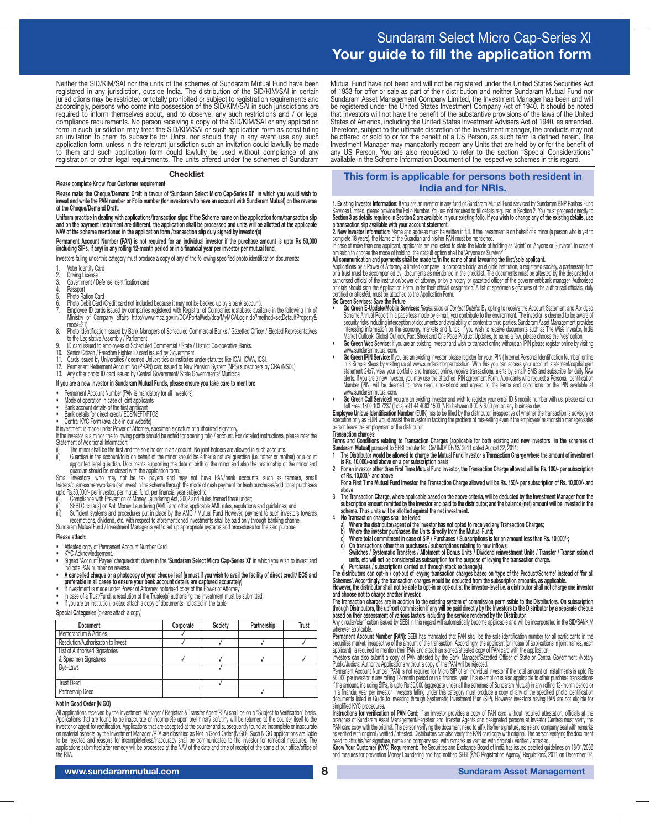#### Neither the SID/KIM/SAI nor the units of the schemes of Sundaram Mutual Fund have been<br>registered in any jurisdiction, outside India. The distribution of the SID/KIM/SAI in certain jurisdictions may be restricted or totally prohibited or subject to registration requirements and accordingly, persons who come into possession of the SID/KIM/SAI in such jurisdictions are required to inform themselves about, and to observe, any such restrictions and / or legal<br>compliance requirements. No person receiving a copy of the SID/KIM/SAI or any application form in such jurisdiction may treat the SID/KIM/SAI or such application form as constituting an invitation to them to subscribe for Units, nor should they in any event use any such application form, unless in the relevant jurisdiction such an invitation could lawfully be made to them and such application form could lawfully be used without compliance of any registration or other legal requirements. The units offered under the schemes of Sundaram

#### **Please complete Know Your Customer requirement**

Please make the Griegue/Demand Drait in lavour of Sundaram Select Micro Gap-Series Al " in which you would wish to<br>invest and write the PAN number or Folio number (for investors who have an account with Sundaram Mutual) on

**Checklist**

omitorin practice in dealing with applications transaction slips: in the Scheme hame on the application form/transaction slip<br>and on the payment instrument are different, the application shall be processed and units will b

Permanent Account Number (PAN) is not required for an individual investor if the purchase amount is upto Rs 50,000 (including SIPs, if any) in any rolling 12-month period or in a financial year per investor per mutual fund.

Investors falling underthis category must produce a copy of any of the following specified photo identification documents:

- Voter Identity Card
- 
- 2. Driving License<br>3. Government / I<br>4. Passnort Government / Defense identification card<br>Passport
- 4. Passport 5. Photo Ration Card
- 
- o. Prioto Debit Garo (Gredit card not included because it may not be backed up by a bank account).<br>7. Employee ID cards issued by companies registered with Registrar of Companies (database available in the following link o
- mode=31) 8. Photo Identification issued by Bank Managers of Scheduled Commercial Banks / Gazetted Officer / Elected Representatives to the Legislative Assembly / Parliament
- 
- 
- 9. ID card issued to employees of scirectional commercial 7 state 7 District Go-operative Bariks.<br>10. Senior Citizen / Freedom Fighter ID card issued by Government.<br>11. Cards issued by Universities / deemed Universities or
- 

#### **If you are a new investor in Sundaram Mutual Funds, please ensure you take care to mention:**

- Permanent Account Number (PAN is mandatory for all investors).
- 
- Mode of operation in case of joint applicants Bank account details of the first applicant
- 
- Bank details for direct credit/ ECS/NEFT/RTGS<br>• Central KYC Form (available in our website)
- If investment is made under Power of Attorney, specimen signature of authorized signatory.
- If the investor is a minor, the following points should be noted for opening folio / account. For detailed instructions, please refer the Statement of Additional Information:
- The minor shall be the first and the sole holder in an account. No joint holders are allowed in such accounts.
- ouargian in the accountrion on behan of the minor should be either a halural guardian (i.e. faither or mother) or a coun<br>appointed legal guardian. Documents supporting the date of birth of the minor and also the relationsh

guardian should be enclosed with the application form.<br>Small investors, who may not be tax payers and may not have PAN/bank accounts, such as farmers, small traders/businessmen/workers can invest in the scheme through the mode of cash payment for fresh purchases/additional purchases

- 
- 
- upto RS30,000/- per investor, per mutual lund, per imailical year suppect to:<br>(i) Compliance with Prevention of Money Laundering Act, 2002 and Rules framed there under;<br>(iii) SEBI Circular(s) on Anti Money Laundering (AML)

Sundaram Mutual Fund / Investment Manager is yet to set up appropriate systems and procedures for the said purpose **Please attach:**

- Attested copy of Permanent Account Number Card
- KYC Acknowledgement.
- Signed 'Account Payee' cheque/draft drawn in the **'Sundaram Select Micro Cap-Series XI'** in which you wish to invest and indicate PAN number on reverse.
- A cancelled cheque or a photocopy of your cheque leaf (a must if you wish to avail the facility of direct credit/ ECS and
- preferable in all cases to ensure your bank account details are captured accurately<br>If investment is made under Power of Attorney, notarised copy of the Power of Attorney
- In case of a Trust/Fund, a resolution of the Trustee(s) authorising the investment must be submitted.

#### If you are an institution, please attach a copy of documents indicated in the table:

**Special Categories** (please attach a copy)

| Document                           | Corporate | Society | Partnership | Trust |
|------------------------------------|-----------|---------|-------------|-------|
| Memorandum & Articles              |           |         |             |       |
| Resolution/Authorisation to Invest |           |         |             |       |
| List of Authorised Signatories     |           |         |             |       |
| & Specimen Signatures              |           |         |             |       |
| Bye-Laws                           |           |         |             |       |
|                                    |           |         |             |       |
| <b>Trust Deed</b>                  |           |         |             |       |
| Partnership Deed                   |           |         |             |       |

#### **Not In Good Order (NIGO)**

All applications that are found to be inaccurate or incomplete upon preliminary scrutiny will be one and subsequently to the counter itself to the<br>Applications that are found to be inaccurate or incomplete upon preliminar the RTA.

### Sundaram Select Micro Cap-Series XI **Your guide to fill the application form**

Mutual Fund have not been and will not be registered under the United States Securities Act<br>of 1933 for offer or sale as part of their distribution and neither Sundaram Mutual Fund nor Sundaram Asset Management Company Limited, the Investment Manager has been and will be registered under the United States Investment Company Act of 1940. It should be noted that Investors will not have the benefit of the substantive provisions of the laws of the United States of America, including the United States Investment Advisers Act of 1940, as amended. Therefore, subject to the ultimate discretion of the Investment manager, the products may not be offered or sold to or for the benefit of a US Person, as such term is defined herein. The Investment Manager may mandatorily redeem any Units that are held by or for the benefit of<br>any US Person. You are also requested to refer to the section "Special Considerations" available in the Scheme Information Document of the respective schemes in this regard.

### **This form is applicable for persons both resident in India and for NRIs.**

1. Existing investor information: if you are an investor in any fund of Sundafam Mutual Fund serviced by Sundafam BNF Pandas Fund<br>Services Limited, please provide the Folio Number. You are not required to fill details requ Section 3 as details required in Section 2 are available in your existing folio. If you wish to change any of the existing details, use

a uansacuon sup available with your account statement.<br>2. New Investor Information: Name and address must be written in full. If the investment is on behalf of a minor (a person who is yet to<br>complete 18 years), the Name o

In case of more than one applicant, applicants are requested to state the Mode of holding as 'Joint' or 'Anyone or Survivor'. In case of more than one applicant, applicants are requested to state the Mode of holding as 'Jo

on solid communication and payments shall be made to fin the name of and favouring the first/sole applicant.<br>All communication and payments shall be made to fin the name of and favouring the first/sole applicant.<br>Applicati certified or attested, must be attached to the Application Form. **Go Green Services: Save the Future**

- Go Green E-update/mobile Services: registration of contact betails: by opting to receive the Account Statement and Abridgeo<br>Scheme Annual Report in a paperless mode by e-mail, you contribute to the environment. The investo Security risks including intervelyible reconcility in the economic intervel. In the process interesting information on the economy, markets and funds. If you wish to receive documents such as The Wise Investor, Indianal Ma
- 
- Was uniqualized until the second of the second of the second of the second in the second in Simple Steps (School and an existing investor, please register for your IPIN (Internet Personal Identification Number) online in 3 Number (PIN) will be deemed to have read, understood and agreed to the terms and conditions for the PIN available at<br>www.sundarammutual.com.
- Was an existing investor and wish to register your email ID & mobile number with us, please call our<br>Toll Free: 1800 103 7237 (India) +91 44 4083 1500 (NRI) between 9.00 & 6.00 pm on any business day.<br> **Employee Unique Ide**
- person leave the employment of the distributor. **Transaction charges:**

- e erris and Conductors relating to Transaction United Supportation of Dout existing and thew investors in the schemes of<br>Sundaram Mutual pursuant to SEBI circular No. Cir/ IMD/ DF/13/ 2011 dated August 22, 2011:<br>1 The Dist
- 2 For an investor other than First Time Mutual Fund Investor, the Transaction Charge allowed will be Rs. 100/- per subscription **of Rs. 10,000/- and above**
- For a First Time Mutual Fund Investor, the Transaction Charge allowed will be Rs. 150/- per subscription of Rs. 10,000/- and
- above<br>3 The Transaction Charge, where applicable based on the above criteria, will be deducted by the Investment Manager from the<br>subscription amount remitted by the Investor and paid to the distributor; and the balance (n
- 
- 
- 
- 4 No Transaction charges shall be levied:<br>a) Where the distributor/agent of the investor has not opted to received any Transaction Charges;<br>b) Where the investor purchases the Units directly from the Mutual Fund;<br>c) Where
- - a) On transactions other than purchases / subscriptions relating to new inflows.<br>Switches / Systematic Transfers / Allotment of Bonus Units / Dividend reinvestment Units / Transfer / Transmission of

e)<br>e) Purchases / subscriptions carried as substripution for the purpose of levying the transaction charge.<br>The distributors can opt-in / opt-out of levying transaction charges based on 'type of the Product/Scheme' instead

and choose not to charge another investor.<br>The transaction charges are in addition to the existing system of commission permissible to the Distributors. On subscription<br>through Distributors, the upfront commission if any w

wherever applicable.<br>Permanent Account Number (PAN): SEBI has mandated that PAN shall be the sole identification number for all participants in the

**Perminent Account Number (PAN):** Stell risk manuateur unit Prays site to the sole tremuncture in turning and the streament and the streament product and applicant), is required to mention their PAN and attach an signed/at

**Instructions for verification of PAN Card:** If an investor provides a copy of PAN card without required attestation, officials at the prancies of Sundaram Asset Management/Registrar and Transfer Agents and designated persons at investor Gentes must verify the<br>PAN card copy with the original. The person verifying the document need to affix his/her signatu as venned with original / venned / attested. Distributors can also venly the PAN card copy with original. The person ventying the document<br>need to affix his/her signature, name and company seal with remarks as verified wit

**Know four Customer (KTC) Requirement:** The Securities and Exchange Board of mola has issued detailed guidelines on Torot/Zudd<br>and mesures for prevention Money Laundering and had notified SEBI (KYC Registration Agency) Reg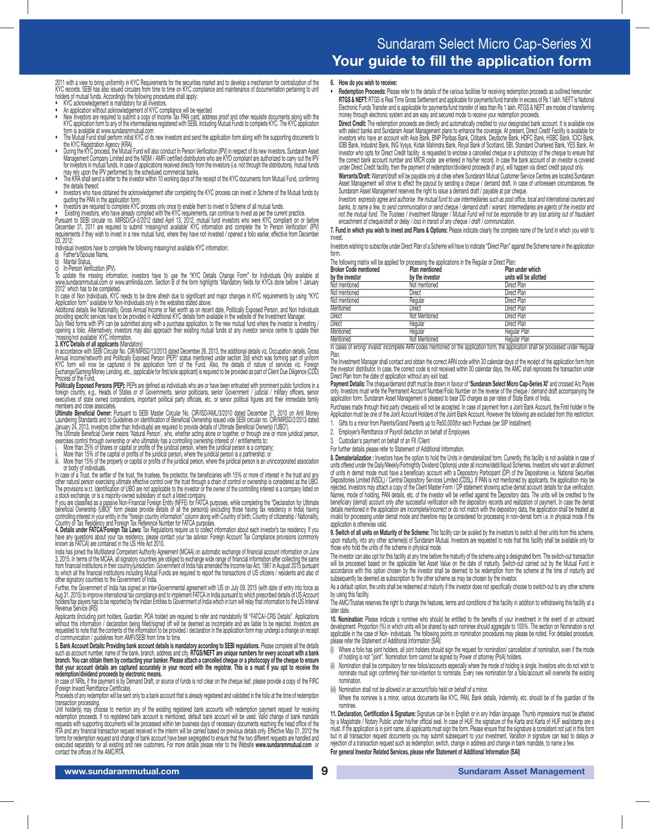- KYC acknowledgement is mandatory for all investors. An application without acknowledgement of KYC compliance will be rejected
- 
- Rew investors are required to submite a copy of income has PAN card, address proof and other requisite documents along with the<br>KYC application form to any of the intermediaries registered with SEBI, including Mutual Funds
- form is available at www.sundarammutual.com<br>• The Mutual Fund shall perform initial KYC of its new investors and send the application form along with the supporting documents to<br>• The KYC Registration Agency (KRA).
- During the KTC process, the Mulual Fund Will also conduct in Person vehication (IPV) in respect of its new investors. Sundarant Asset<br>Management Company Limited and the NISM / AMFI certified distributors who are KYD comp for investors in mutual funds. In case of applications received directly from the investors (i.e. not through the distributors), mutual funds<br>may rely upon the IPV performed by the scheduled commercial banks.
- The KRA shall send a letter to the investor within 10 working days of the receipt of the KYC documents from Mutual Fund, confirming the details thereof.
- Investors who have obtained the acknowledgement after completing the KYC process can invest in Scheme of the Mutual funds by quoting the PAN in the application form.
- Investors are required to complete KYC process only once to enable them to invest in Scheme of all mutual funds.
- 

" Existing investors, who have already complied with the Torelunterments, can continue to invest as bet the current plactice.<br>Pursuant to SEBI circular no. MIRSD/Cir-5/2012 dated April 13, 2012, mutual fund investors who w requirements if they wish to invest in a new mutual fund, where they have not invested / opened a folio earlier, effective from December<br>03, 2012:

Individual investors have to complete the following missing/not available KYC information:

- a) Father's/Spouse Name<br>b) Marital Status
- 

o) miaritai Status,<br>6) In-Person Verification (IPV).<br>To update the missing information, investors have to use the "KYC Details Change Form" for Individuals Only available at<br>To update the missing information, investors hav

2012' which has to be completed. In case of Non Individuals, KYC needs to be done afresh due to significant and major changes in KYC requirements by using "KYC Application form available for Non-Individuals only in the websites stated above.<br>Additional details like Nationality, Gross Annual Income or Net worth as on recent date, Politically Exposed Person, and Non Individuals

providing specific services have to be provided in Additional KTC details form available in the website of the investment manager.<br>Duly filled forms with IPV can be submitted along with a purchase application, to the new m opening a folio. Alternatively, investors may also approach their existing mutual funds at any investor service centre to update their 'missing/not available' KYC information.

S. THO DEVENTS OF AN APPORTMENT WARKED MONDIALITY OF A CONSIDENT AND A CONDIGIONAL SURFACT AND A CONDIGIOUSLY S<br>In accordance with SEBI Circular No. CIRMINSD/13/2013 dated December 26, 2013, the additional details viz. Occ Process of the Fund.

Ponucany Exposed Persons (PEP): PEPS are defined as individuals who are or have been entrusted with prominent public functions in a<br>foreign country, e.g., Heads of States or of Governments, senior politicians, senior Gover executives of state owned corporations, important political party officials, etc. or senior political figures and their immediate family<br>members and close associates.

nieniueis aliu ciose associates.<br>Ultimate Beneficial Owner: Pursuant to SEBI Master Circular No. CIR/ISD/AML/3/2010 dated December 31, 2010 on Anti Money<br>Laundering Standards and to Guidelines on identification of Benefici

The Olumate Behelicial Owner means "valural Person", who, whether acting alone or together, or through one or more jundical person,<br>exercises control through ownership or who ultimately has a controlling ownership interest

ii. More than 15% of the capital or profits of the jundical person, where the jundical person is a partnership, or<br>iii. More than 15% of the property or capital or profits of the juridical person, where the juridical perso or body of individuals.

In case of a Trust, the settler of the trust, the trustees, the protector, the beneficiaries with 15% or more of interest in the trust and a oner natural person exercising unimate enective control over the trust unough a chain of control or ownership is considered as the OBO.<br>The provisions w.r.t. Identification of UBO are not applicable to the investor or the

a stock excitainge, or is a inalgony-owned substanting of such a fisted company.<br>If you are classified as a passive Non-Financial Foreign Entity (NFFE) for FATCA purposes, while completing the "Declaration for Ultimate<br>ben

**4. Details under FATCA/Foreign Tax Laws:** Tax Regulations require us to collect information about each investor's tax residency. If you<br>have any questions about your tax residency, please contact your tax advisor. Foreign known as FATCA) are contained in the US Hire Act 2010.

mala nas joined the multilateral Competent Audionty Agreement (MCAA) on automatic excriange of imancial account imormation on June<br>3, 2015. In terms of the MCAA, all signatory countries are obliged to exchange wide range o from infancial insulutions in their countryjuristiction. Government of india has amended the income-tax ACt, 1961 in August 2013 pursuant<br>to which all the financial institutions including Mutual Funds are required to repor other signatory countries to the Government of India.

Further, the Government of mula has signed an inter-Governmental agreement with OS on July 09, 2015 (with date of entry into force as<br>Aug 31, 2015) to improve international tax compliance and to implement FATCA in India pu holders/tax payers has to be reported by the Indian Entities to Government of India which in turn will relay that information to the US Interval Revenue Service (IRS)

Applicants (including joint holders, quardian, FOR holder) are required to reler and mandatomy ilir FRIGA-GRS Details . Applications<br>without this information / declaration being filled/signed off will be deemed as incomple of communication / guidelines from AMFI/SEBI from time to time.

o. Bank Account Details: Providing bank account details is mandatory according to SEBI regulations. Please complete all the details<br>such as account number, name of the bank, branch, address and city. RTGS/NEFT are unique n pranch, rou can obtain them by contacting your banker. Please attach a cancelled cheque or a photocopy of the cheque to ensure<br>that your account details are captured accurately in your record with the registrar. This is a **redemption/dividend proceeds by electronic means.**

in case of ivinis, if the payment is by Demand Draft, or source of funds is not clear on the cheque leaf, please provide a copy of the FIRC<br>(Foreign Inward Remittance Certificate).

Proceeds of any redemption will be sent only to a bank account that is already registered and validated in the folio at the time of redemption

ransacuon processing.<br>Unit holder(s) may choose to mention any of the existing registered bank accounts with redemption payment request for receiving<br>redemption proceeds. If no registered bank account is mentioned, default requests with supporting accuments will be processed within ten business days or necessary accuments reaching the nead once or the<br>FITA and any financial transaction request received in the interim will be carried based on executed separately for all existing and new customers. For more details please refer to the website **www.sundarammutual.com** or<br>contact the offices of the AMC/RTA.

#### **6. How do you wish to receive:**

**• Redemption Proceeds:** Please refer to the details of the various facilities for receiving redemption proceeds as outlined hereunder: **RTGS & NEFT:** RTGS is Real Time Gross Settlement and applicable for payments/fund transfer in excess of Rs 1 lakh. NEFT is National Electronic Funds Transfer and is applicable for payments/fund transfer of less than Rs 1 lakh. RTGS & NEFT are modes of transferring money through electronic system and are easy and secured mode to receive your redemption proceeds.

**Your guide to fill the application form**

Sundaram Select Micro Cap-Series XI

**Direct Credit:** The redemption proceeds are directly and automatically credited to your designated bank account. It is available now with select banks and sundarant Asset management plans to emance the coverage. At present, bifect credit rachity is available for<br>investors who have an account with Axis Bank, BNP Paribas Bank, Citibank, Deutsche Bank, HDF IDBI Bank, IndusInd Bank, ING Vysya, Kotak Mahindra Bank, Royal Bank of Scotland, SBI, Standard Chartered Bank, YES Bank. An investor who opts for Direct Credit facility is requested to enclose a cancelled cheque or a photocopy of the cheque to ensure that the correct bank account number and MICR code are entered in his/her record. In case the bank account of an investor is covered under Direct Credit facility, then the payment of redemption/dividend proceeds (if any), will happen via direct credit payout only.

**Warrants/Draft:** Warrant/draft will be payable only at cities where Sundaram Mutual Customer Service Centres are located.Sundaram Asset Management will strive to effect the payout by sending a cheque / demand draft. In case of unforeseen circumstances, the<br>Sundaram Asset Management reserves the right to issue a demand draft / payable at par cheque.

Investors expressly agree and authorise the mutual fund to use intermediaries such as post office, local and international couriers and banks, to name a few, to send communication or send cheque / demand draft / warrant. Intermediaries are agents of the investor and not the mutual fund. The mustees / investment manager / mutual rund min not be responsible for any loss ansing out of nationalm<br>encashment of chequeldraft or delay / loss in transit of any cheque / draft / communication.

**7. Fund in which you wish to invest and Plans & Options:** Please indicate clearly the complete name of the fund in which you wish to invest.

Investors wishing to subscribe under Direct Plan of a Scheme will have to indicate "Direct Plan" against the Scheme name in the application form.

The following matrix will be applied for processing the applications in the Regular or Direct Plan: **Broker Code mentioned Plan mentioned Plan under which**

| <b>PRODUCT DUGLISHED IN A</b><br>by the investor | , ши примони<br>by the investor | <u>. IUII VIIUVI 11IIUII</u><br>units will be allotted |
|--------------------------------------------------|---------------------------------|--------------------------------------------------------|
| Not mentioned                                    | Not mentioned                   | Direct Plan                                            |
| Not mentioned                                    | Direct                          | Direct Plan                                            |
| Not mentioned                                    | Regular                         | Direct Plan                                            |
| Mentioned                                        | Direct                          | Direct Plan                                            |
| <b>Direct</b>                                    | Not Mentioned                   | Direct Plan                                            |
| <b>Direct</b>                                    | Regular                         | Direct Plan                                            |
| Mentioned                                        | Regular                         | Regular Plan                                           |
| Mentioned                                        | Not Mentioned                   | Regular Plan                                           |

In cases of wrong/ invalid/ incomplete ARN codes mentioned on the application form, the application shall be processed under Regular

Plan. The Investment Manager shall contact and obtain the correct ARN code within 30 calendar days of the receipt of the application form from the investor/ distributor. In case, the correct code is not received within 30 calendar days, the AMC shall reprocess the transaction under Direct Plan from the date of application without any exit load.

**Payment Details:** The cheque/demand draft must be drawn in favour of **'Sundaram Select Micro Cap-Series XI'** and crossed A/c Payee only, invesiors must write the Permanent Account ivuritier/Polio ivuritiber on the reverse of the cheque / demand crait accompanying the<br>application form. Sundaram Asset Management is pleased to bear DD charges as per rate

Purchases made inrough unru party cheque(s) will not be accepted. In case of payment from a Joint Bank Account, the First holder in the<br>Application must be one of the Joint Account Holders of the Joint Bank Account. Howeve

Gifts to a minor from Parents/Grand Parents up to Rs50,000(for each Purchase /per SIP Installment)

2. Employer's Remittance of Payroll deduction on behalf of Employees

3. Custodian's payment on behalf of an FII /Client

For further details please refer to Statement of Additional Information.

**6. Dematerialization :** investors nave the option to noti the Units in dematerialized form. Currently, this facility is not available in case o<br>units offered under the Daily/Weekly/Forthightly Dividend Option(s) under all Depositones Emmed (NSDE) / Gentral Depository Services Emmed (GDSE). If PAN is not memoried by applicants, the application may be<br>rejected. Investors may attach a copy of the Client Master Form / DP statement showing activ Names, mode of holding, PAN details, etc. of the investor will be verified against the Depository data. The units will be credited to the beneficiary (demat) account only after successful verification with the depository records and realization of payment. In case the demat details mentioned in the application are incomplete/incorrect or do not match with the depository data, the application shall be treated as invalid for processing under demat mode and therefore may be considered for processing in non-demat form i.e. in physical mode if the application is otherwise valid.

**9. Switch of all units on Maturity of the Scheme:** This facility can be availed by the investors to switch all their units from this scheme, upon maturity, into any other scheme(s) of Sundaram Mutual. Investors are requested to note that this facility shall be available only for<br>those who hold the units of the scheme in physical mode.

The investor can also opt for this lacinty at any time before the maturity of the scrieme using a designated form. The switch-out transaction<br>will be processed based on the applicable Net Asset Value on the date of maturit accordance with this option chosen by the investor shall be deemed to be redemption from the scheme at the time of maturity and subsequently be deemed as subscription to the other scheme as may be chosen by the investor.

As a default option, the units shall be redeemed at maturity if the investor does not specifically choose to switch-out to any other scheme by using this facility.

The AMC/Trustee reserves the right to change the features, terms and conditions of this facility in addition to withdrawing this facility at a later date.

**10. Nomination:** Please indicate a nominee who should be entitled to the benefits of your investment in the event of an untoward development. Proportion (%) in which units will be shared by each nominee should aggregate to 100%. The section on Nomination is not applicable in the case of Non- individuals. The following points on nomination procedures may please be noted. For detailed procedure, please refer the Statement of Additional Information (SAI):

- (i) Where a folio has joint holders, all joint holders should sign the request for nomination/ cancellation of nomination, even if the mode of holding is not "joint". Nomination form cannot be signed by Power of attorney (PoA) holders.
- (ii) Nomination shall be compulsory for new folios/accounts especially where the mode of holding is single. Investors who do not wish to nominate must sign confirming their non-intention to nominate. Every new nomination for a folio/account will overwrite the existing nomination.
- (iii) Nomination shall not be allowed in an account/folio held on behalf of a minor. Where the nominee is a minor, various documents like KYC, PAN, Bank details, Indemnity, etc. should be of the guardian of the

nominee.

11. Declaration, Certincation & Signature: Signature can be in English or in any indian language. Thumb impressions must be attested<br>by a Magistrate / Notary Public under his/her official seal. In case of HUF, the signatur must. If the application is in joint name, all applicants must sign the form. Please ensure that the signature is consistent not just in this form out in all transaction request documents you may submit subsequent to your investment. variation in signature can lead to delays of<br>rejection of a transaction request such as redemption, switch, change in address and chang **For general Investor Related Services, please refer Statement of Additional Information (SAI)**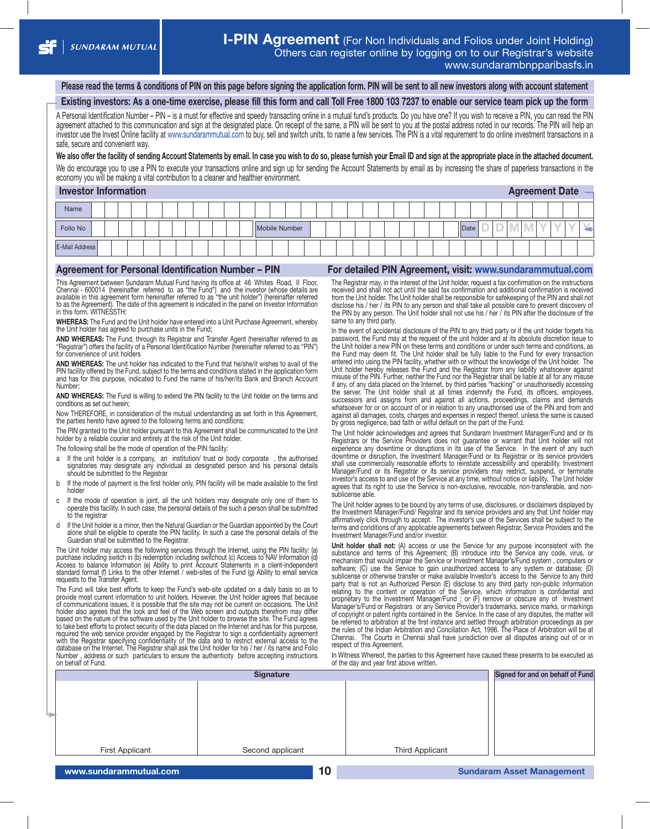

Please read the terms & conditions of PIN on this page before signing the application form. PIN will be sent to all new investors along with account statement

Existing investors: As a one-time exercise, please fill this form and call Toll Free 1800 103 7237 to enable our service team pick up the form

A Personal Identification Number – PIN – is a must for effective and speedy transacting online in a mutual fund's products. Do you have one? If you wish to receive a PIN, you can read the PIN agreement attached to this communication and sign at the designated place. On receipt of the same, a PIN will be sent to you at the postal address noted in our records. The PIN will help an investor use the Invest Online facility at <www.sundarammutual.com> to buy, sell and switch units, to name a few services. The PIN is a vital requirement to do online investment transactions in a safe, secure and convenient way.

#### We also offer the facility of sending Account Statements by email. In case you wish to do so, please furnish your Email ID and sign at the appropriate place in the attached document.

We do encourage you to use a PIN to execute your transactions online and sign up for sending the Account Statements by email as by increasing the share of paperless transactions in the economy you will be making a vital contribution to a cleaner and healthier environment.

#### **Investor Information Agreement Date**

| .              | ___ | ____ |  |  |  |  |               |  |  |  |  |  |      |  | ັ | __ |  |   |
|----------------|-----|------|--|--|--|--|---------------|--|--|--|--|--|------|--|---|----|--|---|
| Name           |     |      |  |  |  |  |               |  |  |  |  |  |      |  |   |    |  |   |
| Folio No       |     |      |  |  |  |  | Mobile Number |  |  |  |  |  | Date |  |   |    |  | ┳ |
| E-Mail Address |     |      |  |  |  |  |               |  |  |  |  |  |      |  |   |    |  |   |

This Agreement between Sundaram Mutual Fund having its office at 46 Whites Road, TL Floor,<br>Chennai - 600014 (hereinafter referred to as "the Fund") and the investor (whose details are<br>available in this agreement form herei to as the Agreement). The date of this agreement is indicated in the panel on Investor Information in this form. WITNESSTH:

**WHEREAS:** The Fund and the Unit holder have entered into a Unit Purchase Agreement, whereby the Unit holder has agreed to purchase units in the Fund;

**AND WHEREAS:** The Fund, through its Registrar and Transfer Agent (hereinafter referred to as "Registrar") offers the facility of a Personal Identification Number (hereinafter referred to as "PIN") for convenience of unit holders

**AND WHEREAS:** The unit holder has indicated to the Fund that he/she/it wishes to avail of the PIN facility offered by the Fund, subject to the terms and conditions stated in the application form<br>and has for this purpose, indicated to Fund the name of his/her/its Bank and Branch Account Number;

**AND WHEREAS:** The Fund is willing to extend the PIN facility to the Unit holder on the terms and conditions as set out herein;

Now THEREFORE, in consideration of the mutual understanding as set forth in this Agreement, the parties hereto have agreed to the following terms and conditions:

The PIN granted to the Unit holder pursuant to this Agreement shall be communicated to the Unit holder by a reliable courier and entirely at the risk of the Unit holder.

The following shall be the mode of operation of the PIN facility

- a If the unit holder is a company, an institution/ trust or body corporate , the authorised signatories may designate any individual as designated person and his personal details<br>should be submitted to the Registrar
- b If the mode of payment is the first holder only, PIN facility will be made available to the first holder
- c If the mode of operation is joint, all the unit holders may designate only one of them to operate this facility. In such case, the personal details of the such a person shall be submitted to the registrar
- d If the Unit holder is a minor, then the Natural Guardian or the Guardian appointed by the Court alone shall be eligible to operate the PIN facility. In such a case the personal details of the Guardian shall be submitted to the Registrar.

The Unit holder may access the following services through the Internet, using the PIN facility: (a) purchase including switch in (b) redemption including switchout (c) Access to NAV Information (d)<br>Access to balance Information (e) Ability to print Account Statements in a client-independent<br>standard format (f) Links to t requests to the Transfer Agent.

The Fund will take best efforts to keep the Fund's web-site updated on a daily basis so as to provide most current information to unit holders. However, the Unit holder agrees that because of communications issues, it is possible that the site may not be current on occasions. The Unit holder also agrees that the look and feel of the Web screen and outputs therefrom may differ based on the nature of the software used by the Unit holder to browse the site. The Fund agrees to take best efforts to protect security of the data placed on the Internet and has for this purpose,<br>required the web service provider engaged by the Registrar to sign a confidentiality agreement with the Registrar specifying confidentiality of the data and to restrict external access to the<br>database on the Internet. The Registrar shall ask the Unit holder for his / her / its name and Folio Number , address or such particulars to ensure the authenticity before accepting instructions<br>on behalf of Fund.

**Agreement for Personal Identification Number – PIN For detailed PIN Agreement, visit: <www.sundarammutual.com>**

The Registrar may, in the interest of the Unit holder, request a fax confirmation on the instructions received and shall not act until the said fax confirmation and additional confirmation is received from the Unit holder. The Unit holder shall be responsible for safekeeping of the PIN and shall not disclose his / her / its PIN to any person and shall take all possible care to prevent discovery of the PIN by any person. The Unit holder shall not use his / her / its PIN after the disclosure of the same to any third party.

In the event of accidental disclosure of the PIN to any third party or if the unit holder forgets his password, the Fund may at the request of the unit holder and at its absolute discretion issue to<br>the Unit holder a new PIN on these terms and conditions or under such terms and conditions, as the Fund may deem fit. The Unit holder shall be fully liable to the Fund for every transaction entered into using the PIN facility, whether with or without the knowledge of the Unit holder. The Unit holder hereby releases the Fund and the Registrar from any liability whatsoever against misuse of the PIN. Further, neither the Fund nor the Registrar shall be liable at all for any misuse if any, of any data placed on the Internet, by third parties "hacking" or unauthorisedly accessing the server. The Unit holder shall at all times indemnify the Fund, its officers, employees, successors and assigns from and against all actions, proceedings, claims and demands whatsoever for or on account of or in relation to any unauthorised use of the PIN and from and against all damages, costs, charges and expenses in respect thereof, unless the same is caused by gross negligence, bad faith or wilful default on the part of the Fund.

The Unit holder acknowledges and agrees that Sundaram Investment Manager/Fund and or its Registrars or the Service Providers does not guarantee or warrant that Unit holder will not<br>experience any downtime or disruptions in its use of the Service. In the event of any such downtime or disruption, the Investment Manager/Fund or its Registrar or its service providers shall use commercially reasonable efforts to reinstate accessibility and operability. Investment Manager/Fund or its Registrar or its service providers may restrict, suspend, or terminate investor's access to and use of the Service at any time, without notice or liability. The Unit holder agrees that its right to use the Service is non-exclusive, revocable, non-transferable, and non sublicense able.

The Unit holder agrees to be bound by any terms of use, disclosures, or disclaimers displayed by the Investment Manager/Fund/ Registrar and its service providers and any that Unit holder may<br>affirmatively click through to accept. The investor's use of the Services shall be subject to the terms and conditions of any applicable agreements between Registrar, Service Providers and the Investment Manager/Fund and/or investor.

**Unit holder shall not:** (A) access or use the Service for any purpose inconsistent with the substance and terms of this Agreement; (B) introduce into the Service any code, virus, or<br>mechanism that would impair the Service or Investment Manager's/Fund system , computers or software; (C) use the Service to gain unauthorized access to any system or database; (D) sublicense or otherwise transfer or make available Investor's access to the Service to any third party that is not an Authorized Person (E) disclose to any third party non-public information relating to the content or operation of the Service, which information is confidential and proprietary to the Investment Manager/Fund ; or (F) remove or obscure any of Investment Managers/Fund or Registrars or any Service Provider's trademarks, service marks, or markings<br>of copyright or patent rights contained in the Service. In the case of any disputes, the matter will<br>be referred to arbitration a Chennai. The Courts in Chennai shall have jurisdiction over all disputes arising out of or in respect of this Agreement.

In Witness Whereof, the parties to this Agreement have caused these presents to be executed as of the day and year first above written.

|                        | <b>Signature</b> |                        | Signed for and on behalf of Fund |
|------------------------|------------------|------------------------|----------------------------------|
|                        |                  |                        |                                  |
|                        |                  |                        |                                  |
|                        |                  |                        |                                  |
|                        |                  |                        |                                  |
|                        |                  |                        |                                  |
| <b>First Applicant</b> | Second applicant | <b>Third Applicant</b> |                                  |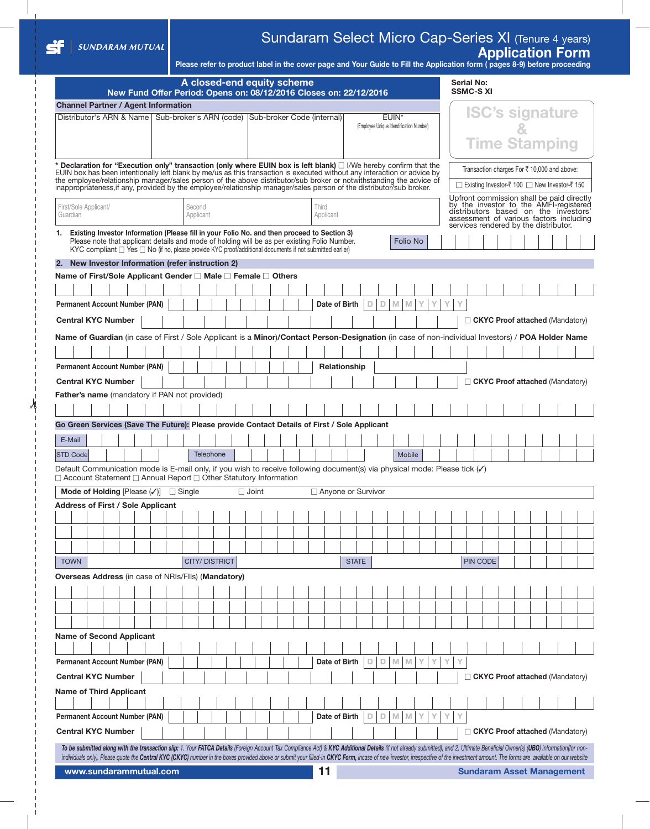| <u>a ma</u> | $\leftarrow$ SUNDARAM MUTUA |  |
|-------------|-----------------------------|--|
|             |                             |  |

 $\lambda$ 

### Sundaram Select Micro Cap-Series XI (Tenure 4 years) **Application Form**

Please refer to product label in the cover page and Your Guide to Fill the Application form ( pages 8-9) before proceeding

| New Fund Offer Period: Opens on: 08/12/2016 Closes on: 22/12/2016<br><b>Channel Partner / Agent Information</b><br><b>ISC's signature</b><br>Distributor's ARN & Name   Sub-broker's ARN (code)   Sub-broker Code (internal)<br>EUIN*<br>(Employee Unique Idendification Number)<br><b>Time Stamping</b><br>Declaration for "Execution only" transaction (only where EUIN box is left blank) □ I/We hereby confirm that the<br>Transaction charges For ₹10,000 and above:<br>EUIN box has been intentionally left blank by me/us as this transaction is executed without any interaction or advice by<br>the employee/relationship manager/sales person of the above distributor/sub broker or notwithstanding the advice of<br>□ Existing Investor-₹ 100 □ New Investor-₹ 150<br>inappropriateness, if any, provided by the employee/relationship manager/sales person of the distributor/sub broker.<br>Upfront commission shall be paid directly<br>by the investor to the AMFI-registered<br>First/Sole Applicant/<br>Second<br>Third<br>distributors based on the investors'<br>Guardian<br>Applicant<br>Applicant<br>assessment of various factors including<br>services rendered by the distributor.<br>Existing Investor Information (Please fill in your Folio No. and then proceed to Section 3)<br>1. |  |
|------------------------------------------------------------------------------------------------------------------------------------------------------------------------------------------------------------------------------------------------------------------------------------------------------------------------------------------------------------------------------------------------------------------------------------------------------------------------------------------------------------------------------------------------------------------------------------------------------------------------------------------------------------------------------------------------------------------------------------------------------------------------------------------------------------------------------------------------------------------------------------------------------------------------------------------------------------------------------------------------------------------------------------------------------------------------------------------------------------------------------------------------------------------------------------------------------------------------------------------------------------------------------------------------------------------|--|
|                                                                                                                                                                                                                                                                                                                                                                                                                                                                                                                                                                                                                                                                                                                                                                                                                                                                                                                                                                                                                                                                                                                                                                                                                                                                                                                  |  |
|                                                                                                                                                                                                                                                                                                                                                                                                                                                                                                                                                                                                                                                                                                                                                                                                                                                                                                                                                                                                                                                                                                                                                                                                                                                                                                                  |  |
|                                                                                                                                                                                                                                                                                                                                                                                                                                                                                                                                                                                                                                                                                                                                                                                                                                                                                                                                                                                                                                                                                                                                                                                                                                                                                                                  |  |
|                                                                                                                                                                                                                                                                                                                                                                                                                                                                                                                                                                                                                                                                                                                                                                                                                                                                                                                                                                                                                                                                                                                                                                                                                                                                                                                  |  |
|                                                                                                                                                                                                                                                                                                                                                                                                                                                                                                                                                                                                                                                                                                                                                                                                                                                                                                                                                                                                                                                                                                                                                                                                                                                                                                                  |  |
| Please note that applicant details and mode of holding will be as per existing Folio Number.<br>Folio No<br>KYC compliant $\Box$ Yes $\Box$ No (if no, please provide KYC proof/additional documents if not submitted earlier)                                                                                                                                                                                                                                                                                                                                                                                                                                                                                                                                                                                                                                                                                                                                                                                                                                                                                                                                                                                                                                                                                   |  |
| 2.<br>New Investor Information (refer instruction 2)                                                                                                                                                                                                                                                                                                                                                                                                                                                                                                                                                                                                                                                                                                                                                                                                                                                                                                                                                                                                                                                                                                                                                                                                                                                             |  |
| Name of First/Sole Applicant Gender □ Male □ Female □ Others                                                                                                                                                                                                                                                                                                                                                                                                                                                                                                                                                                                                                                                                                                                                                                                                                                                                                                                                                                                                                                                                                                                                                                                                                                                     |  |
|                                                                                                                                                                                                                                                                                                                                                                                                                                                                                                                                                                                                                                                                                                                                                                                                                                                                                                                                                                                                                                                                                                                                                                                                                                                                                                                  |  |
| M<br>M<br>Y<br>Υ<br><b>Permanent Account Number (PAN)</b><br>Date of Birth<br>D<br>D                                                                                                                                                                                                                                                                                                                                                                                                                                                                                                                                                                                                                                                                                                                                                                                                                                                                                                                                                                                                                                                                                                                                                                                                                             |  |
| <b>Central KYC Number</b><br>$\Box$ CKYC Proof attached (Mandatory)                                                                                                                                                                                                                                                                                                                                                                                                                                                                                                                                                                                                                                                                                                                                                                                                                                                                                                                                                                                                                                                                                                                                                                                                                                              |  |
| Name of Guardian (in case of First / Sole Applicant is a Minor)/Contact Person-Designation (in case of non-individual Investors) / POA Holder Name                                                                                                                                                                                                                                                                                                                                                                                                                                                                                                                                                                                                                                                                                                                                                                                                                                                                                                                                                                                                                                                                                                                                                               |  |
|                                                                                                                                                                                                                                                                                                                                                                                                                                                                                                                                                                                                                                                                                                                                                                                                                                                                                                                                                                                                                                                                                                                                                                                                                                                                                                                  |  |
| Relationship<br><b>Permanent Account Number (PAN)</b>                                                                                                                                                                                                                                                                                                                                                                                                                                                                                                                                                                                                                                                                                                                                                                                                                                                                                                                                                                                                                                                                                                                                                                                                                                                            |  |
|                                                                                                                                                                                                                                                                                                                                                                                                                                                                                                                                                                                                                                                                                                                                                                                                                                                                                                                                                                                                                                                                                                                                                                                                                                                                                                                  |  |
| <b>Central KYC Number</b><br>$\Box$ CKYC Proof attached (Mandatory)<br>Father's name (mandatory if PAN not provided)                                                                                                                                                                                                                                                                                                                                                                                                                                                                                                                                                                                                                                                                                                                                                                                                                                                                                                                                                                                                                                                                                                                                                                                             |  |
|                                                                                                                                                                                                                                                                                                                                                                                                                                                                                                                                                                                                                                                                                                                                                                                                                                                                                                                                                                                                                                                                                                                                                                                                                                                                                                                  |  |
|                                                                                                                                                                                                                                                                                                                                                                                                                                                                                                                                                                                                                                                                                                                                                                                                                                                                                                                                                                                                                                                                                                                                                                                                                                                                                                                  |  |
| Go Green Services (Save The Future): Please provide Contact Details of First / Sole Applicant                                                                                                                                                                                                                                                                                                                                                                                                                                                                                                                                                                                                                                                                                                                                                                                                                                                                                                                                                                                                                                                                                                                                                                                                                    |  |
| E-Mail                                                                                                                                                                                                                                                                                                                                                                                                                                                                                                                                                                                                                                                                                                                                                                                                                                                                                                                                                                                                                                                                                                                                                                                                                                                                                                           |  |
| <b>STD Code</b><br>Telephone<br>Mobile                                                                                                                                                                                                                                                                                                                                                                                                                                                                                                                                                                                                                                                                                                                                                                                                                                                                                                                                                                                                                                                                                                                                                                                                                                                                           |  |
| Default Communication mode is E-mail only, if you wish to receive following document(s) via physical mode: Please tick (v)<br>□ Account Statement □ Annual Report □ Other Statutory Information                                                                                                                                                                                                                                                                                                                                                                                                                                                                                                                                                                                                                                                                                                                                                                                                                                                                                                                                                                                                                                                                                                                  |  |
| Mode of Holding [Please $(\checkmark)$ ]<br>$\Box$ Joint<br>□ Anyone or Survivor<br>$\Box$ Single                                                                                                                                                                                                                                                                                                                                                                                                                                                                                                                                                                                                                                                                                                                                                                                                                                                                                                                                                                                                                                                                                                                                                                                                                |  |
| <b>Address of First / Sole Applicant</b>                                                                                                                                                                                                                                                                                                                                                                                                                                                                                                                                                                                                                                                                                                                                                                                                                                                                                                                                                                                                                                                                                                                                                                                                                                                                         |  |
|                                                                                                                                                                                                                                                                                                                                                                                                                                                                                                                                                                                                                                                                                                                                                                                                                                                                                                                                                                                                                                                                                                                                                                                                                                                                                                                  |  |
|                                                                                                                                                                                                                                                                                                                                                                                                                                                                                                                                                                                                                                                                                                                                                                                                                                                                                                                                                                                                                                                                                                                                                                                                                                                                                                                  |  |
|                                                                                                                                                                                                                                                                                                                                                                                                                                                                                                                                                                                                                                                                                                                                                                                                                                                                                                                                                                                                                                                                                                                                                                                                                                                                                                                  |  |
| PIN CODE<br><b>CITY/ DISTRICT</b><br><b>STATE</b><br><b>TOWN</b>                                                                                                                                                                                                                                                                                                                                                                                                                                                                                                                                                                                                                                                                                                                                                                                                                                                                                                                                                                                                                                                                                                                                                                                                                                                 |  |
| Overseas Address (in case of NRIs/FIIs) (Mandatory)                                                                                                                                                                                                                                                                                                                                                                                                                                                                                                                                                                                                                                                                                                                                                                                                                                                                                                                                                                                                                                                                                                                                                                                                                                                              |  |
|                                                                                                                                                                                                                                                                                                                                                                                                                                                                                                                                                                                                                                                                                                                                                                                                                                                                                                                                                                                                                                                                                                                                                                                                                                                                                                                  |  |
|                                                                                                                                                                                                                                                                                                                                                                                                                                                                                                                                                                                                                                                                                                                                                                                                                                                                                                                                                                                                                                                                                                                                                                                                                                                                                                                  |  |
|                                                                                                                                                                                                                                                                                                                                                                                                                                                                                                                                                                                                                                                                                                                                                                                                                                                                                                                                                                                                                                                                                                                                                                                                                                                                                                                  |  |
| <b>Name of Second Applicant</b>                                                                                                                                                                                                                                                                                                                                                                                                                                                                                                                                                                                                                                                                                                                                                                                                                                                                                                                                                                                                                                                                                                                                                                                                                                                                                  |  |
|                                                                                                                                                                                                                                                                                                                                                                                                                                                                                                                                                                                                                                                                                                                                                                                                                                                                                                                                                                                                                                                                                                                                                                                                                                                                                                                  |  |
| Date of Birth<br>$\mathbb{M}$<br><b>Permanent Account Number (PAN)</b><br>M<br>Υ<br>Υ<br>Υ<br>D<br>D                                                                                                                                                                                                                                                                                                                                                                                                                                                                                                                                                                                                                                                                                                                                                                                                                                                                                                                                                                                                                                                                                                                                                                                                             |  |
| <b>Central KYC Number</b><br>□ CKYC Proof attached (Mandatory)                                                                                                                                                                                                                                                                                                                                                                                                                                                                                                                                                                                                                                                                                                                                                                                                                                                                                                                                                                                                                                                                                                                                                                                                                                                   |  |
| <b>Name of Third Applicant</b>                                                                                                                                                                                                                                                                                                                                                                                                                                                                                                                                                                                                                                                                                                                                                                                                                                                                                                                                                                                                                                                                                                                                                                                                                                                                                   |  |
| $\mathbb{M}$<br>M<br>Y<br>Y<br>Date of Birth<br>D<br>Y<br>Y<br>D                                                                                                                                                                                                                                                                                                                                                                                                                                                                                                                                                                                                                                                                                                                                                                                                                                                                                                                                                                                                                                                                                                                                                                                                                                                 |  |
| <b>Permanent Account Number (PAN)</b>                                                                                                                                                                                                                                                                                                                                                                                                                                                                                                                                                                                                                                                                                                                                                                                                                                                                                                                                                                                                                                                                                                                                                                                                                                                                            |  |
| <b>Central KYC Number</b><br>$\Box$ CKYC Proof attached (Mandatory)                                                                                                                                                                                                                                                                                                                                                                                                                                                                                                                                                                                                                                                                                                                                                                                                                                                                                                                                                                                                                                                                                                                                                                                                                                              |  |
| To be submitted along with the transaction slip: 1. Your FATCA Details (Foreign Account Tax Compliance Act) & KYC Additional Details (if not already submitted), and 2. Ultimate Beneficial Owner(s) (UBO) information(for non<br>individuals only). Please quote the Central KYC (CKYC) number in the boxes provided above or submit your filled-in CKYC Form, incase of new investor, irrespective of the investment amount. The forms are available on our we                                                                                                                                                                                                                                                                                                                                                                                                                                                                                                                                                                                                                                                                                                                                                                                                                                                 |  |
| 11<br>www.sundarammutual.com<br><b>Sundaram Asset Management</b>                                                                                                                                                                                                                                                                                                                                                                                                                                                                                                                                                                                                                                                                                                                                                                                                                                                                                                                                                                                                                                                                                                                                                                                                                                                 |  |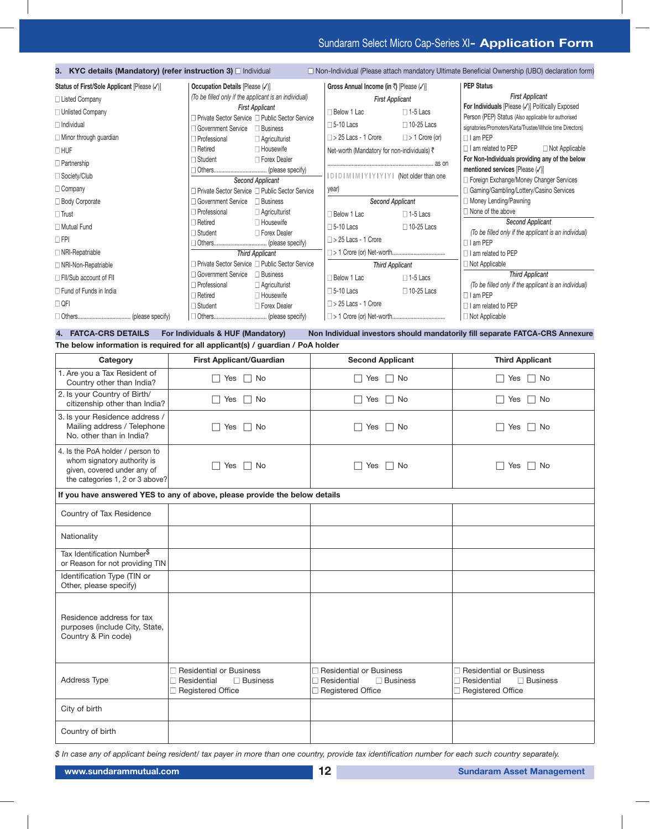| <b>3. KYC details (Mandatory) (refer instruction 3)</b> $\Box$ Individual |                                                       |                                                                            |                                                              |                                       | $\Box$ Non-Individual (Please attach mandatory Ultimate Beneficial Ownership (UBO) declaration form     |  |  |  |
|---------------------------------------------------------------------------|-------------------------------------------------------|----------------------------------------------------------------------------|--------------------------------------------------------------|---------------------------------------|---------------------------------------------------------------------------------------------------------|--|--|--|
| Status of First/Sole Applicant [Please (/)]                               | Occupation Details [Please (V)]                       |                                                                            | Gross Annual Income (in $\bar{z}$ ) [Please ( $\check{y}$ )] |                                       | <b>PEP Status</b>                                                                                       |  |  |  |
| □ Listed Company                                                          | (To be filled only if the applicant is an individual) |                                                                            | <b>First Applicant</b>                                       |                                       | <b>First Applicant</b>                                                                                  |  |  |  |
| □ Unlisted Company                                                        |                                                       | <b>First Applicant</b><br>□ Private Sector Service □ Public Sector Service | □ Below 1 Lac                                                | $\Box$ 1-5 Lacs                       | For Individuals [Please (V)] Politically Exposed<br>Person (PEP) Status (Also applicable for authorised |  |  |  |
| $\Box$ Individual                                                         | □ Government Service                                  | $\Box$ Business                                                            | $\square$ 5-10 Lacs                                          | $\Box$ 10-25 Lacs                     | signatories/Promoters/Karta/Trustee/Whole time Directors)                                               |  |  |  |
| $\Box$ Minor through guardian                                             | $\Box$ Professional                                   | $\Box$ Agriculturist                                                       | $\Box$ > 25 Lacs - 1 Crore                                   | $\Box$ > 1 Crore (or)                 | $\Box$ I am PEP                                                                                         |  |  |  |
| $\Box$ HUF                                                                | $\Box$ Retired                                        | $\Box$ Housewife                                                           | Net-worth (Mandatory for non-individuals) ₹                  |                                       | $\Box$ Not Applicable<br>$\Box$ I am related to PEP                                                     |  |  |  |
| $\Box$ Partnership                                                        | $\Box$ Student                                        | □ Forex Dealer                                                             |                                                              |                                       | For Non-Individuals providing any of the below                                                          |  |  |  |
| □ Society/Club                                                            |                                                       | Second Applicant                                                           |                                                              | IDIDIMIMIYIYIYIYI (Not older than one | mentioned services [Please (V)]<br>□ Foreign Exchange/Money Changer Services                            |  |  |  |
| $\Box$ Company                                                            |                                                       | □ Private Sector Service □ Public Sector Service                           |                                                              |                                       | □ Gaming/Gambling/Lottery/Casino Services                                                               |  |  |  |
| $\Box$ Body Corporate                                                     | □ Government Service                                  | $\Box$ Business                                                            | Second Applicant                                             |                                       | □ Money Lending/Pawning                                                                                 |  |  |  |
| $\Box$ Trust                                                              | $\Box$ Professional                                   | $\Box$ Agriculturist                                                       | □ Below 1 Lac                                                | $\Box$ 1-5 Lacs                       | $\Box$ None of the above                                                                                |  |  |  |
| □ Mutual Fund                                                             | $\Box$ Retired                                        | $\Box$ Housewife                                                           | $\Box$ 5-10 Lacs                                             | $\Box$ 10-25 Lacs                     | Second Applicant                                                                                        |  |  |  |
| $\Box$ FPI                                                                | $\Box$ Student                                        | □ Forex Dealer                                                             | $\Box$ > 25 Lacs - 1 Crore                                   |                                       | (To be filled only if the applicant is an individual)<br>$\Box$ I am PEP                                |  |  |  |
| $\Box$ NRI-Repatriable                                                    |                                                       | <b>Third Applicant</b>                                                     |                                                              |                                       | $\Box$ I am related to PEP                                                                              |  |  |  |
| □ NRI-Non-Repatriable                                                     |                                                       | □ Private Sector Service □ Public Sector Service                           | <b>Third Applicant</b>                                       |                                       | $\Box$ Not Applicable                                                                                   |  |  |  |
| $\Box$ FII/Sub account of FII                                             | □ Government Service                                  | $\Box$ Business                                                            | □ Below 1 Lac                                                | $\Box$ 1-5 Lacs                       | <b>Third Applicant</b>                                                                                  |  |  |  |
| $\Box$ Fund of Funds in India                                             | $\Box$ Professional                                   | $\Box$ Agriculturist                                                       | $\Box$ 5-10 Lacs                                             | $\square$ 10-25 Lacs                  | (To be filled only if the applicant is an individual)                                                   |  |  |  |
| $\Box$ QFI                                                                | $\Box$ Retired                                        | $\Box$ Housewife                                                           | $\Box$ > 25 Lacs - 1 Crore                                   |                                       | $\Box$ I am PEP                                                                                         |  |  |  |
|                                                                           | □ Student                                             | □ Forex Dealer                                                             |                                                              |                                       | $\Box$ I am related to PEP                                                                              |  |  |  |
|                                                                           |                                                       |                                                                            |                                                              |                                       | $\Box$ Not Applicable                                                                                   |  |  |  |

4. FATCA-CRS DETAILS For Individuals & HUF (Mandatory) Non Individual investors should mandatorily fill separate FATCA-CRS Annexure

**The below information is required for all applicant(s) / guardian / PoA holder**

| Category                                                                                                                          | <b>First Applicant/Guardian</b>                                                                | <b>Second Applicant</b>                                                                        | <b>Third Applicant</b>                                                                         |
|-----------------------------------------------------------------------------------------------------------------------------------|------------------------------------------------------------------------------------------------|------------------------------------------------------------------------------------------------|------------------------------------------------------------------------------------------------|
| 1. Are you a Tax Resident of<br>Country other than India?                                                                         | Yes $\Box$ No<br>$\Box$                                                                        | $\Box$ Yes $\Box$ No                                                                           | Yes $\Box$ No                                                                                  |
| 2. Is your Country of Birth/<br>citizenship other than India?                                                                     | $\Box$ Yes $\Box$ No                                                                           | $\Box$ Yes $\Box$ No                                                                           | $\Box$ Yes $\Box$ No                                                                           |
| 3. Is your Residence address /<br>Mailing address / Telephone<br>No. other than in India?                                         | No<br>Yes                                                                                      | No<br>Yes<br>$\perp$                                                                           | ∩ No<br>Yes                                                                                    |
| 4. Is the PoA holder / person to<br>whom signatory authority is<br>given, covered under any of<br>the categories 1, 2 or 3 above? | Yes<br>$\Box$ No                                                                               | $\Box$ No<br>Yes                                                                               | $\Box$ No<br>Yes                                                                               |
|                                                                                                                                   | If you have answered YES to any of above, please provide the below details                     |                                                                                                |                                                                                                |
| Country of Tax Residence                                                                                                          |                                                                                                |                                                                                                |                                                                                                |
| Nationality                                                                                                                       |                                                                                                |                                                                                                |                                                                                                |
| Tax Identification Number <sup>\$</sup><br>or Reason for not providing TIN                                                        |                                                                                                |                                                                                                |                                                                                                |
| Identification Type (TIN or<br>Other, please specify)                                                                             |                                                                                                |                                                                                                |                                                                                                |
| Residence address for tax<br>purposes (include City, State,<br>Country & Pin code)                                                |                                                                                                |                                                                                                |                                                                                                |
| Address Type                                                                                                                      | □ Residential or Business<br>$\Box$ Residential<br>$\Box$ Business<br>$\Box$ Registered Office | □ Residential or Business<br>$\Box$ Residential<br>$\Box$ Business<br>$\Box$ Registered Office | □ Residential or Business<br>$\Box$ Residential<br>$\Box$ Business<br>$\Box$ Registered Office |
| City of birth                                                                                                                     |                                                                                                |                                                                                                |                                                                                                |
| Country of birth                                                                                                                  |                                                                                                |                                                                                                |                                                                                                |

\$ In case any of applicant being resident/ tax payer in more than one country, provide tax identification number for each such country separately.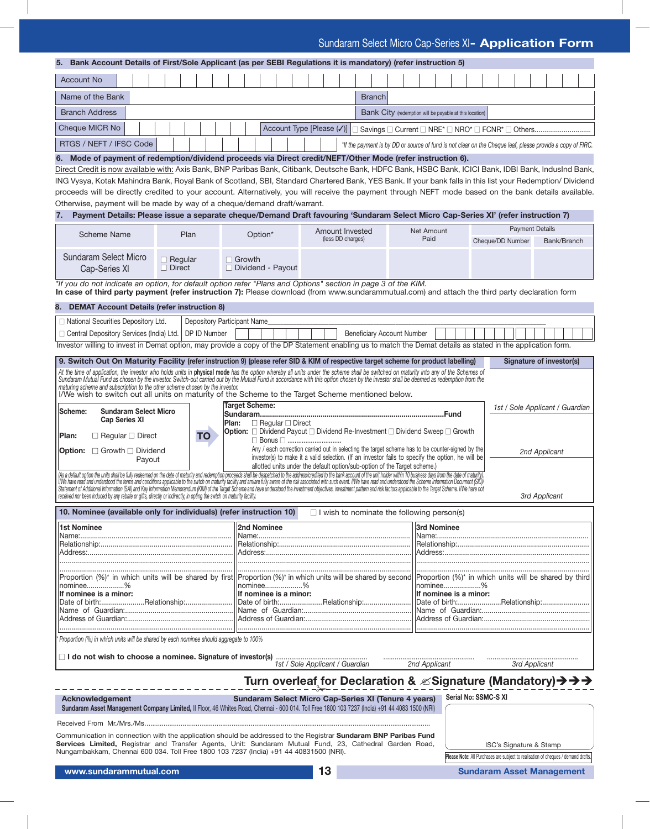| 5. Bank Account Details of First/Sole Applicant (as per SEBI Regulations it is mandatory) (refer instruction 5)                                                                                                                                                                                                                                                                                                                                                                                                                                                                                                                        |                                 |      |                             |                       |                                    |                                                                                                                                                                                                                                                                                                 |                   |                            |  |                                                         |  |                      |  | <b>Gardin Colour Milord Cap Corles All Prippincation i</b>                                                   |             |  |
|----------------------------------------------------------------------------------------------------------------------------------------------------------------------------------------------------------------------------------------------------------------------------------------------------------------------------------------------------------------------------------------------------------------------------------------------------------------------------------------------------------------------------------------------------------------------------------------------------------------------------------------|---------------------------------|------|-----------------------------|-----------------------|------------------------------------|-------------------------------------------------------------------------------------------------------------------------------------------------------------------------------------------------------------------------------------------------------------------------------------------------|-------------------|----------------------------|--|---------------------------------------------------------|--|----------------------|--|--------------------------------------------------------------------------------------------------------------|-------------|--|
|                                                                                                                                                                                                                                                                                                                                                                                                                                                                                                                                                                                                                                        |                                 |      |                             |                       |                                    |                                                                                                                                                                                                                                                                                                 |                   |                            |  |                                                         |  |                      |  |                                                                                                              |             |  |
| Account No                                                                                                                                                                                                                                                                                                                                                                                                                                                                                                                                                                                                                             |                                 |      |                             |                       |                                    |                                                                                                                                                                                                                                                                                                 |                   |                            |  |                                                         |  |                      |  |                                                                                                              |             |  |
| Name of the Bank                                                                                                                                                                                                                                                                                                                                                                                                                                                                                                                                                                                                                       |                                 |      |                             |                       |                                    |                                                                                                                                                                                                                                                                                                 |                   | <b>Branch</b>              |  |                                                         |  |                      |  |                                                                                                              |             |  |
| <b>Branch Address</b>                                                                                                                                                                                                                                                                                                                                                                                                                                                                                                                                                                                                                  |                                 |      |                             |                       |                                    |                                                                                                                                                                                                                                                                                                 |                   |                            |  | Bank City (redemption will be payable at this location) |  |                      |  |                                                                                                              |             |  |
| Cheque MICR No                                                                                                                                                                                                                                                                                                                                                                                                                                                                                                                                                                                                                         |                                 |      |                             |                       |                                    |                                                                                                                                                                                                                                                                                                 |                   |                            |  |                                                         |  |                      |  |                                                                                                              |             |  |
| RTGS / NEFT / IFSC Code                                                                                                                                                                                                                                                                                                                                                                                                                                                                                                                                                                                                                |                                 |      |                             |                       |                                    |                                                                                                                                                                                                                                                                                                 |                   |                            |  |                                                         |  |                      |  | *If the payment is by DD or source of fund is not clear on the Cheque leaf, please provide a copy of FIRC.   |             |  |
| 6. Mode of payment of redemption/dividend proceeds via Direct credit/NEFT/Other Mode (refer instruction 6).                                                                                                                                                                                                                                                                                                                                                                                                                                                                                                                            |                                 |      |                             |                       |                                    |                                                                                                                                                                                                                                                                                                 |                   |                            |  |                                                         |  |                      |  |                                                                                                              |             |  |
| Direct Credit is now available with: Axis Bank, BNP Paribas Bank, Citibank, Deutsche Bank, HDFC Bank, HSBC Bank, ICICI Bank, IDBI Bank, IndusInd Bank,<br>ING Vysya, Kotak Mahindra Bank, Royal Bank of Scotland, SBI, Standard Chartered Bank, YES Bank. If your bank falls in this list your Redemption/ Dividend                                                                                                                                                                                                                                                                                                                    |                                 |      |                             |                       |                                    |                                                                                                                                                                                                                                                                                                 |                   |                            |  |                                                         |  |                      |  |                                                                                                              |             |  |
| proceeds will be directly credited to your account. Alternatively, you will receive the payment through NEFT mode based on the bank details available.                                                                                                                                                                                                                                                                                                                                                                                                                                                                                 |                                 |      |                             |                       |                                    |                                                                                                                                                                                                                                                                                                 |                   |                            |  |                                                         |  |                      |  |                                                                                                              |             |  |
| Otherwise, payment will be made by way of a cheque/demand draft/warrant.                                                                                                                                                                                                                                                                                                                                                                                                                                                                                                                                                               |                                 |      |                             |                       |                                    |                                                                                                                                                                                                                                                                                                 |                   |                            |  |                                                         |  |                      |  |                                                                                                              |             |  |
| Payment Details: Please issue a separate cheque/Demand Draft favouring 'Sundaram Select Micro Cap-Series XI' (refer instruction 7)<br>7.                                                                                                                                                                                                                                                                                                                                                                                                                                                                                               |                                 |      |                             |                       |                                    |                                                                                                                                                                                                                                                                                                 |                   |                            |  |                                                         |  |                      |  |                                                                                                              |             |  |
| <b>Scheme Name</b>                                                                                                                                                                                                                                                                                                                                                                                                                                                                                                                                                                                                                     |                                 | Plan |                             | Option*               |                                    | Amount Invested                                                                                                                                                                                                                                                                                 | (less DD charges) |                            |  | Net Amount<br>Paid                                      |  | Cheque/DD Number     |  | <b>Payment Details</b>                                                                                       | Bank/Branch |  |
| Sundaram Select Micro<br>Cap-Series XI                                                                                                                                                                                                                                                                                                                                                                                                                                                                                                                                                                                                 | $\Box$ Regular<br>$\Box$ Direct |      |                             | $\Box$ Growth         | $\Box$ Dividend - Payout           |                                                                                                                                                                                                                                                                                                 |                   |                            |  |                                                         |  |                      |  |                                                                                                              |             |  |
| *If you do not indicate an option, for default option refer "Plans and Options" section in page 3 of the KIM.                                                                                                                                                                                                                                                                                                                                                                                                                                                                                                                          |                                 |      |                             |                       |                                    |                                                                                                                                                                                                                                                                                                 |                   |                            |  |                                                         |  |                      |  |                                                                                                              |             |  |
| In case of third party payment (refer instruction 7): Please download (from www.sundarammutual.com) and attach the third party declaration form                                                                                                                                                                                                                                                                                                                                                                                                                                                                                        |                                 |      |                             |                       |                                    |                                                                                                                                                                                                                                                                                                 |                   |                            |  |                                                         |  |                      |  |                                                                                                              |             |  |
| 8. DEMAT Account Details (refer instruction 8)                                                                                                                                                                                                                                                                                                                                                                                                                                                                                                                                                                                         |                                 |      |                             |                       |                                    |                                                                                                                                                                                                                                                                                                 |                   |                            |  |                                                         |  |                      |  |                                                                                                              |             |  |
| □ National Securities Depository Ltd.<br>□ Central Depository Services (India) Ltd.   DP ID Number                                                                                                                                                                                                                                                                                                                                                                                                                                                                                                                                     |                                 |      | Depository Participant Name |                       |                                    |                                                                                                                                                                                                                                                                                                 |                   | Beneficiary Account Number |  |                                                         |  |                      |  |                                                                                                              |             |  |
| Investor willing to invest in Demat option, may provide a copy of the DP Statement enabling us to match the Demat details as stated in the application form.                                                                                                                                                                                                                                                                                                                                                                                                                                                                           |                                 |      |                             |                       |                                    |                                                                                                                                                                                                                                                                                                 |                   |                            |  |                                                         |  |                      |  |                                                                                                              |             |  |
| 9. Switch Out On Maturity Facility (refer instruction 9) (please refer SID & KIM of respective target scheme for product labelling)                                                                                                                                                                                                                                                                                                                                                                                                                                                                                                    |                                 |      |                             |                       |                                    |                                                                                                                                                                                                                                                                                                 |                   |                            |  |                                                         |  |                      |  | Signature of investor(s)                                                                                     |             |  |
| At the time of application, the investor who holds units in physical mode has the option whereby all units under the scheme shall be switched on maturity into any of the Schemes of<br>Sundaram Mutual Fund as chosen by the investor. Switch-out carried out by the Mutual Fund in accordance with this option chosen by the investor shall be deemed as redemption from the<br>maturing scheme and subscription to the other scheme chosen by the investor.<br>I/We wish to switch out all units on maturity of the Scheme to the Target Scheme mentioned below.<br>Scheme:<br><b>Sundaram Select Micro</b><br><b>Cap Series XI</b> |                                 |      | Plan:                       | <b>Target Scheme:</b> | $\Box$ Regular $\Box$ Direct       | <b>Option:</b> □ Dividend Payout □ Dividend Re-Investment □ Dividend Sweep □ Growth                                                                                                                                                                                                             |                   |                            |  |                                                         |  |                      |  | 1st / Sole Applicant / Guardian                                                                              |             |  |
| Plan:<br>$\Box$ Regular $\Box$ Direct<br><b>Option:</b> $\Box$ Growth $\Box$ Dividend<br>Payout<br>(As a default option the units shall be fully redeemed on the date of maturity and redemption proceeds shall be despatched to the address/credited to the bank account of the unit holder within 10 business days from the dat<br>We have read and understood the terms and conditions applicable to the switch on maturity facility and amare fully aware of the risk associated with such event. IWe have read and understood the Scheme Information Document                                                                     |                                 | TO   |                             |                       |                                    | □ Bonus □<br>Any / each correction carried out in selecting the target scheme has to be counter-signed by the<br>investor(s) to make it a valid selection. (If an investor fails to specify the option, he will be<br>allotted units under the default option/sub-option of the Target scheme.) |                   |                            |  |                                                         |  |                      |  | 2nd Applicant                                                                                                |             |  |
| received nor been induced by any rebate or gifts, directly or indirectly, in opting the swtch on maturity facility.                                                                                                                                                                                                                                                                                                                                                                                                                                                                                                                    |                                 |      |                             |                       |                                    |                                                                                                                                                                                                                                                                                                 |                   |                            |  |                                                         |  |                      |  | 3rd Applicant                                                                                                |             |  |
| 10. Nominee (available only for individuals) (refer instruction 10)                                                                                                                                                                                                                                                                                                                                                                                                                                                                                                                                                                    |                                 |      |                             |                       |                                    | $\Box$ I wish to nominate the following person(s)                                                                                                                                                                                                                                               |                   |                            |  |                                                         |  |                      |  |                                                                                                              |             |  |
| <b>1st Nominee</b>                                                                                                                                                                                                                                                                                                                                                                                                                                                                                                                                                                                                                     |                                 |      |                             | 2nd Nominee           |                                    |                                                                                                                                                                                                                                                                                                 |                   |                            |  | 3rd Nominee                                             |  |                      |  |                                                                                                              |             |  |
| Proportion $(%)^*$ in which units will be shared by first Proportion $(%)^*$ in which units will be shared by second<br>nominee%<br>If nominee is a minor:<br>Date of birth:Relationship:                                                                                                                                                                                                                                                                                                                                                                                                                                              |                                 |      |                             |                       | nominee%<br>If nominee is a minor: | Date of birth:Relationship:                                                                                                                                                                                                                                                                     |                   |                            |  | nominee%<br>If nominee is a minor:                      |  |                      |  | Proportion (%) <sup>*</sup> in which units will be shared by third<br>Date of birth:Relationship:            |             |  |
| * Proportion (%) in which units will be shared by each nominee should aggregate to 100%                                                                                                                                                                                                                                                                                                                                                                                                                                                                                                                                                |                                 |      |                             |                       |                                    |                                                                                                                                                                                                                                                                                                 |                   |                            |  |                                                         |  |                      |  |                                                                                                              |             |  |
| $\Box$ I do not wish to choose a nominee. Signature of investor(s)                                                                                                                                                                                                                                                                                                                                                                                                                                                                                                                                                                     |                                 |      |                             |                       |                                    | 1st / Sole Applicant / Guardian                                                                                                                                                                                                                                                                 |                   |                            |  | 2nd Applicant                                           |  |                      |  | 3rd Applicant                                                                                                |             |  |
|                                                                                                                                                                                                                                                                                                                                                                                                                                                                                                                                                                                                                                        |                                 |      |                             |                       |                                    |                                                                                                                                                                                                                                                                                                 |                   |                            |  |                                                         |  |                      |  |                                                                                                              |             |  |
| <b>Acknowledgement</b><br>Sundaram Asset Management Company Limited, II Floor, 46 Whites Road, Chennai - 600 014. Toll Free 1800 103 7237 (India) +91 44 4083 1500 (NRI)                                                                                                                                                                                                                                                                                                                                                                                                                                                               |                                 |      |                             |                       |                                    | Sundaram Select Micro Cap-Series XI (Tenure 4 years)                                                                                                                                                                                                                                            |                   |                            |  |                                                         |  | Serial No: SSMC-S XI |  |                                                                                                              |             |  |
|                                                                                                                                                                                                                                                                                                                                                                                                                                                                                                                                                                                                                                        |                                 |      |                             |                       |                                    |                                                                                                                                                                                                                                                                                                 |                   |                            |  |                                                         |  |                      |  |                                                                                                              |             |  |
| Communication in connection with the application should be addressed to the Registrar Sundaram BNP Paribas Fund<br>Services Limited, Registrar and Transfer Agents, Unit: Sundaram Mutual Fund, 23, Cathedral Garden Road,<br>Nungambakkam, Chennai 600 034. Toll Free 1800 103 7237 (India) +91 44 40831500 (NRI).                                                                                                                                                                                                                                                                                                                    |                                 |      |                             |                       |                                    |                                                                                                                                                                                                                                                                                                 |                   |                            |  |                                                         |  |                      |  | ISC's Signature & Stamp<br>Please Note: All Purchases are subject to realisation of cheques / demand drafts. |             |  |
| www.sundarammutual.com                                                                                                                                                                                                                                                                                                                                                                                                                                                                                                                                                                                                                 |                                 |      |                             |                       |                                    | 13                                                                                                                                                                                                                                                                                              |                   |                            |  |                                                         |  |                      |  | <b>Sundaram Asset Management</b>                                                                             |             |  |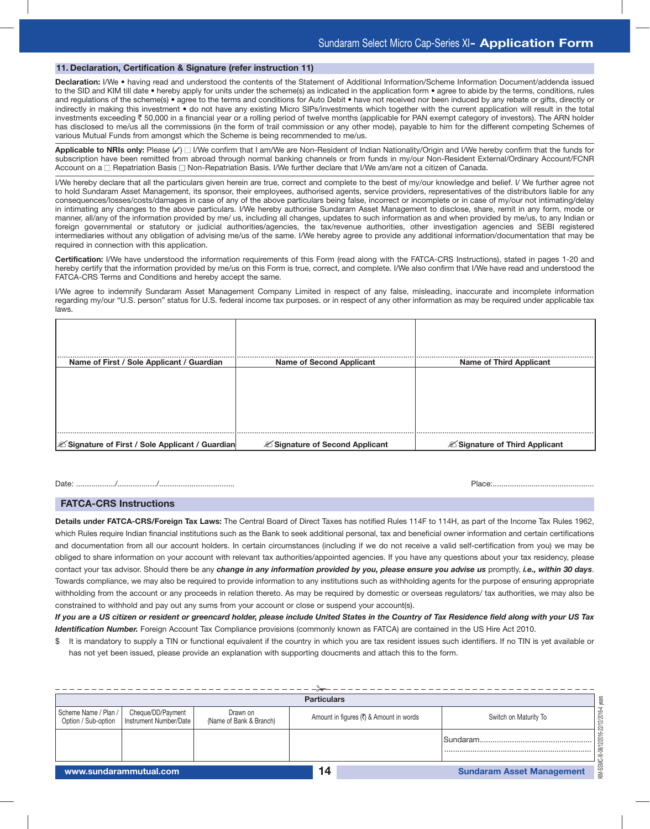#### **11. Declaration, Certification & Signature (refer instruction 11)**

**Declaration:** I/We • having read and understood the contents of the Statement of Additional Information/Scheme Information Document/addenda issued to the SID and KIM till date • hereby apply for units under the scheme(s) as indicated in the application form • agree to abide by the terms, conditions, rules and regulations of the scheme(s) • agree to the terms and conditions for Auto Debit • have not received nor been induced by any rebate or gifts, directly or indirectly in making this investment • do not have any existing Micro SIPs/investments which together with the current application will result in the total investments exceeding ₹ 50,000 in a financial year or a rolling period of twelve months (applicable for PAN exempt category of investors). The ARN holder has disclosed to me/us all the commissions (in the form of trail commission or any other mode), payable to him for the different competing Schemes of various Mutual Funds from amongst which the Scheme is being recommended to me/us.

**Applicable to NRIs only:** Please (**✓**) **■** I/We confirm that I am/We are Non-Resident of Indian Nationality/Origin and I/We hereby confirm that the funds for subscription have been remitted from abroad through normal banking channels or from funds in my/our Non-Resident External/Ordinary Account/FCNR Account on a **■** Repatriation Basis **■** Non-Repatriation Basis. I/We further declare that I/We am/are not a citizen of Canada.

I/We hereby declare that all the particulars given herein are true, correct and complete to the best of my/our knowledge and belief. I/ We further agree not to hold Sundaram Asset Management, its sponsor, their employees, authorised agents, service providers, representatives of the distributors liable for any consequences/losses/costs/damages in case of any of the above particulars being false, incorrect or incomplete or in case of my/our not intimating/delay in intimating any changes to the above particulars. I/We hereby authorise Sundaram Asset Management to disclose, share, remit in any form, mode or manner, all/any of the information provided by me/ us, including all changes, updates to such information as and when provided by me/us, to any Indian or foreign governmental or statutory or judicial authorities/agencies, the tax/revenue authorities, other investigation agencies and SEBI registered intermediaries without any obligation of advising me/us of the same. I/We hereby agree to provide any additional information/documentation that may be required in connection with this application.

**Certification:** I/We have understood the information requirements of this Form (read along with the FATCA-CRS Instructions), stated in pages 1-20 and hereby certify that the information provided by me/us on this Form is true, correct, and complete. I/We also confirm that I/We have read and understood the FATCA-CRS Terms and Conditions and hereby accept the same.

I/We agree to indemnify Sundaram Asset Management Company Limited in respect of any false, misleading, inaccurate and incomplete information regarding my/our "U.S. person" status for U.S. federal income tax purposes. or in respect of any other information as may be required under applicable tax laws.

| Name of First / Sole Applicant / Guardian      | <b>Name of Second Applicant</b>                      | <b>Name of Third Applicant</b>                      |
|------------------------------------------------|------------------------------------------------------|-----------------------------------------------------|
|                                                |                                                      |                                                     |
| Signature of First / Sole Applicant / Guardian | <b><i><b>E</b></i> Signature of Second Applicant</b> | <b><i><b>E</b></i> Signature of Third Applicant</b> |

#### Date: ................../................../................................... Place:...............................................

### **FATCA-CRS Instructions**

**Details under FATCA-CRS/Foreign Tax Laws:** The Central Board of Direct Taxes has notified Rules 114F to 114H, as part of the Income Tax Rules 1962, which Rules require Indian financial institutions such as the Bank to seek additional personal, tax and beneficial owner information and certain certifications and documentation from all our account holders. In certain circumstances (including if we do not receive a valid self-certification from you) we may be obliged to share information on your account with relevant tax authorities/appointed agencies. If you have any questions about your tax residency, please contact your tax advisor. Should there be any change in any information provided by you, please ensure you advise us promptly, i.e., within 30 days. Towards compliance, we may also be required to provide information to any institutions such as withholding agents for the purpose of ensuring appropriate withholding from the account or any proceeds in relation thereto. As may be required by domestic or overseas regulators/ tax authorities, we may also be constrained to withhold and pay out any sums from your account or close or suspend your account(s).

If you are a US citizen or resident or greencard holder, please include United States in the Country of Tax Residence field along with your US Tax *Identification Number.* Foreign Account Tax Compliance provisions (commonly known as FATCA) are contained in the US Hire Act 2010.

\$ It is mandatory to supply a TIN or functional equivalent if the country in which you are tax resident issues such identifiers. If no TIN is yet available or has not yet been issued, please provide an explanation with supporting doucments and attach this to the form.

|                                             |                                             |                                     | <b>Particulars</b>                              |                                   |
|---------------------------------------------|---------------------------------------------|-------------------------------------|-------------------------------------------------|-----------------------------------|
| Scheme Name / Plan /<br>Option / Sub-option | Cheque/DD/Payment<br>Instrument Number/Date | Drawn on<br>(Name of Bank & Branch) | Amount in figures $(\bar{x})$ & Amount in words | 12/2016-<br>Switch on Maturity To |
|                                             |                                             |                                     |                                                 | 2016<br>Sundaram                  |
|                                             | www.sundarammutual.com                      |                                     | 14                                              | <b>Sundaram Asset Management</b>  |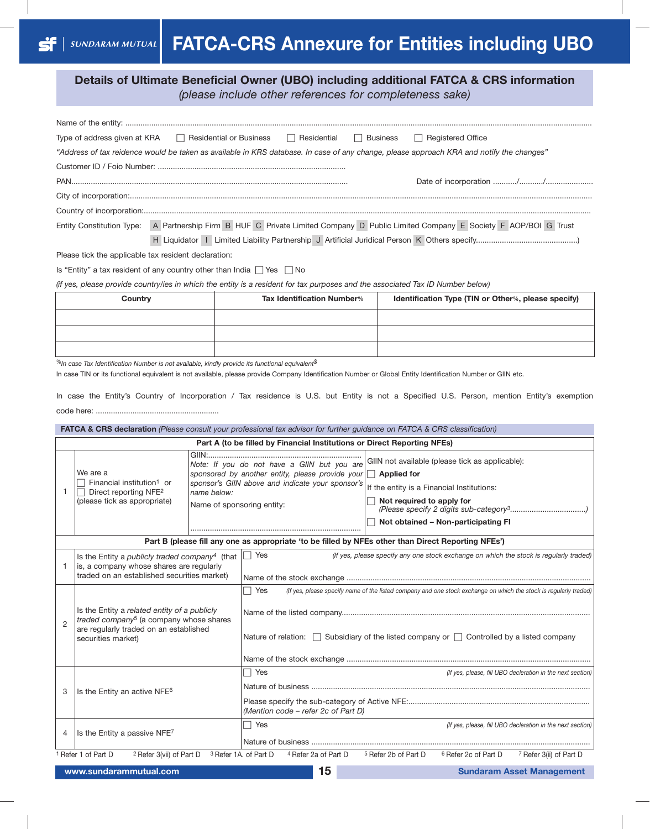| $ SUNDARAM MUTUAL $ FATCA-CRS Annexure for Entities including UBO |
|-------------------------------------------------------------------|
|-------------------------------------------------------------------|

## **Details of Ultimate Beneficial Owner (UBO) including additional FATCA & CRS information**

*(please include other references for completeness sake)*

| Type of address given at KRA $\Box$ Residential or Business $\Box$ Residential $\Box$ Business $\Box$ Registered Office |  |                                                                                                                                          |
|-------------------------------------------------------------------------------------------------------------------------|--|------------------------------------------------------------------------------------------------------------------------------------------|
|                                                                                                                         |  | "Address of tax reidence would be taken as available in KRS database. In case of any change, please approach KRA and notify the changes" |
|                                                                                                                         |  |                                                                                                                                          |
|                                                                                                                         |  |                                                                                                                                          |
|                                                                                                                         |  |                                                                                                                                          |
|                                                                                                                         |  |                                                                                                                                          |
|                                                                                                                         |  | Entity Constitution Type: A Partnership Firm B HUF C Private Limited Company D Public Limited Company E Society F AOP/BOI G Trust        |
|                                                                                                                         |  |                                                                                                                                          |
|                                                                                                                         |  |                                                                                                                                          |

Please tick the applicable tax resident declaration:

Šf

Is "Entity" a tax resident of any country other than India  $\Box$  Yes  $\Box$  No

(if yes, please provide country/ies in which the entity is a resident for tax purposes and the associated Tax ID Number below)

| Country | Tax Identification Number% | Identification Type (TIN or Other%, please specify) |
|---------|----------------------------|-----------------------------------------------------|
|         |                            |                                                     |
|         |                            |                                                     |
|         |                            |                                                     |

*%In case Tax Identification Number is not available, kindly provide its functional equivalent \$*

In case TIN or its functional equivalent is not available, please provide Company Identification Number or Global Entity Identification Number or GIIN etc.

In case the Entity's Country of Incorporation / Tax residence is U.S. but Entity is not a Specified U.S. Person, mention Entity's exemption code here: .........................................................

#### FATCA & CRS declaration (Please consult your professional tax advisor for further guidance on FATCA & CRS classification)

|   |                                                                                                                                                                     |                                           | Part A (to be filled by Financial Institutions or Direct Reporting NFEs)                                                                                                                                                                                                                                                                    |
|---|---------------------------------------------------------------------------------------------------------------------------------------------------------------------|-------------------------------------------|---------------------------------------------------------------------------------------------------------------------------------------------------------------------------------------------------------------------------------------------------------------------------------------------------------------------------------------------|
|   | We are a<br>Financial institution <sup>1</sup> or<br>Direct reporting NFE <sup>2</sup><br>(please tick as appropriate)                                              | name below:<br>Name of sponsoring entity: | GIIN not available (please tick as applicable):<br>Note: If you do not have a GIIN but you are<br>sponsored by another entity, please provide your $\Box$ Applied for<br>sponsor's GIIN above and indicate your sponsor's<br>If the entity is a Financial Institutions:<br>Not required to apply for<br>Not obtained - Non-participating FI |
|   |                                                                                                                                                                     |                                           | Part B (please fill any one as appropriate 'to be filled by NFEs other than Direct Reporting NFEs')                                                                                                                                                                                                                                         |
|   | Is the Entity a publicly traded company <sup>4</sup> (that<br>is, a company whose shares are regularly<br>traded on an established securities market)               |                                           | Yes<br>(If yes, please specify any one stock exchange on which the stock is regularly traded)                                                                                                                                                                                                                                               |
|   | Is the Entity a related entity of a publicly<br>traded company <sup>5</sup> (a company whose shares<br>are regularly traded on an established<br>securities market) |                                           | (If yes, please specify name of the listed company and one stock exchange on which the stock is regularly traded)<br>Yes<br>Nature of relation: $\Box$ Subsidiary of the listed company or $\Box$ Controlled by a listed company                                                                                                            |
| 3 | Is the Entity an active NFE6                                                                                                                                        |                                           | $\Box$ Yes<br>(If yes, please, fill UBO decleration in the next section)<br>(Mention code - refer 2c of Part D)                                                                                                                                                                                                                             |
| 4 | Is the Entity a passive NFE7                                                                                                                                        |                                           | $\Box$ Yes<br>(If yes, please, fill UBO decleration in the next section)                                                                                                                                                                                                                                                                    |
|   | <sup>1</sup> Refer 1 of Part D<br><sup>2</sup> Refer 3(vii) of Part D                                                                                               |                                           | <sup>3</sup> Refer 1A, of Part D<br><sup>6</sup> Refer 2c of Part D<br><sup>4</sup> Refer 2a of Part D<br><sup>5</sup> Refer 2b of Part D<br><sup>7</sup> Refer 3(ii) of Part D                                                                                                                                                             |

**www.sundarammutual.com 15 Sundaram Asset Management**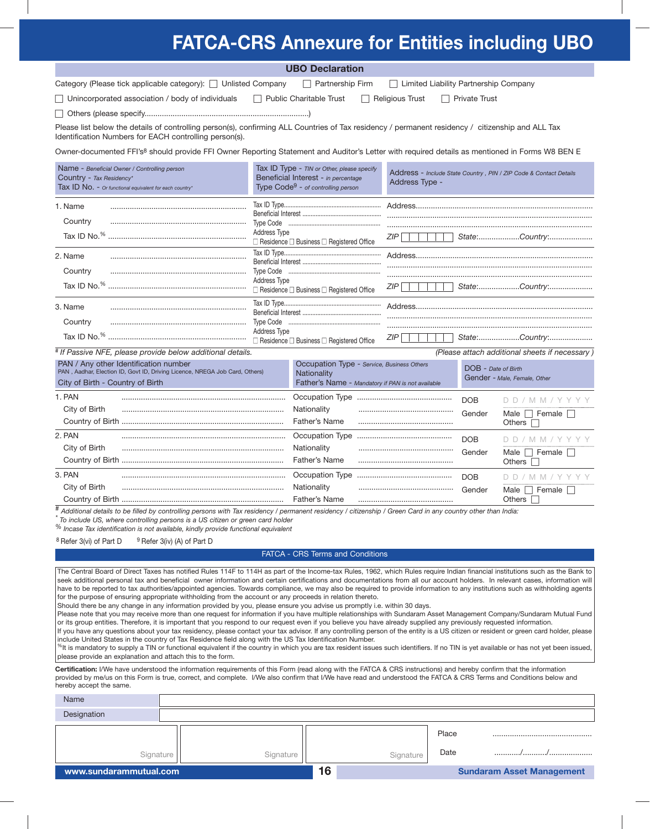# **FATCA-CRS Annexure for Entities including UBO**

| <b>UBO Declaration</b>                                                                                                                                                                                                                                                                                                                                                                                                                                                                                                                                                                                                                                                                                                                                                                                                                                                                                                                                                                                                                                                                                                                                                                                                                                                                                                                                                                                                                                                                                                                                                                                                                                                                                  |                                                                                                                                     |               |                                  |                                                                                                 |                      |                                                                                     |  |  |  |
|---------------------------------------------------------------------------------------------------------------------------------------------------------------------------------------------------------------------------------------------------------------------------------------------------------------------------------------------------------------------------------------------------------------------------------------------------------------------------------------------------------------------------------------------------------------------------------------------------------------------------------------------------------------------------------------------------------------------------------------------------------------------------------------------------------------------------------------------------------------------------------------------------------------------------------------------------------------------------------------------------------------------------------------------------------------------------------------------------------------------------------------------------------------------------------------------------------------------------------------------------------------------------------------------------------------------------------------------------------------------------------------------------------------------------------------------------------------------------------------------------------------------------------------------------------------------------------------------------------------------------------------------------------------------------------------------------------|-------------------------------------------------------------------------------------------------------------------------------------|---------------|----------------------------------|-------------------------------------------------------------------------------------------------|----------------------|-------------------------------------------------------------------------------------|--|--|--|
| Category (Please tick applicable category): □ Unlisted Company                                                                                                                                                                                                                                                                                                                                                                                                                                                                                                                                                                                                                                                                                                                                                                                                                                                                                                                                                                                                                                                                                                                                                                                                                                                                                                                                                                                                                                                                                                                                                                                                                                          |                                                                                                                                     |               | Partnership Firm                 |                                                                                                 |                      | □ Limited Liability Partnership Company                                             |  |  |  |
| $\Box$ Unincorporated association / body of individuals                                                                                                                                                                                                                                                                                                                                                                                                                                                                                                                                                                                                                                                                                                                                                                                                                                                                                                                                                                                                                                                                                                                                                                                                                                                                                                                                                                                                                                                                                                                                                                                                                                                 | $\Box$ Public Charitable Trust                                                                                                      |               | $\perp$                          | Religious Trust                                                                                 | $\Box$ Private Trust |                                                                                     |  |  |  |
|                                                                                                                                                                                                                                                                                                                                                                                                                                                                                                                                                                                                                                                                                                                                                                                                                                                                                                                                                                                                                                                                                                                                                                                                                                                                                                                                                                                                                                                                                                                                                                                                                                                                                                         |                                                                                                                                     |               |                                  |                                                                                                 |                      |                                                                                     |  |  |  |
| Please list below the details of controlling person(s), confirming ALL Countries of Tax residency / permanent residency / citizenship and ALL Tax<br>Identification Numbers for EACH controlling person(s).                                                                                                                                                                                                                                                                                                                                                                                                                                                                                                                                                                                                                                                                                                                                                                                                                                                                                                                                                                                                                                                                                                                                                                                                                                                                                                                                                                                                                                                                                             |                                                                                                                                     |               |                                  |                                                                                                 |                      |                                                                                     |  |  |  |
| Owner-documented FFI's <sup>8</sup> should provide FFI Owner Reporting Statement and Auditor's Letter with required details as mentioned in Forms W8 BEN E                                                                                                                                                                                                                                                                                                                                                                                                                                                                                                                                                                                                                                                                                                                                                                                                                                                                                                                                                                                                                                                                                                                                                                                                                                                                                                                                                                                                                                                                                                                                              |                                                                                                                                     |               |                                  |                                                                                                 |                      |                                                                                     |  |  |  |
| Name - Beneficial Owner / Controlling person<br>Country - Tax Residency*<br>Tax ID No. - Or functional equivalent for each country*                                                                                                                                                                                                                                                                                                                                                                                                                                                                                                                                                                                                                                                                                                                                                                                                                                                                                                                                                                                                                                                                                                                                                                                                                                                                                                                                                                                                                                                                                                                                                                     | Tax ID Type - TIN or Other, please specify<br>Beneficial Interest - in percentage<br>Type Code <sup>9</sup> - of controlling person |               |                                  |                                                                                                 |                      | Address - Include State Country, PIN / ZIP Code & Contact Details<br>Address Type - |  |  |  |
| 1. Name                                                                                                                                                                                                                                                                                                                                                                                                                                                                                                                                                                                                                                                                                                                                                                                                                                                                                                                                                                                                                                                                                                                                                                                                                                                                                                                                                                                                                                                                                                                                                                                                                                                                                                 |                                                                                                                                     |               |                                  |                                                                                                 |                      |                                                                                     |  |  |  |
| Country                                                                                                                                                                                                                                                                                                                                                                                                                                                                                                                                                                                                                                                                                                                                                                                                                                                                                                                                                                                                                                                                                                                                                                                                                                                                                                                                                                                                                                                                                                                                                                                                                                                                                                 |                                                                                                                                     |               |                                  |                                                                                                 |                      |                                                                                     |  |  |  |
|                                                                                                                                                                                                                                                                                                                                                                                                                                                                                                                                                                                                                                                                                                                                                                                                                                                                                                                                                                                                                                                                                                                                                                                                                                                                                                                                                                                                                                                                                                                                                                                                                                                                                                         | <b>Address Type</b><br>$\Box$ Residence $\Box$ Business $\Box$ Registered Office                                                    |               |                                  | ZIP                                                                                             |                      | State:Country:                                                                      |  |  |  |
| 2. Name                                                                                                                                                                                                                                                                                                                                                                                                                                                                                                                                                                                                                                                                                                                                                                                                                                                                                                                                                                                                                                                                                                                                                                                                                                                                                                                                                                                                                                                                                                                                                                                                                                                                                                 |                                                                                                                                     |               |                                  |                                                                                                 |                      |                                                                                     |  |  |  |
| Country                                                                                                                                                                                                                                                                                                                                                                                                                                                                                                                                                                                                                                                                                                                                                                                                                                                                                                                                                                                                                                                                                                                                                                                                                                                                                                                                                                                                                                                                                                                                                                                                                                                                                                 |                                                                                                                                     |               |                                  |                                                                                                 |                      |                                                                                     |  |  |  |
|                                                                                                                                                                                                                                                                                                                                                                                                                                                                                                                                                                                                                                                                                                                                                                                                                                                                                                                                                                                                                                                                                                                                                                                                                                                                                                                                                                                                                                                                                                                                                                                                                                                                                                         | <b>Address Type</b>                                                                                                                 |               |                                  | ZIP                                                                                             |                      | State:Country:                                                                      |  |  |  |
|                                                                                                                                                                                                                                                                                                                                                                                                                                                                                                                                                                                                                                                                                                                                                                                                                                                                                                                                                                                                                                                                                                                                                                                                                                                                                                                                                                                                                                                                                                                                                                                                                                                                                                         | □ Residence □ Business □ Registered Office                                                                                          |               |                                  |                                                                                                 |                      |                                                                                     |  |  |  |
| 3. Name                                                                                                                                                                                                                                                                                                                                                                                                                                                                                                                                                                                                                                                                                                                                                                                                                                                                                                                                                                                                                                                                                                                                                                                                                                                                                                                                                                                                                                                                                                                                                                                                                                                                                                 |                                                                                                                                     |               |                                  |                                                                                                 |                      |                                                                                     |  |  |  |
| Country                                                                                                                                                                                                                                                                                                                                                                                                                                                                                                                                                                                                                                                                                                                                                                                                                                                                                                                                                                                                                                                                                                                                                                                                                                                                                                                                                                                                                                                                                                                                                                                                                                                                                                 |                                                                                                                                     |               |                                  |                                                                                                 |                      |                                                                                     |  |  |  |
|                                                                                                                                                                                                                                                                                                                                                                                                                                                                                                                                                                                                                                                                                                                                                                                                                                                                                                                                                                                                                                                                                                                                                                                                                                                                                                                                                                                                                                                                                                                                                                                                                                                                                                         | <b>Address Type</b><br>□ Residence □ Business □ Registered Office                                                                   |               |                                  | ZIP                                                                                             |                      | State:Country:                                                                      |  |  |  |
| # If Passive NFE, please provide below additional details.                                                                                                                                                                                                                                                                                                                                                                                                                                                                                                                                                                                                                                                                                                                                                                                                                                                                                                                                                                                                                                                                                                                                                                                                                                                                                                                                                                                                                                                                                                                                                                                                                                              |                                                                                                                                     |               |                                  |                                                                                                 |                      | (Please attach additional sheets if necessary)                                      |  |  |  |
| PAN / Any other Identification number<br>PAN, Aadhar, Election ID, Govt ID, Driving Licence, NREGA Job Card, Others)<br>City of Birth - Country of Birth                                                                                                                                                                                                                                                                                                                                                                                                                                                                                                                                                                                                                                                                                                                                                                                                                                                                                                                                                                                                                                                                                                                                                                                                                                                                                                                                                                                                                                                                                                                                                |                                                                                                                                     | Nationality   |                                  | Occupation Type - Service, Business Others<br>Father's Name - Mandatory if PAN is not available |                      | DOB - Date of Birth<br>Gender - Male, Female, Other                                 |  |  |  |
| 1. PAN                                                                                                                                                                                                                                                                                                                                                                                                                                                                                                                                                                                                                                                                                                                                                                                                                                                                                                                                                                                                                                                                                                                                                                                                                                                                                                                                                                                                                                                                                                                                                                                                                                                                                                  |                                                                                                                                     |               |                                  |                                                                                                 |                      |                                                                                     |  |  |  |
| City of Birth                                                                                                                                                                                                                                                                                                                                                                                                                                                                                                                                                                                                                                                                                                                                                                                                                                                                                                                                                                                                                                                                                                                                                                                                                                                                                                                                                                                                                                                                                                                                                                                                                                                                                           |                                                                                                                                     | Nationality   |                                  |                                                                                                 | <b>DOB</b>           | D D / M M / Y Y Y Y                                                                 |  |  |  |
|                                                                                                                                                                                                                                                                                                                                                                                                                                                                                                                                                                                                                                                                                                                                                                                                                                                                                                                                                                                                                                                                                                                                                                                                                                                                                                                                                                                                                                                                                                                                                                                                                                                                                                         |                                                                                                                                     | Father's Name |                                  |                                                                                                 | Gender               | Male $\Box$ Female $\Box$<br>Others $\Box$                                          |  |  |  |
| 2. PAN                                                                                                                                                                                                                                                                                                                                                                                                                                                                                                                                                                                                                                                                                                                                                                                                                                                                                                                                                                                                                                                                                                                                                                                                                                                                                                                                                                                                                                                                                                                                                                                                                                                                                                  |                                                                                                                                     |               |                                  |                                                                                                 | <b>DOB</b>           |                                                                                     |  |  |  |
| City of Birth                                                                                                                                                                                                                                                                                                                                                                                                                                                                                                                                                                                                                                                                                                                                                                                                                                                                                                                                                                                                                                                                                                                                                                                                                                                                                                                                                                                                                                                                                                                                                                                                                                                                                           |                                                                                                                                     | Nationality   |                                  |                                                                                                 | Gender               | D D / M M / Y Y Y Y<br>Male $\Box$ Female $\Box$                                    |  |  |  |
|                                                                                                                                                                                                                                                                                                                                                                                                                                                                                                                                                                                                                                                                                                                                                                                                                                                                                                                                                                                                                                                                                                                                                                                                                                                                                                                                                                                                                                                                                                                                                                                                                                                                                                         |                                                                                                                                     | Father's Name |                                  |                                                                                                 |                      | Others $\Box$                                                                       |  |  |  |
| 3. PAN                                                                                                                                                                                                                                                                                                                                                                                                                                                                                                                                                                                                                                                                                                                                                                                                                                                                                                                                                                                                                                                                                                                                                                                                                                                                                                                                                                                                                                                                                                                                                                                                                                                                                                  |                                                                                                                                     |               |                                  |                                                                                                 | <b>DOB</b>           | D D / M M / Y Y Y                                                                   |  |  |  |
| City of Birth                                                                                                                                                                                                                                                                                                                                                                                                                                                                                                                                                                                                                                                                                                                                                                                                                                                                                                                                                                                                                                                                                                                                                                                                                                                                                                                                                                                                                                                                                                                                                                                                                                                                                           |                                                                                                                                     | Nationality   |                                  |                                                                                                 |                      | Gender<br>Male $\Box$ Female $\Box$                                                 |  |  |  |
|                                                                                                                                                                                                                                                                                                                                                                                                                                                                                                                                                                                                                                                                                                                                                                                                                                                                                                                                                                                                                                                                                                                                                                                                                                                                                                                                                                                                                                                                                                                                                                                                                                                                                                         |                                                                                                                                     |               |                                  |                                                                                                 |                      | Others                                                                              |  |  |  |
| # Additional details to be filled by controlling persons with Tax residency / permanent residency / citizenship / Green Card in any country other than India:<br>To include US, where controlling persons is a US citizen or green card holder<br>$%$ Incase Tax identification is not available, kindly provide functional equivalent                                                                                                                                                                                                                                                                                                                                                                                                                                                                                                                                                                                                                                                                                                                                                                                                                                                                                                                                                                                                                                                                                                                                                                                                                                                                                                                                                                  |                                                                                                                                     |               |                                  |                                                                                                 |                      |                                                                                     |  |  |  |
| <sup>8</sup> Refer 3(vi) of Part D<br><sup>9</sup> Refer 3(iv) (A) of Part D                                                                                                                                                                                                                                                                                                                                                                                                                                                                                                                                                                                                                                                                                                                                                                                                                                                                                                                                                                                                                                                                                                                                                                                                                                                                                                                                                                                                                                                                                                                                                                                                                            |                                                                                                                                     |               |                                  |                                                                                                 |                      |                                                                                     |  |  |  |
|                                                                                                                                                                                                                                                                                                                                                                                                                                                                                                                                                                                                                                                                                                                                                                                                                                                                                                                                                                                                                                                                                                                                                                                                                                                                                                                                                                                                                                                                                                                                                                                                                                                                                                         |                                                                                                                                     |               | FATCA - CRS Terms and Conditions |                                                                                                 |                      |                                                                                     |  |  |  |
| The Central Board of Direct Taxes has notified Rules 114F to 114H as part of the Income-tax Rules, 1962, which Rules require Indian financial institutions such as the Bank to<br>seek additional personal tax and beneficial owner information and certain certifications and documentations from all our account holders. In relevant cases, information will<br>have to be reported to tax authorities/appointed agencies. Towards compliance, we may also be required to provide information to any institutions such as withholding agents<br>for the purpose of ensuring appropriate withholding from the account or any proceeds in relation thereto.<br>Should there be any change in any information provided by you, please ensure you advise us promptly i.e. within 30 days.<br>Please note that you may receive more than one request for information if you have multiple relationships with Sundaram Asset Management Company/Sundaram Mutual Fund<br>or its group entities. Therefore, it is important that you respond to our request even if you believe you have already supplied any previously requested information.<br>If you have any questions about your tax residency, please contact your tax advisor. If any controlling person of the entity is a US citizen or resident or green card holder, please<br>include United States in the country of Tax Residence field along with the US Tax Identification Number.<br>%It is mandatory to supply a TIN or functional equivalent if the country in which you are tax resident issues such identifiers. If no TIN is yet available or has not yet been issued,<br>please provide an explanation and attach this to the form. |                                                                                                                                     |               |                                  |                                                                                                 |                      |                                                                                     |  |  |  |
| Certification: I/We have understood the information requirements of this Form (read along with the FATCA & CRS instructions) and hereby confirm that the information<br>provided by me/us on this Form is true, correct, and complete. I/We also confirm that I/We have read and understood the FATCA & CRS Terms and Conditions below and<br>hereby accept the same.                                                                                                                                                                                                                                                                                                                                                                                                                                                                                                                                                                                                                                                                                                                                                                                                                                                                                                                                                                                                                                                                                                                                                                                                                                                                                                                                   |                                                                                                                                     |               |                                  |                                                                                                 |                      |                                                                                     |  |  |  |
| Name                                                                                                                                                                                                                                                                                                                                                                                                                                                                                                                                                                                                                                                                                                                                                                                                                                                                                                                                                                                                                                                                                                                                                                                                                                                                                                                                                                                                                                                                                                                                                                                                                                                                                                    |                                                                                                                                     |               |                                  |                                                                                                 |                      |                                                                                     |  |  |  |
| Designation                                                                                                                                                                                                                                                                                                                                                                                                                                                                                                                                                                                                                                                                                                                                                                                                                                                                                                                                                                                                                                                                                                                                                                                                                                                                                                                                                                                                                                                                                                                                                                                                                                                                                             |                                                                                                                                     |               |                                  |                                                                                                 |                      |                                                                                     |  |  |  |
|                                                                                                                                                                                                                                                                                                                                                                                                                                                                                                                                                                                                                                                                                                                                                                                                                                                                                                                                                                                                                                                                                                                                                                                                                                                                                                                                                                                                                                                                                                                                                                                                                                                                                                         |                                                                                                                                     |               |                                  |                                                                                                 | Place                |                                                                                     |  |  |  |
|                                                                                                                                                                                                                                                                                                                                                                                                                                                                                                                                                                                                                                                                                                                                                                                                                                                                                                                                                                                                                                                                                                                                                                                                                                                                                                                                                                                                                                                                                                                                                                                                                                                                                                         |                                                                                                                                     |               |                                  |                                                                                                 | Date                 |                                                                                     |  |  |  |
| Signature                                                                                                                                                                                                                                                                                                                                                                                                                                                                                                                                                                                                                                                                                                                                                                                                                                                                                                                                                                                                                                                                                                                                                                                                                                                                                                                                                                                                                                                                                                                                                                                                                                                                                               | Signature                                                                                                                           |               |                                  | Signature                                                                                       |                      |                                                                                     |  |  |  |
| www.sundarammutual.com                                                                                                                                                                                                                                                                                                                                                                                                                                                                                                                                                                                                                                                                                                                                                                                                                                                                                                                                                                                                                                                                                                                                                                                                                                                                                                                                                                                                                                                                                                                                                                                                                                                                                  |                                                                                                                                     | 16            |                                  |                                                                                                 |                      | <b>Sundaram Asset Management</b>                                                    |  |  |  |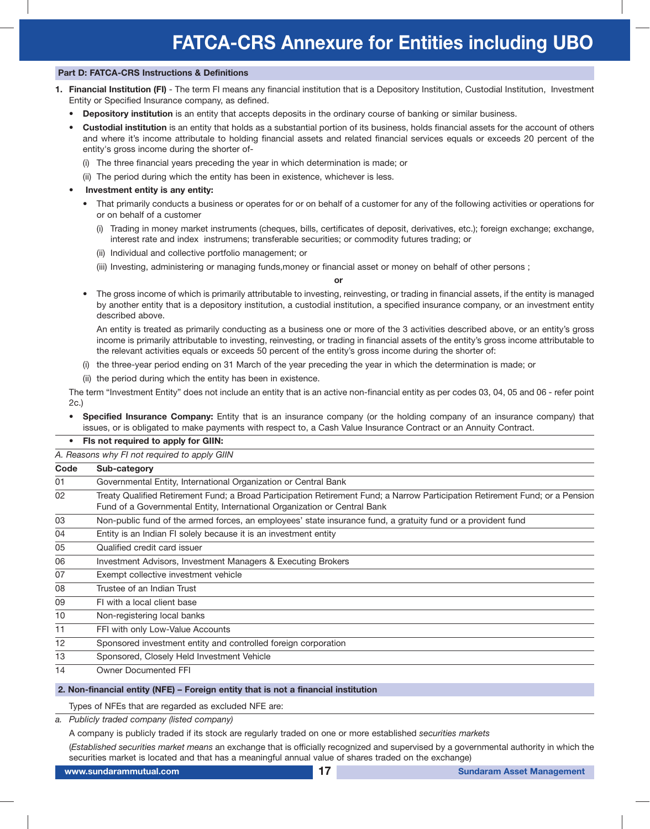### **Part D: FATCA-CRS Instructions & Definitions**

- **1. Financial Institution (FI)** The term FI means any financial institution that is a Depository Institution, Custodial Institution, Investment Entity or Specified Insurance company, as defined.
	- **Depository institution** is an entity that accepts deposits in the ordinary course of banking or similar business.
	- **Custodial institution** is an entity that holds as a substantial portion of its business, holds financial assets for the account of others and where it's income attributale to holding financial assets and related financial services equals or exceeds 20 percent of the entity's gross income during the shorter of-
		- (i) The three financial years preceding the year in which determination is made; or
		- (ii) The period during which the entity has been in existence, whichever is less.
	- **Investment entity is any entity:**
		- That primarily conducts a business or operates for or on behalf of a customer for any of the following activities or operations for or on behalf of a customer
			- (i) Trading in money market instruments (cheques, bills, certificates of deposit, derivatives, etc.); foreign exchange; exchange, interest rate and index instrumens; transferable securities; or commodity futures trading; or
			- (ii) Individual and collective portfolio management; or
			- (iii) Investing, administering or managing funds,money or financial asset or money on behalf of other persons ;

#### **or**

• The gross income of which is primarily attributable to investing, reinvesting, or trading in financial assets, if the entity is managed by another entity that is a depository institution, a custodial institution, a specified insurance company, or an investment entity described above.

An entity is treated as primarily conducting as a business one or more of the 3 activities described above, or an entity's gross income is primarily attributable to investing, reinvesting, or trading in financial assets of the entity's gross income attributable to the relevant activities equals or exceeds 50 percent of the entity's gross income during the shorter of:

- (i) the three-year period ending on 31 March of the year preceding the year in which the determination is made; or
- (ii) the period during which the entity has been in existence.

• **FIs not required to apply for GIIN:**

The term "Investment Entity" does not include an entity that is an active non-financial entity as per codes 03, 04, 05 and 06 - refer point 2c.)

• **Specified Insurance Company:** Entity that is an insurance company (or the holding company of an insurance company) that issues, or is obligated to make payments with respect to, a Cash Value Insurance Contract or an Annuity Contract.

|      | A. Reasons why FI not required to apply GIIN                                                                                                                                                               |
|------|------------------------------------------------------------------------------------------------------------------------------------------------------------------------------------------------------------|
| Code | Sub-category                                                                                                                                                                                               |
| 01   | Governmental Entity, International Organization or Central Bank                                                                                                                                            |
| 02   | Treaty Qualified Retirement Fund; a Broad Participation Retirement Fund; a Narrow Participation Retirement Fund; or a Pension<br>Fund of a Governmental Entity, International Organization or Central Bank |
| 03   | Non-public fund of the armed forces, an employees' state insurance fund, a gratuity fund or a provident fund                                                                                               |
| 04   | Entity is an Indian FI solely because it is an investment entity                                                                                                                                           |
| 05   | Qualified credit card issuer                                                                                                                                                                               |
| 06   | Investment Advisors, Investment Managers & Executing Brokers                                                                                                                                               |
| 07   | Exempt collective investment vehicle                                                                                                                                                                       |
| 08   | Trustee of an Indian Trust                                                                                                                                                                                 |
| 09   | FI with a local client base                                                                                                                                                                                |
| 10   | Non-registering local banks                                                                                                                                                                                |
| 11   | FFI with only Low-Value Accounts                                                                                                                                                                           |
| 12   | Sponsored investment entity and controlled foreign corporation                                                                                                                                             |
| 13   | Sponsored, Closely Held Investment Vehicle                                                                                                                                                                 |
| 14   | <b>Owner Documented FFI</b>                                                                                                                                                                                |

### **2. Non-financial entity (NFE) – Foreign entity that is not a financial institution**

Types of NFEs that are regarded as excluded NFE are:

*a. Publicly traded company (listed company)*

A company is publicly traded if its stock are regularly traded on one or more established *securities markets*

(*Established securities market means* an exchange that is officially recognized and supervised by a governmental authority in which the securities market is located and that has a meaningful annual value of shares traded on the exchange)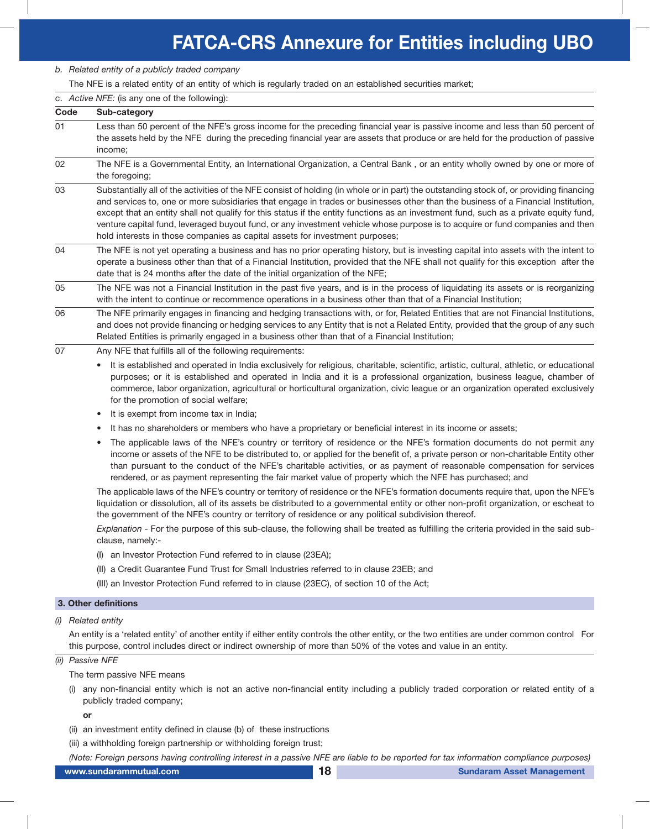## **FATCA-CRS Annexure for Entities including UBO**

### *b. Related entity of a publicly traded company*

The NFE is a related entity of an entity of which is regularly traded on an established securities market;

|      | c. Active NFE: (is any one of the following):                                                                                                                                                                                                                                                                                                                                                                                                                                                                                                                                                                                           |
|------|-----------------------------------------------------------------------------------------------------------------------------------------------------------------------------------------------------------------------------------------------------------------------------------------------------------------------------------------------------------------------------------------------------------------------------------------------------------------------------------------------------------------------------------------------------------------------------------------------------------------------------------------|
| Code | Sub-category                                                                                                                                                                                                                                                                                                                                                                                                                                                                                                                                                                                                                            |
| 01   | Less than 50 percent of the NFE's gross income for the preceding financial year is passive income and less than 50 percent of<br>the assets held by the NFE during the preceding financial year are assets that produce or are held for the production of passive<br>income;                                                                                                                                                                                                                                                                                                                                                            |
| 02   | The NFE is a Governmental Entity, an International Organization, a Central Bank, or an entity wholly owned by one or more of<br>the foregoing;                                                                                                                                                                                                                                                                                                                                                                                                                                                                                          |
| 03   | Substantially all of the activities of the NFE consist of holding (in whole or in part) the outstanding stock of, or providing financing<br>and services to, one or more subsidiaries that engage in trades or businesses other than the business of a Financial Institution,<br>except that an entity shall not qualify for this status if the entity functions as an investment fund, such as a private equity fund,<br>venture capital fund, leveraged buyout fund, or any investment vehicle whose purpose is to acquire or fund companies and then<br>hold interests in those companies as capital assets for investment purposes; |
| 04   | The NFE is not yet operating a business and has no prior operating history, but is investing capital into assets with the intent to<br>operate a business other than that of a Financial Institution, provided that the NFE shall not qualify for this exception after the<br>date that is 24 months after the date of the initial organization of the NFE;                                                                                                                                                                                                                                                                             |
| 05   | The NFE was not a Financial Institution in the past five years, and is in the process of liquidating its assets or is reorganizing<br>with the intent to continue or recommence operations in a business other than that of a Financial Institution;                                                                                                                                                                                                                                                                                                                                                                                    |
| 06   | The NFE primarily engages in financing and hedging transactions with, or for, Related Entities that are not Financial Institutions,<br>and does not provide financing or hedging services to any Entity that is not a Related Entity, provided that the group of any such<br>Related Entities is primarily engaged in a business other than that of a Financial Institution;                                                                                                                                                                                                                                                            |
| 07   | Any NFE that fulfills all of the following requirements:                                                                                                                                                                                                                                                                                                                                                                                                                                                                                                                                                                                |
|      | It is established and operated in India exclusively for religious, charitable, scientific, artistic, cultural, athletic, or educational<br>$\bullet$<br>purposes; or it is established and operated in India and it is a professional organization, business league, chamber of<br>commerce, labor organization, agricultural or horticultural organization, civic league or an organization operated exclusively<br>for the promotion of social welfare;                                                                                                                                                                               |
|      | It is exempt from income tax in India;<br>$\bullet$                                                                                                                                                                                                                                                                                                                                                                                                                                                                                                                                                                                     |
|      | It has no shareholders or members who have a proprietary or beneficial interest in its income or assets;<br>$\bullet$                                                                                                                                                                                                                                                                                                                                                                                                                                                                                                                   |
|      | The applicable laws of the NFE's country or territory of residence or the NFE's formation documents do not permit any<br>income or assets of the NFE to be distributed to, or applied for the benefit of, a private person or non-charitable Entity other<br>than pursuant to the conduct of the NFE's charitable activities, or as payment of reasonable compensation for services<br>rendered, or as payment representing the fair market value of property which the NFE has purchased; and                                                                                                                                          |
|      | The applicable laws of the NFE's country or territory of residence or the NFE's formation documents require that, upon the NFE's<br>liquidation or dissolution, all of its assets be distributed to a governmental entity or other non-profit organization, or escheat to<br>the government of the NFE's country or territory of residence or any political subdivision thereof.                                                                                                                                                                                                                                                        |
|      | Explanation - For the purpose of this sub-clause, the following shall be treated as fulfilling the criteria provided in the said sub-<br>clause, namely:-                                                                                                                                                                                                                                                                                                                                                                                                                                                                               |
|      | (I) an Investor Protection Fund referred to in clause (23EA);                                                                                                                                                                                                                                                                                                                                                                                                                                                                                                                                                                           |

(II) a Credit Guarantee Fund Trust for Small Industries referred to in clause 23EB; and

(III) an Investor Protection Fund referred to in clause (23EC), of section 10 of the Act;

#### **3. Other definitions**

*(i) Related entity*

An entity is a 'related entity' of another entity if either entity controls the other entity, or the two entities are under common control For this purpose, control includes direct or indirect ownership of more than 50% of the votes and value in an entity.

### *(ii) Passive NFE*

The term passive NFE means

(i) any non-financial entity which is not an active non-financial entity including a publicly traded corporation or related entity of a publicly traded company;

**or**

(ii) an investment entity defined in clause (b) of these instructions

(iii) a withholding foreign partnership or withholding foreign trust;

(Note: Foreign persons having controlling interest in a passive NFE are liable to be reported for tax information compliance purposes)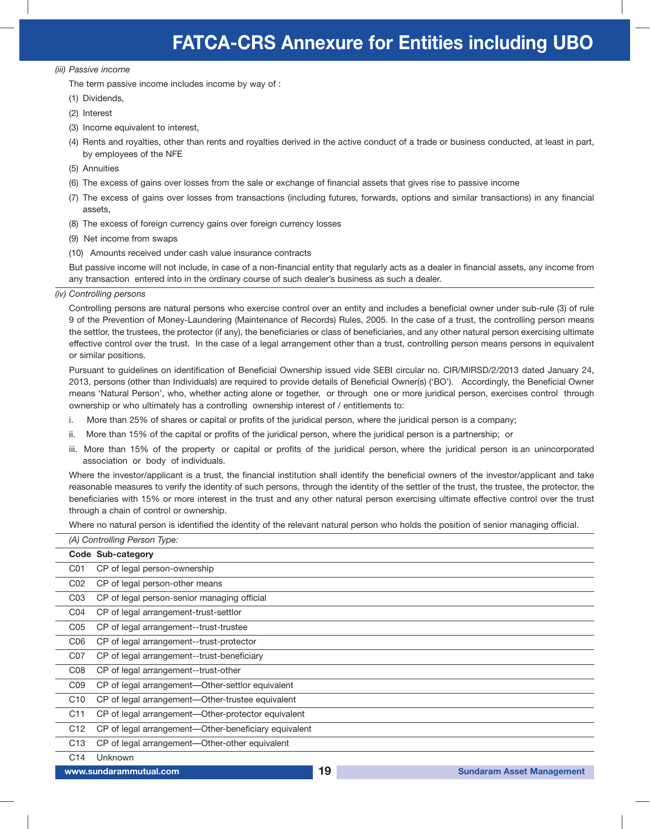#### *(iii) Passive income*

- The term passive income includes income by way of :
- (1) Dividends,
- (2) Interest
- (3) Income equivalent to interest,
- (4) Rents and royalties, other than rents and royalties derived in the active conduct of a trade or business conducted, at least in part, by employees of the NFE
- (5) Annuities
- (6) The excess of gains over losses from the sale or exchange of financial assets that gives rise to passive income
- (7) The excess of gains over losses from transactions (including futures, forwards, options and similar transactions) in any financial assets,
- (8) The excess of foreign currency gains over foreign currency losses
- (9) Net income from swaps
- (10) Amounts received under cash value insurance contracts

But passive income will not include, in case of a non-financial entity that regularly acts as a dealer in financial assets, any income from any transaction entered into in the ordinary course of such dealer's business as such a dealer.

*(iv) Controlling persons*

Controlling persons are natural persons who exercise control over an entity and includes a beneficial owner under sub-rule (3) of rule 9 of the Prevention of Money-Laundering (Maintenance of Records) Rules, 2005. In the case of a trust, the controlling person means the settlor, the trustees, the protector (if any), the beneficiaries or class of beneficiaries, and any other natural person exercising ultimate effective control over the trust. In the case of a legal arrangement other than a trust, controlling person means persons in equivalent or similar positions.

Pursuant to guidelines on identification of Beneficial Ownership issued vide SEBI circular no. CIR/MIRSD/2/2013 dated January 24, 2013, persons (other than Individuals) are required to provide details of Beneficial Owner(s) ('BO'). Accordingly, the Beneficial Owner means 'Natural Person', who, whether acting alone or together, or through one or more juridical person, exercises control through ownership or who ultimately has a controlling ownership interest of / entitlements to:

- i. More than 25% of shares or capital or profits of the juridical person, where the juridical person is a company;
- ii. More than 15% of the capital or profits of the juridical person, where the juridical person is a partnership; or
- iii. More than 15% of the property or capital or profits of the juridical person, where the juridical person is an unincorporated association or body of individuals.

Where the investor/applicant is a trust, the financial institution shall identify the beneficial owners of the investor/applicant and take reasonable measures to verify the identity of such persons, through the identity of the settler of the trust, the trustee, the protector, the beneficiaries with 15% or more interest in the trust and any other natural person exercising ultimate effective control over the trust through a chain of control or ownership.

Where no natural person is identified the identity of the relevant natural person who holds the position of senior managing official.

|                  | (A) Controlling Person Type:                         |    |  |                                  |  |  |  |  |  |  |
|------------------|------------------------------------------------------|----|--|----------------------------------|--|--|--|--|--|--|
|                  | <b>Code Sub-category</b>                             |    |  |                                  |  |  |  |  |  |  |
| C01              | CP of legal person-ownership                         |    |  |                                  |  |  |  |  |  |  |
| CO <sub>2</sub>  | CP of legal person-other means                       |    |  |                                  |  |  |  |  |  |  |
| CO <sub>3</sub>  | CP of legal person-senior managing official          |    |  |                                  |  |  |  |  |  |  |
| C04              | CP of legal arrangement-trust-settlor                |    |  |                                  |  |  |  |  |  |  |
| C <sub>05</sub>  | CP of legal arrangement--trust-trustee               |    |  |                                  |  |  |  |  |  |  |
| C <sub>06</sub>  | CP of legal arrangement--trust-protector             |    |  |                                  |  |  |  |  |  |  |
| C <sub>0</sub> 7 | CP of legal arrangement--trust-beneficiary           |    |  |                                  |  |  |  |  |  |  |
| CO8              | CP of legal arrangement--trust-other                 |    |  |                                  |  |  |  |  |  |  |
| CO9              | CP of legal arrangement-Other-settlor equivalent     |    |  |                                  |  |  |  |  |  |  |
| C <sub>10</sub>  | CP of legal arrangement-Other-trustee equivalent     |    |  |                                  |  |  |  |  |  |  |
| C <sub>11</sub>  | CP of legal arrangement-Other-protector equivalent   |    |  |                                  |  |  |  |  |  |  |
| C <sub>12</sub>  | CP of legal arrangement-Other-beneficiary equivalent |    |  |                                  |  |  |  |  |  |  |
| C <sub>13</sub>  | CP of legal arrangement-Other-other equivalent       |    |  |                                  |  |  |  |  |  |  |
| C <sub>14</sub>  | Unknown                                              |    |  |                                  |  |  |  |  |  |  |
|                  | www.sundarammutual.com                               | 19 |  | <b>Sundaram Asset Management</b> |  |  |  |  |  |  |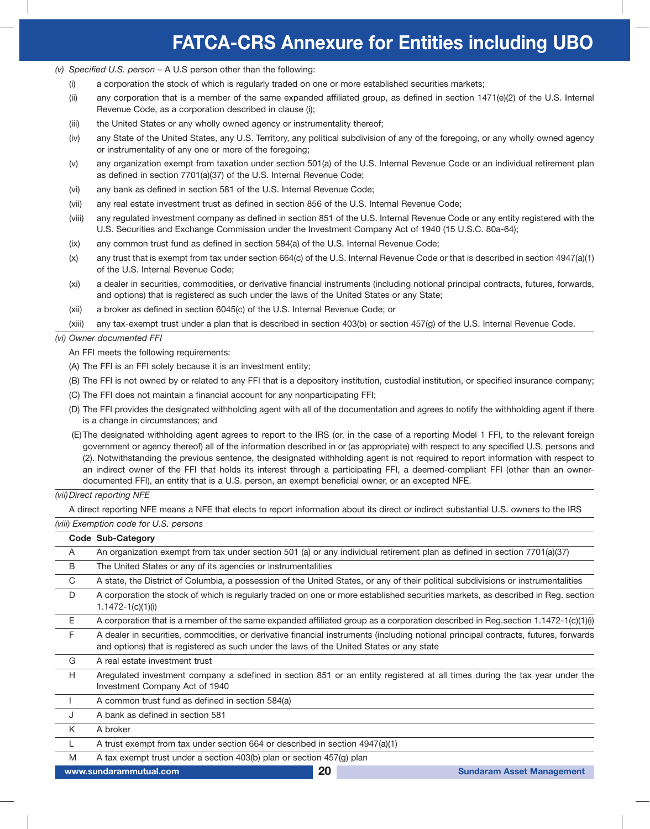## **FATCA-CRS Annexure for Entities including UBO**

#### *(v) Specified U.S. person* – A U.S person other than the following:

- (i) a corporation the stock of which is regularly traded on one or more established securities markets;
- (ii) any corporation that is a member of the same expanded affiliated group, as defined in section 1471(e)(2) of the U.S. Internal Revenue Code, as a corporation described in clause (i);
- (iii) the United States or any wholly owned agency or instrumentality thereof;
- (iv) any State of the United States, any U.S. Territory, any political subdivision of any of the foregoing, or any wholly owned agency or instrumentality of any one or more of the foregoing;
- (v) any organization exempt from taxation under section 501(a) of the U.S. Internal Revenue Code or an individual retirement plan as defined in section 7701(a)(37) of the U.S. Internal Revenue Code;
- (vi) any bank as defined in section 581 of the U.S. Internal Revenue Code;
- (vii) any real estate investment trust as defined in section 856 of the U.S. Internal Revenue Code;
- (viii) any regulated investment company as defined in section 851 of the U.S. Internal Revenue Code or any entity registered with the U.S. Securities and Exchange Commission under the Investment Company Act of 1940 (15 U.S.C. 80a-64);
- (ix) any common trust fund as defined in section 584(a) of the U.S. Internal Revenue Code;
- (x) any trust that is exempt from tax under section 664(c) of the U.S. Internal Revenue Code or that is described in section 4947(a)(1) of the U.S. Internal Revenue Code;
- (xi) a dealer in securities, commodities, or derivative financial instruments (including notional principal contracts, futures, forwards, and options) that is registered as such under the laws of the United States or any State;
- (xii) a broker as defined in section 6045(c) of the U.S. Internal Revenue Code; or
- (xiii) any tax-exempt trust under a plan that is described in section 403(b) or section 457(g) of the U.S. Internal Revenue Code.

#### *(vi) Owner documented FFI*

An FFI meets the following requirements:

- (A) The FFI is an FFI solely because it is an investment entity;
- (B) The FFI is not owned by or related to any FFI that is a depository institution, custodial institution, or specified insurance company;
- (C) The FFI does not maintain a financial account for any nonparticipating FFI;
- (D) The FFI provides the designated withholding agent with all of the documentation and agrees to notify the withholding agent if there is a change in circumstances; and
- (E)The designated withholding agent agrees to report to the IRS (or, in the case of a reporting Model 1 FFI, to the relevant foreign government or agency thereof) all of the information described in or (as appropriate) with respect to any specified U.S. persons and (2). Notwithstanding the previous sentence, the designated withholding agent is not required to report information with respect to an indirect owner of the FFI that holds its interest through a participating FFI, a deemed-compliant FFI (other than an ownerdocumented FFI), an entity that is a U.S. person, an exempt beneficial owner, or an excepted NFE.

### *(vii)Direct reporting NFE*

A direct reporting NFE means a NFE that elects to report information about its direct or indirect substantial U.S. owners to the IRS

*(viii) Exemption code for U.S. persons*

|    | <b>Code Sub-Category</b>                                                                                                                                                                                                        |  |  |  |  |  |  |  |  |
|----|---------------------------------------------------------------------------------------------------------------------------------------------------------------------------------------------------------------------------------|--|--|--|--|--|--|--|--|
| A  | An organization exempt from tax under section 501 (a) or any individual retirement plan as defined in section 7701(a)(37)                                                                                                       |  |  |  |  |  |  |  |  |
| B  | The United States or any of its agencies or instrumentalities                                                                                                                                                                   |  |  |  |  |  |  |  |  |
| C  | A state, the District of Columbia, a possession of the United States, or any of their political subdivisions or instrumentalities                                                                                               |  |  |  |  |  |  |  |  |
| D  | A corporation the stock of which is regularly traded on one or more established securities markets, as described in Reg. section<br>$1.1472 - 1(c)(1)(i)$                                                                       |  |  |  |  |  |  |  |  |
| E. | A corporation that is a member of the same expanded affiliated group as a corporation described in Reg.section 1.1472-1(c)(1)(i)                                                                                                |  |  |  |  |  |  |  |  |
| F  | A dealer in securities, commodities, or derivative financial instruments (including notional principal contracts, futures, forwards<br>and options) that is registered as such under the laws of the United States or any state |  |  |  |  |  |  |  |  |
| G  | A real estate investment trust                                                                                                                                                                                                  |  |  |  |  |  |  |  |  |
| H  | Aregulated investment company a sdefined in section 851 or an entity registered at all times during the tax year under the<br>Investment Company Act of 1940                                                                    |  |  |  |  |  |  |  |  |
|    | A common trust fund as defined in section 584(a)                                                                                                                                                                                |  |  |  |  |  |  |  |  |
| J  | A bank as defined in section 581                                                                                                                                                                                                |  |  |  |  |  |  |  |  |
| K  | A broker                                                                                                                                                                                                                        |  |  |  |  |  |  |  |  |
| L. | A trust exempt from tax under section 664 or described in section 4947(a)(1)                                                                                                                                                    |  |  |  |  |  |  |  |  |
| M  | A tax exempt trust under a section 403(b) plan or section 457(g) plan                                                                                                                                                           |  |  |  |  |  |  |  |  |
|    | 20<br>www.sundarammutual.com<br><b>Sundaram Asset Management</b>                                                                                                                                                                |  |  |  |  |  |  |  |  |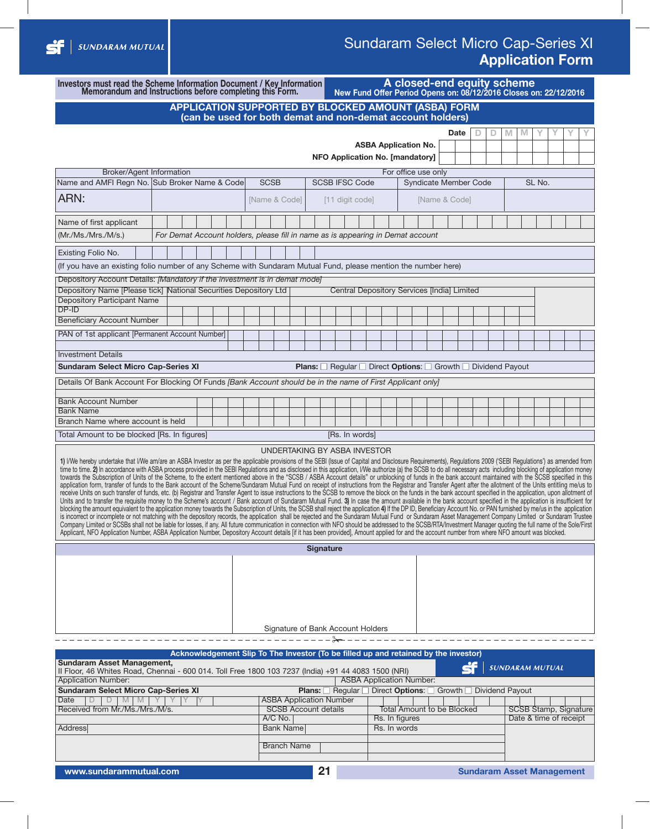

### Sundaram Select Micro Cap-Series XI **Application Form**

**Memorandum and Instructions before completing this Form.**

**A closed-end equity scheme**

| Investors must read the Scheme Information Document / Key Information<br>A closed-end equity scheme<br>Memorandum and Instructions before completing this Form.<br>New Fund Offer Period Opens on: 08/12/2016 Closes on: 22/12/2016                                                                                                                                                                                                                                                                                                                                                                                                                                                                                                                                                                                                                                                                                                                                                                                                                                                                                                                                                                                                                                                                                                                                                                                                                                                                                                                                                                                                                                                                                                                                                                                                                                                                                                                                                                               |                                                                                                                                               |                                                                                     |  |                                                   |  |  |  |  |  |                |  |  |                                             |  |  |             |   |   |   |   |  |  |  |  |
|-------------------------------------------------------------------------------------------------------------------------------------------------------------------------------------------------------------------------------------------------------------------------------------------------------------------------------------------------------------------------------------------------------------------------------------------------------------------------------------------------------------------------------------------------------------------------------------------------------------------------------------------------------------------------------------------------------------------------------------------------------------------------------------------------------------------------------------------------------------------------------------------------------------------------------------------------------------------------------------------------------------------------------------------------------------------------------------------------------------------------------------------------------------------------------------------------------------------------------------------------------------------------------------------------------------------------------------------------------------------------------------------------------------------------------------------------------------------------------------------------------------------------------------------------------------------------------------------------------------------------------------------------------------------------------------------------------------------------------------------------------------------------------------------------------------------------------------------------------------------------------------------------------------------------------------------------------------------------------------------------------------------|-----------------------------------------------------------------------------------------------------------------------------------------------|-------------------------------------------------------------------------------------|--|---------------------------------------------------|--|--|--|--|--|----------------|--|--|---------------------------------------------|--|--|-------------|---|---|---|---|--|--|--|--|
| APPLICATION SUPPORTED BY BLOCKED AMOUNT (ASBA) FORM                                                                                                                                                                                                                                                                                                                                                                                                                                                                                                                                                                                                                                                                                                                                                                                                                                                                                                                                                                                                                                                                                                                                                                                                                                                                                                                                                                                                                                                                                                                                                                                                                                                                                                                                                                                                                                                                                                                                                               |                                                                                                                                               |                                                                                     |  |                                                   |  |  |  |  |  |                |  |  |                                             |  |  |             |   |   |   |   |  |  |  |  |
| (can be used for both demat and non-demat account holders)                                                                                                                                                                                                                                                                                                                                                                                                                                                                                                                                                                                                                                                                                                                                                                                                                                                                                                                                                                                                                                                                                                                                                                                                                                                                                                                                                                                                                                                                                                                                                                                                                                                                                                                                                                                                                                                                                                                                                        |                                                                                                                                               |                                                                                     |  |                                                   |  |  |  |  |  |                |  |  |                                             |  |  |             |   |   |   |   |  |  |  |  |
|                                                                                                                                                                                                                                                                                                                                                                                                                                                                                                                                                                                                                                                                                                                                                                                                                                                                                                                                                                                                                                                                                                                                                                                                                                                                                                                                                                                                                                                                                                                                                                                                                                                                                                                                                                                                                                                                                                                                                                                                                   |                                                                                                                                               |                                                                                     |  |                                                   |  |  |  |  |  |                |  |  |                                             |  |  | <b>Date</b> | D | D | M | M |  |  |  |  |
|                                                                                                                                                                                                                                                                                                                                                                                                                                                                                                                                                                                                                                                                                                                                                                                                                                                                                                                                                                                                                                                                                                                                                                                                                                                                                                                                                                                                                                                                                                                                                                                                                                                                                                                                                                                                                                                                                                                                                                                                                   |                                                                                                                                               |                                                                                     |  |                                                   |  |  |  |  |  |                |  |  | <b>ASBA Application No.</b>                 |  |  |             |   |   |   |   |  |  |  |  |
|                                                                                                                                                                                                                                                                                                                                                                                                                                                                                                                                                                                                                                                                                                                                                                                                                                                                                                                                                                                                                                                                                                                                                                                                                                                                                                                                                                                                                                                                                                                                                                                                                                                                                                                                                                                                                                                                                                                                                                                                                   |                                                                                                                                               |                                                                                     |  |                                                   |  |  |  |  |  |                |  |  | NFO Application No. [mandatory]             |  |  |             |   |   |   |   |  |  |  |  |
| <b>Broker/Agent Information</b><br>For office use only                                                                                                                                                                                                                                                                                                                                                                                                                                                                                                                                                                                                                                                                                                                                                                                                                                                                                                                                                                                                                                                                                                                                                                                                                                                                                                                                                                                                                                                                                                                                                                                                                                                                                                                                                                                                                                                                                                                                                            |                                                                                                                                               |                                                                                     |  |                                                   |  |  |  |  |  |                |  |  |                                             |  |  |             |   |   |   |   |  |  |  |  |
|                                                                                                                                                                                                                                                                                                                                                                                                                                                                                                                                                                                                                                                                                                                                                                                                                                                                                                                                                                                                                                                                                                                                                                                                                                                                                                                                                                                                                                                                                                                                                                                                                                                                                                                                                                                                                                                                                                                                                                                                                   | Name and AMFI Regn No. Sub Broker Name & Code<br><b>SCSB IFSC Code</b><br>Syndicate Member Code<br><b>SCSB</b>                                |                                                                                     |  |                                                   |  |  |  |  |  |                |  |  | SL No.                                      |  |  |             |   |   |   |   |  |  |  |  |
| ARN:                                                                                                                                                                                                                                                                                                                                                                                                                                                                                                                                                                                                                                                                                                                                                                                                                                                                                                                                                                                                                                                                                                                                                                                                                                                                                                                                                                                                                                                                                                                                                                                                                                                                                                                                                                                                                                                                                                                                                                                                              |                                                                                                                                               |                                                                                     |  | [Name & Code]<br>[11 digit code]<br>[Name & Code] |  |  |  |  |  |                |  |  |                                             |  |  |             |   |   |   |   |  |  |  |  |
| Name of first applicant                                                                                                                                                                                                                                                                                                                                                                                                                                                                                                                                                                                                                                                                                                                                                                                                                                                                                                                                                                                                                                                                                                                                                                                                                                                                                                                                                                                                                                                                                                                                                                                                                                                                                                                                                                                                                                                                                                                                                                                           |                                                                                                                                               |                                                                                     |  |                                                   |  |  |  |  |  |                |  |  |                                             |  |  |             |   |   |   |   |  |  |  |  |
| For Demat Account holders, please fill in name as is appearing in Demat account<br>(Mr/Ms./Mrs./M/s.)                                                                                                                                                                                                                                                                                                                                                                                                                                                                                                                                                                                                                                                                                                                                                                                                                                                                                                                                                                                                                                                                                                                                                                                                                                                                                                                                                                                                                                                                                                                                                                                                                                                                                                                                                                                                                                                                                                             |                                                                                                                                               |                                                                                     |  |                                                   |  |  |  |  |  |                |  |  |                                             |  |  |             |   |   |   |   |  |  |  |  |
| Existing Folio No.                                                                                                                                                                                                                                                                                                                                                                                                                                                                                                                                                                                                                                                                                                                                                                                                                                                                                                                                                                                                                                                                                                                                                                                                                                                                                                                                                                                                                                                                                                                                                                                                                                                                                                                                                                                                                                                                                                                                                                                                |                                                                                                                                               |                                                                                     |  |                                                   |  |  |  |  |  |                |  |  |                                             |  |  |             |   |   |   |   |  |  |  |  |
| (If you have an existing folio number of any Scheme with Sundaram Mutual Fund, please mention the number here)                                                                                                                                                                                                                                                                                                                                                                                                                                                                                                                                                                                                                                                                                                                                                                                                                                                                                                                                                                                                                                                                                                                                                                                                                                                                                                                                                                                                                                                                                                                                                                                                                                                                                                                                                                                                                                                                                                    |                                                                                                                                               |                                                                                     |  |                                                   |  |  |  |  |  |                |  |  |                                             |  |  |             |   |   |   |   |  |  |  |  |
| Depository Account Details: [Mandatory if the investment is in demat mode]                                                                                                                                                                                                                                                                                                                                                                                                                                                                                                                                                                                                                                                                                                                                                                                                                                                                                                                                                                                                                                                                                                                                                                                                                                                                                                                                                                                                                                                                                                                                                                                                                                                                                                                                                                                                                                                                                                                                        |                                                                                                                                               |                                                                                     |  |                                                   |  |  |  |  |  |                |  |  |                                             |  |  |             |   |   |   |   |  |  |  |  |
| Depository Name [Please tick] National Securities Depository Ltd<br><b>Depository Participant Name</b>                                                                                                                                                                                                                                                                                                                                                                                                                                                                                                                                                                                                                                                                                                                                                                                                                                                                                                                                                                                                                                                                                                                                                                                                                                                                                                                                                                                                                                                                                                                                                                                                                                                                                                                                                                                                                                                                                                            |                                                                                                                                               |                                                                                     |  |                                                   |  |  |  |  |  |                |  |  | Central Depository Services [India] Limited |  |  |             |   |   |   |   |  |  |  |  |
| DP-ID                                                                                                                                                                                                                                                                                                                                                                                                                                                                                                                                                                                                                                                                                                                                                                                                                                                                                                                                                                                                                                                                                                                                                                                                                                                                                                                                                                                                                                                                                                                                                                                                                                                                                                                                                                                                                                                                                                                                                                                                             |                                                                                                                                               |                                                                                     |  |                                                   |  |  |  |  |  |                |  |  |                                             |  |  |             |   |   |   |   |  |  |  |  |
| <b>Beneficiary Account Number</b>                                                                                                                                                                                                                                                                                                                                                                                                                                                                                                                                                                                                                                                                                                                                                                                                                                                                                                                                                                                                                                                                                                                                                                                                                                                                                                                                                                                                                                                                                                                                                                                                                                                                                                                                                                                                                                                                                                                                                                                 |                                                                                                                                               |                                                                                     |  |                                                   |  |  |  |  |  |                |  |  |                                             |  |  |             |   |   |   |   |  |  |  |  |
| PAN of 1st applicant [Permanent Account Number]                                                                                                                                                                                                                                                                                                                                                                                                                                                                                                                                                                                                                                                                                                                                                                                                                                                                                                                                                                                                                                                                                                                                                                                                                                                                                                                                                                                                                                                                                                                                                                                                                                                                                                                                                                                                                                                                                                                                                                   |                                                                                                                                               |                                                                                     |  |                                                   |  |  |  |  |  |                |  |  |                                             |  |  |             |   |   |   |   |  |  |  |  |
| <b>Investment Details</b>                                                                                                                                                                                                                                                                                                                                                                                                                                                                                                                                                                                                                                                                                                                                                                                                                                                                                                                                                                                                                                                                                                                                                                                                                                                                                                                                                                                                                                                                                                                                                                                                                                                                                                                                                                                                                                                                                                                                                                                         |                                                                                                                                               |                                                                                     |  |                                                   |  |  |  |  |  |                |  |  |                                             |  |  |             |   |   |   |   |  |  |  |  |
|                                                                                                                                                                                                                                                                                                                                                                                                                                                                                                                                                                                                                                                                                                                                                                                                                                                                                                                                                                                                                                                                                                                                                                                                                                                                                                                                                                                                                                                                                                                                                                                                                                                                                                                                                                                                                                                                                                                                                                                                                   | <b>Plans:</b> $\Box$ Regular $\Box$ Direct <b>Options:</b> $\Box$ Growth $\Box$ Dividend Payout<br><b>Sundaram Select Micro Cap-Series XI</b> |                                                                                     |  |                                                   |  |  |  |  |  |                |  |  |                                             |  |  |             |   |   |   |   |  |  |  |  |
|                                                                                                                                                                                                                                                                                                                                                                                                                                                                                                                                                                                                                                                                                                                                                                                                                                                                                                                                                                                                                                                                                                                                                                                                                                                                                                                                                                                                                                                                                                                                                                                                                                                                                                                                                                                                                                                                                                                                                                                                                   |                                                                                                                                               |                                                                                     |  |                                                   |  |  |  |  |  |                |  |  |                                             |  |  |             |   |   |   |   |  |  |  |  |
| Details Of Bank Account For Blocking Of Funds [Bank Account should be in the name of First Applicant only]                                                                                                                                                                                                                                                                                                                                                                                                                                                                                                                                                                                                                                                                                                                                                                                                                                                                                                                                                                                                                                                                                                                                                                                                                                                                                                                                                                                                                                                                                                                                                                                                                                                                                                                                                                                                                                                                                                        |                                                                                                                                               |                                                                                     |  |                                                   |  |  |  |  |  |                |  |  |                                             |  |  |             |   |   |   |   |  |  |  |  |
| <b>Bank Account Number</b>                                                                                                                                                                                                                                                                                                                                                                                                                                                                                                                                                                                                                                                                                                                                                                                                                                                                                                                                                                                                                                                                                                                                                                                                                                                                                                                                                                                                                                                                                                                                                                                                                                                                                                                                                                                                                                                                                                                                                                                        |                                                                                                                                               |                                                                                     |  |                                                   |  |  |  |  |  |                |  |  |                                             |  |  |             |   |   |   |   |  |  |  |  |
| <b>Bank Name</b><br>Branch Name where account is held                                                                                                                                                                                                                                                                                                                                                                                                                                                                                                                                                                                                                                                                                                                                                                                                                                                                                                                                                                                                                                                                                                                                                                                                                                                                                                                                                                                                                                                                                                                                                                                                                                                                                                                                                                                                                                                                                                                                                             |                                                                                                                                               |                                                                                     |  |                                                   |  |  |  |  |  |                |  |  |                                             |  |  |             |   |   |   |   |  |  |  |  |
| Total Amount to be blocked [Rs. In figures]                                                                                                                                                                                                                                                                                                                                                                                                                                                                                                                                                                                                                                                                                                                                                                                                                                                                                                                                                                                                                                                                                                                                                                                                                                                                                                                                                                                                                                                                                                                                                                                                                                                                                                                                                                                                                                                                                                                                                                       |                                                                                                                                               |                                                                                     |  |                                                   |  |  |  |  |  | [Rs. In words] |  |  |                                             |  |  |             |   |   |   |   |  |  |  |  |
|                                                                                                                                                                                                                                                                                                                                                                                                                                                                                                                                                                                                                                                                                                                                                                                                                                                                                                                                                                                                                                                                                                                                                                                                                                                                                                                                                                                                                                                                                                                                                                                                                                                                                                                                                                                                                                                                                                                                                                                                                   |                                                                                                                                               |                                                                                     |  |                                                   |  |  |  |  |  |                |  |  |                                             |  |  |             |   |   |   |   |  |  |  |  |
| UNDERTAKING BY ASBA INVESTOR<br>1) I/We hereby undertake that I/We am/are an ASBA Investor as per the applicable provisions of the SEBI (Issue of Capital and Disclosure Requirements), Regulations 2009 ('SEBI Regulations') as amended from<br>time to time. 2) In accordance with ASBA process provided in the SEBI Regulations and as disclosed in this application, I/We authorize (a) the SCSB to do all necessary acts including blocking of application money<br>towards the Subscription of Units of the Scheme, to the extent mentioned above in the "SCSB / ASBA Account details" or unblocking of funds in the bank account maintained with the SCSB specified in this<br>application form, transfer of funds to the Bank account of the Scheme/Sundaram Mutual Fund on receipt of instructions from the Registrar and Transfer Agent after the allotment of the Units entitling me/us to<br>receive Units on such transfer of funds, etc. (b) Registrar and Transfer Agent to issue instructions to the SCSB to remove the block on the funds in the bank account specified in the application, upon allotment of<br>Units and to transfer the requisite money to the Scheme's account / Bank account of Sundaram Mutual Fund. 3) In case the amount available in the bank account specified in the application is insufficient for<br>blocking the amount equivalent to the application money towards the Subscription of Units, the SCSB shall reject the application 4) If the DP ID, Beneficiary Account No. or PAN furnished by me/us in the application<br>is incorrect or incomplete or not matching with the depository records, the application shall be rejected and the Sundaram Mutual Fund or Sundaram Asset Management Company Limited or Sundaram Trustee<br>Company Limited or SCS<br>Applicant, NFO Application Number, ASBA Application Number, Depository Account details [if it has been provided], Amount applied for and the account number from where NFO amount was blocked. |                                                                                                                                               |                                                                                     |  |                                                   |  |  |  |  |  |                |  |  |                                             |  |  |             |   |   |   |   |  |  |  |  |
| <b>Signature</b>                                                                                                                                                                                                                                                                                                                                                                                                                                                                                                                                                                                                                                                                                                                                                                                                                                                                                                                                                                                                                                                                                                                                                                                                                                                                                                                                                                                                                                                                                                                                                                                                                                                                                                                                                                                                                                                                                                                                                                                                  |                                                                                                                                               |                                                                                     |  |                                                   |  |  |  |  |  |                |  |  |                                             |  |  |             |   |   |   |   |  |  |  |  |
| Signature of Bank Account Holders                                                                                                                                                                                                                                                                                                                                                                                                                                                                                                                                                                                                                                                                                                                                                                                                                                                                                                                                                                                                                                                                                                                                                                                                                                                                                                                                                                                                                                                                                                                                                                                                                                                                                                                                                                                                                                                                                                                                                                                 |                                                                                                                                               |                                                                                     |  |                                                   |  |  |  |  |  |                |  |  |                                             |  |  |             |   |   |   |   |  |  |  |  |
|                                                                                                                                                                                                                                                                                                                                                                                                                                                                                                                                                                                                                                                                                                                                                                                                                                                                                                                                                                                                                                                                                                                                                                                                                                                                                                                                                                                                                                                                                                                                                                                                                                                                                                                                                                                                                                                                                                                                                                                                                   |                                                                                                                                               |                                                                                     |  |                                                   |  |  |  |  |  |                |  |  |                                             |  |  |             |   |   |   |   |  |  |  |  |
|                                                                                                                                                                                                                                                                                                                                                                                                                                                                                                                                                                                                                                                                                                                                                                                                                                                                                                                                                                                                                                                                                                                                                                                                                                                                                                                                                                                                                                                                                                                                                                                                                                                                                                                                                                                                                                                                                                                                                                                                                   |                                                                                                                                               | Acknowledgement Slip To The Investor (To be filled up and retained by the investor) |  |                                                   |  |  |  |  |  |                |  |  |                                             |  |  |             |   |   |   |   |  |  |  |  |
| Sundaram Asset Management,<br>• <sub>6</sub>                                                                                                                                                                                                                                                                                                                                                                                                                                                                                                                                                                                                                                                                                                                                                                                                                                                                                                                                                                                                                                                                                                                                                                                                                                                                                                                                                                                                                                                                                                                                                                                                                                                                                                                                                                                                                                                                                                                                                                      |                                                                                                                                               |                                                                                     |  |                                                   |  |  |  |  |  |                |  |  |                                             |  |  |             |   |   |   |   |  |  |  |  |

| Sundaram Asset Management,                                                                          |                                |                                                                                                 | <b>SUNDARAM MUTUAL</b>       |  |  |  |  |  |  |  |
|-----------------------------------------------------------------------------------------------------|--------------------------------|-------------------------------------------------------------------------------------------------|------------------------------|--|--|--|--|--|--|--|
| Il Floor, 46 Whites Road, Chennai - 600 014. Toll Free 1800 103 7237 (India) +91 44 4083 1500 (NRI) |                                |                                                                                                 |                              |  |  |  |  |  |  |  |
| <b>Application Number:</b>                                                                          |                                | <b>ASBA Application Number:</b>                                                                 |                              |  |  |  |  |  |  |  |
| <b>Sundaram Select Micro Cap-Series XI</b>                                                          |                                | <b>Plans:</b> $\Box$ Regular $\Box$ Direct <b>Options:</b> $\Box$ Growth $\Box$ Dividend Payout |                              |  |  |  |  |  |  |  |
| Date<br><b>IVI</b>                                                                                  | <b>ASBA Application Number</b> |                                                                                                 |                              |  |  |  |  |  |  |  |
| Received from Mr./Ms./Mrs./M/s.                                                                     | <b>SCSB Account details</b>    | Total Amount to be Blocked                                                                      | <b>SCSB Stamp, Signature</b> |  |  |  |  |  |  |  |
|                                                                                                     | $A/C$ No.                      | Rs. In figures                                                                                  | Date & time of receipt       |  |  |  |  |  |  |  |
| Address                                                                                             | Bank Name                      | Rs. In words                                                                                    |                              |  |  |  |  |  |  |  |
|                                                                                                     |                                |                                                                                                 |                              |  |  |  |  |  |  |  |
|                                                                                                     | <b>Branch Name</b>             |                                                                                                 |                              |  |  |  |  |  |  |  |
|                                                                                                     |                                |                                                                                                 |                              |  |  |  |  |  |  |  |
|                                                                                                     |                                |                                                                                                 |                              |  |  |  |  |  |  |  |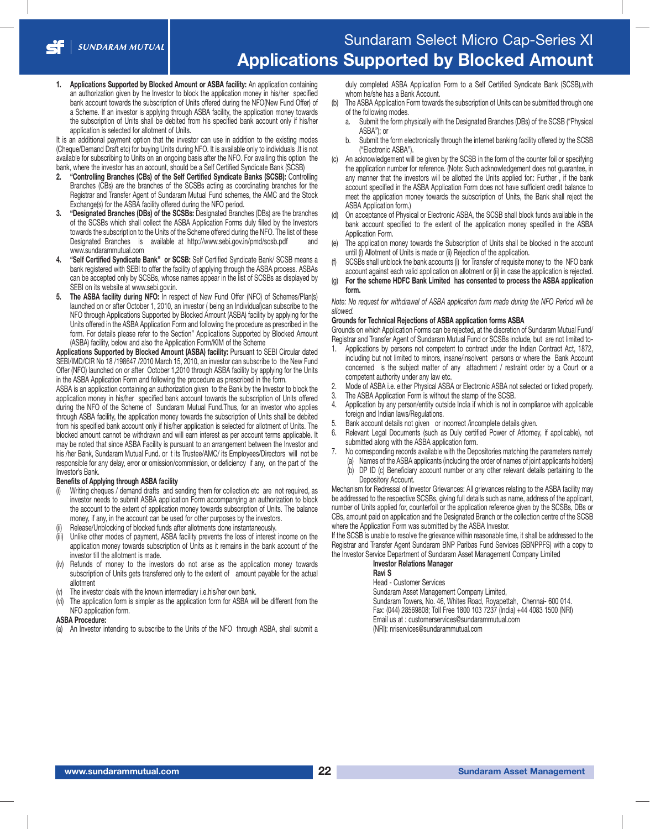## Sundaram Select Micro Cap-Series XI **Applications Supported by Blocked Amount**

**1. Applications Supported by Blocked Amount or ASBA facility:** An application containing an authorization given by the Investor to block the application money in his/her specified bank account towards the subscription of Units offered during the NFO(New Fund Offer) of a Scheme. If an investor is applying through ASBA facility, the application money towards the subscription of Units shall be debited from his specified bank account only if his/her application is selected for allotment of Units.

It is an additional payment option that the investor can use in addition to the existing modes (Cheque/Demand Draft etc) for buying Units during NFO. It is available only to individuals .It is not available for subscribing to Units on an ongoing basis after the NFO. For availing this option the bank, where the investor has an account, should be a Self Certified Syndicate Bank (SCSB)

- **2. "Controlling Branches (CBs) of the Self Certified Syndicate Banks (SCSB):** Controlling Branches (CBs) are the branches of the SCSBs acting as coordinating branches for the Registrar and Transfer Agent of Sundaram Mutual Fund schemes, the AMC and the Stock Exchange(s) for the ASBA facility offered during the NFO period.
- **3. "Designated Branches (DBs) of the SCSBs:** Designated Branches (DBs) are the branches of the SCSBs which shall collect the ASBA Application Forms duly filled by the Investors towards the subscription to the Units of the Scheme offered during the NFO. The list of these Designated Branches is available at http://www.sebi.gov.in/pmd/scsb.pdf and www.sundarammutual.com
- **4. "Self Certified Syndicate Bank" or SCSB:** Self Certified Syndicate Bank/ SCSB means a bank registered with SEBI to offer the facility of applying through the ASBA process. ASBAs can be accepted only by SCSBs, whose names appear in the list of SCSBs as displayed by SEBI on its website at www.sebi.gov.in.
- **5. The ASBA facility during NFO:** In respect of New Fund Offer (NFO) of Schemes/Plan(s) launched on or after October 1, 2010, an investor ( being an Individual)can subscribe to the NFO through Applications Supported by Blocked Amount (ASBA) facility by applying for the Units offered in the ASBA Application Form and following the procedure as prescribed in the form. For details please refer to the Section" Applications Supported by Blocked Amount (ASBA) facility, below and also the Application Form/KIM of the Scheme

**Applications Supported by Blocked Amount (ASBA) facility:** Pursuant to SEBI Circular dated SEBI/IMD/CIR No 18 /198647 /2010 March 15, 2010, an investor can subscribe to the New Fund Offer (NFO) launched on or after October 1,2010 through ASBA facility by applying for the Units in the ASBA Application Form and following the procedure as prescribed in the form.

ASBA is an application containing an authorization given to the Bank by the Investor to block the application money in his/her specified bank account towards the subscription of Units offered during the NFO of the Scheme of Sundaram Mutual Fund.Thus, for an investor who applies through ASBA facility, the application money towards the subscription of Units shall be debited from his specified bank account only if his/her application is selected for allotment of Units. The blocked amount cannot be withdrawn and will earn interest as per account terms applicable. It may be noted that since ASBA Facility is pursuant to an arrangement between the Investor and his /her Bank, Sundaram Mutual Fund. or t its Trustee/AMC/ its Employees/Directors will not be responsible for any delay, error or omission/commission, or deficiency if any, on the part of the Investor's Bank.

#### **Benefits of Applying through ASBA facility**

- Writing cheques / demand drafts and sending them for collection etc are not required, as investor needs to submit ASBA application Form accompanying an authorization to block the account to the extent of application money towards subscription of Units. The balance money, if any, in the account can be used for other purposes by the investors.
- Release/Unblocking of blocked funds after allotments done instantaneously.
- Unlike other modes of payment, ASBA facility prevents the loss of interest income on the application money towards subscription of Units as it remains in the bank account of the investor till the allotment is made.
- (iv) Refunds of money to the investors do not arise as the application money towards subscription of Units gets transferred only to the extent of amount payable for the actual allotment
- The investor deals with the known intermediary i.e.his/her own bank.
- The application form is simpler as the application form for ASBA will be different from the NFO application form.

**ASBA Procedure:**

An Investor intending to subscribe to the Units of the NFO through ASBA, shall submit a

duly completed ASBA Application Form to a Self Certified Syndicate Bank (SCSB),with whom he/she has a Bank Account.

- (b) The ASBA Application Form towards the subscription of Units can be submitted through one of the following modes.
	- a. Submit the form physically with the Designated Branches (DBs) of the SCSB ("Physical ASBA"); or
	- Submit the form electronically through the internet banking facility offered by the SCSB ("Electronic ASBA").
- (c) An acknowledgement will be given by the SCSB in the form of the counter foil or specifying the application number for reference. (Note: Such acknowledgement does not guarantee, in any manner that the investors will be allotted the Units applied for.: Further , if the bank account specified in the ASBA Application Form does not have sufficient credit balance to meet the application money towards the subscription of Units, the Bank shall reject the ASBA Application form.)
- On acceptance of Physical or Electronic ASBA, the SCSB shall block funds available in the bank account specified to the extent of the application money specified in the ASBA Application Form.
- (e) The application money towards the Subscription of Units shall be blocked in the account until (i) Allotment of Units is made or (ii) Rejection of the application.
- (f) SCSBs shall unblock the bank accounts (i) for Transfer of requisite money to the NFO bank account against each valid application on allotment or (ii) in case the application is rejected.
- (g) **For the scheme HDFC Bank Limited has consented to process the ASBA application form.**

*Note: No request for withdrawal of ASBA application form made during the NFO Period will be allowed.*

#### **Grounds for Technical Rejections of ASBA application forms ASBA**

Grounds on which Application Forms can be rejected, at the discretion of Sundaram Mutual Fund/ Registrar and Transfer Agent of Sundaram Mutual Fund or SCSBs include, but are not limited to-

- 1. Applications by persons not competent to contract under the Indian Contract Act, 1872, including but not limited to minors, insane/insolvent persons or where the Bank Account concerned is the subject matter of any attachment / restraint order by a Court or a competent authority under any law etc.
- 2. Mode of ASBA i.e. either Physical ASBA or Electronic ASBA not selected or ticked properly.
- 3. The ASBA Application Form is without the stamp of the SCSB.
- Application by any person/entity outside India if which is not in compliance with applicable foreign and Indian laws/Regulations.
- Bank account details not given or incorrect /incomplete details given.
- 6. Relevant Legal Documents (such as Duly certified Power of Attorney, if applicable), not submitted along with the ASBA application form.
- 7. No corresponding records available with the Depositories matching the parameters namely (a) Names of the ASBA applicants (including the order of names of joint applicants holders) DP ID (c) Beneficiary account number or any other relevant details pertaining to the

Depository Account. Mechanism for Redressal of Investor Grievances: All grievances relating to the ASBA facility may be addressed to the respective SCSBs, giving full details such as name, address of the applicant, number of Units applied for, counterfoil or the application reference given by the SCSBs, DBs or CBs, amount paid on application and the Designated Branch or the collection centre of the SCSB where the Application Form was submitted by the ASBA Investor.

If the SCSB is unable to resolve the grievance within reasonable time, it shall be addressed to the Registrar and Transfer Agent Sundaram BNP Paribas Fund Services (SBNPPFS) with a copy to the Investor Service Department of Sundaram Asset Management Company Limited

#### **Investor Relations Manager**

**Ravi S**

Head - Customer Services Sundaram Asset Management Company Limited, Sundaram Towers, No. 46, Whites Road, Royapettah, Chennai- 600 014. Fax: (044) 28569808; Toll Free 1800 103 7237 (India) +44 4083 1500 (NRI) Email us at : customerservices@sundarammutual.com (NRI): nriservices@sundarammutual.com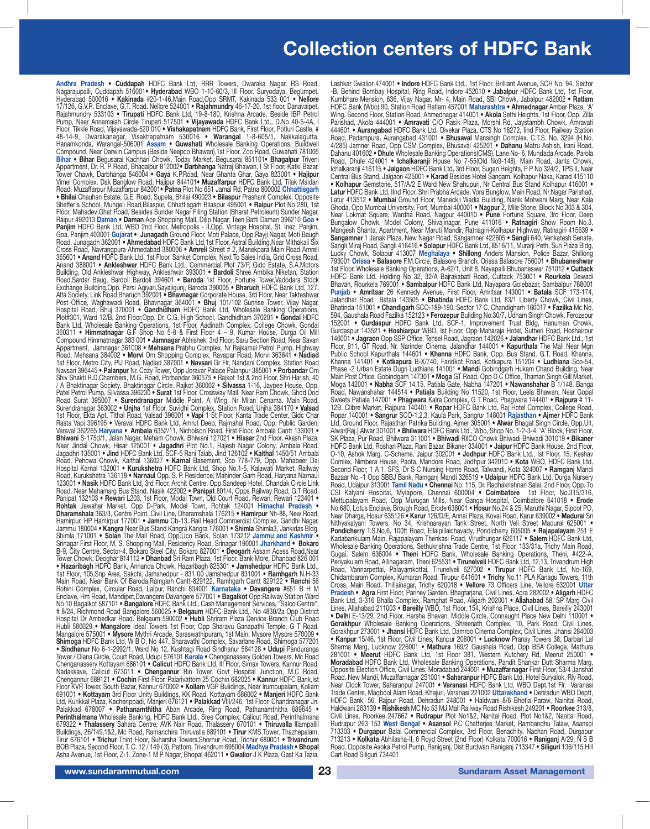## **Collection centers of HDFC Bank**

Andhra Pradesh • Cuddapah HDFC Bank Ltd, RRR Towers, Dwaraka Nagar, RS Road,<br>Nagarajupalli, Cuddapah 516001• Hyderabad WBO 1-10-60/3, III Floor, Suryodaya, Begumpet,<br>Hyderabad 500016 • Kakinada #20-1-46,Main Road,Opp SRMT, 17/126, G.V.R. Enclave, G.T. Road, Nellore 524001 • **Rajahmundry** 46-17-20, 1st floor, Danavaipet, Rajahmundry 533103 • **Tirupati** HDFC Bank Ltd, 19-8-180, Krishna Arcade, Beside IBP Petrol Pump, Near Annamaiah Circle Tirupati 517501 • **Vijayawada** HDFC Bank Ltd., D.No 40-5-4A, I Floor, Tikkle Road, Vijayawada-520 010 • **Vishakapatnam** HDFC Bank, First Floor, Potluri Castle, # 48-14-9, Dwarakanagar, Visakhapatnam 530016 • **warangai** 1-8-605/1, Nakkalagutta,<br>Hanamkonda, Warangal-506001 **Assam • Guwahati** Wholesale Banking Operations, Buildwell<br>Compound,NearDarwinCampus(BesideNeepcoBhawan),1st Flo **Binar • Binar** Begusarai Kachhari Chowk, Today Market, Begusarai 851101**° Bhagaipur** Triveni<br>Appartment, Dr. R. P Road, Bhagalpur 812002**• Darbhanga** Natraj Bhawan, I St Floor, Katki Bazar,<br>Tower Chawk, Darbhanga 846004 vimei Complex, Dak Banglow Road, Hajipur 844101**° Muzaffarpur** HDFC Bank Ltd, Tilak Maidan<br>Road, Muzaffarpur Muzaffarpur 842001**° Patna** Plot No 651 Jamal Rd, Patna 800002 **Chhattisgarh**<br>• **Bhilai** Chauhan Estate, G.E. Roa Sheffer's School, Mungeli Road,Bilaspur, Chhattisgarh Bilaspur 495001 • **Raipur** Plot No 280, 1st Hoor, Mahadev Ghat Road, Besides Sunder Nagar Hiling Station (Bharat Petroleum) Sunder Nagar,<br>Raipur 492013 **Daman • Daman** Ace Shopping Mall, Dilip Nagar, Teen Batti Daman 396210 **Goa •**<br>**Panjim** HDFC Bank Ltd, WBO 2nd Fl Goa, Panjim 403001 Gujarat • Junagadh Ground Hoor, Moti Palace, Opp.Rayji Nagar, Moti Baugh<br>Road, Junagadh 362001 • Ahmedabad HDFC Bank Ltd, 1st Floor, Astral Building, Near Mithakali Six<br>Cross Road, Navrangpura Ahmedabad Post Office, Waghawadi Road, Bhavnagar 364001 • **Bhuj** 101/102 Sunrise Tower, Vijay Nagar,<br>Hospital Road, Bhuj 370001 • **Gandhidham** HDFC Bank Ltd, Wholesale Banking Operations,<br>Plot#301, Ward 12/B, 2nd Floor,Opp. Dr. C.G. Bank Ltd, Wholesale Banking Operations, 1st Floor, Aadinath Complex, College Chowk, Gondal<br>360311 • **Himmatnagar** G.F Shop No 5-8 & First Floor 4 – 9, Kumar House, Durga Oil Mill<br>Compound Himmatnagar 383 001 • **Jamnagar** A Appartment, Jamnagar 361008 • **Mehsana** Prabhu Complex, Nr Rajkamal Petrol Pump, Highway Road, Mehsana 384002 • **Morvi** Om Shopping Complex, Ravapar Road, Morvi 363641 • **Nadiad** 1st Floor, Metro City, PIJ Road, Nadiad 387001 • **Navsari** Gr Flr, Nandani Complex, Station Road Navsari 396445 • **Palanpur** Nr. Cozy Tower, Opp Joravar Palace Palanpur 385001 • **Porbandar** Om Shiv Shakti R.D.Chambers, M.G. Road, Porbandar 360575 • Rajkot 1st & 2nd Floor, Shri Harish, 40<br>/ A Bhaktinagar Society, Bhaktinagar Circle. Rajkot 360002 • **Silvassa 1**-16, Jaypee House, Opp.<br>Patel Petrol Pump, Silvassa 3 Hoad Surat 395007 • **Surendranagar** Middle Point, A Wing, Nr Milan Cenama, Main Hoad,<br>Surendranagar 363002 • **Unjha** 1st Floor, Suvidhi Complex, Station Road, Unjha 384170 • **Valsad**<br>1st Floor, Ekta Apt, Tithal Road, Valsa Veraval 362265 **Haryana** • **Ambala** 6352/11, Nicholson Road, First Floor, Ambala Cantt 133001 • **Bhiwani** S-175d/1, Jalan Nagar, Meham Chowk. Bhiwani 127021 • **Hissar** 2nd Floor, Akash Plaza, Near Jindal Chowk, Hisar 125001 • **Jagadhri** Plot No.1, Rajesh Nagar Colony, Ambala Road, Jagadhri 135001 • Jimd HDFC Bank Ltd, SCF-5 Hani lalab, Jimd 126102 • Karthal 1450/51 Ambala<br>Road, Pehowa Chowk, Kaithal 136027 • Karnal Basement, Sco 778-779, Opp. Mahabeer Dal<br>Hospital Karnal 132001 • Kurukshetra HDFC Ba Jammu 180004 • Kangra Near Bus Stand Kangra Kangra 176001 • Shimla Shimla3, Jankidas Bldg,<br>Shimla 171001 • Solan The Mall Road, Opp.Uco Bank, Solan 173212 Jammu and Kashmir •<br>Srinagar First Floor, M. S. Shopping Mall, Resi B-9, City Centre, Sector-4, Bokaro Steel City, Bokaro 827001 • Deogarn Assam Acess Road,Near<br>Tower Chowk, Deoghar 814112 • Dhanbad Sri Ram Plaza, 1st Floor, Bank More, Dhanbad 826 001<br>• Hazaribagh HDFC Bank, Annanda Chowk 1st Floor, 105,Snp Area, Sakchi, Jamshedpur - 831 00 Jamshedpur 831001 • **Ramhgarh** N.H-33<br>Main Road, Near Bank Of Baroda,Ramgarh Cantt-829122, Ramhgarh Cantt 829122 • **Ranchi** 56<br>Rohini Complex, Circular Road, Lalpur, Ran Enclave, Hm Road, Mandipet,Davangere Davangere 577001 • **Bagalkot** Opp:Railway Station Ward No 10 Bagalkot 58/101 **• Bangalore** HDFC Bank Ltd., Cash Management Services, "Salco Centre",<br># 8/24, Richmond Road Bangalore 560025 **• Belgaum** HDFC Bank Ltd,. No 4830/2a Opp District<br>Hospital Dr Ambedkar Road. Belgaum 5 Hubli 580029 • Mangalore Ideal Towers 1st Hoor, Opp Sharavu Ganapathi Temple, G. T. Road,<br>Mangalore 575001 • Mysore Mythri Arcade, Saraswathipuram, 1st Main, Mysore Mysore 57009 •<br>Shimoga HDFC Bank Ltd, W. B. O, No. 447, S Nadakkave, Calicut 6/3011 **• Chengannur** Bin Tower, Govt Hospital Junction, M.C Road,<br>Chengannur 689121 **• Cochin** First Floor, Palarivattom 25 Cochin 682025 **• Kannur** HDFC Bank,Ist<br>Floor KVR Tower, South Baza 691001 • **Kottayam** 3rd Floor Unity Buildings, KK Road, Kottayam 686002 • **Manjeri** HDFC Bank<br>Ltd, Kurikkal Plaza, Kacherippadi, Manjeri 676121 • **Palakkad** VIII/246, 1st Floor, Chandranagar Jn.<br>Palakkad 678007 • **Patha Perinthalmana** Wholesale Banking, HDFC Bank Ltd., Sree Complex, Calicut Road, Perinthalmana<br>679322 • **Thalassery** Sahara Centre, AVK Nair Road, Thalassery 670101 • **Thiruvalla** Illampallil<br>Buildings, 26/149,1&2, Mc Road, Tirur 676101 • T**richur** Third Floor, Suharsha Towers,Shornur Road, Trichur 680001 • **Trivandrum**<br>BOB Plaza, Second Floor, T. C. 12 / 149 (3), Pattom, Trivandrum 695004 **Madhya Pradesh • Bhopal**<br>Asha Avenue, 1st Floor, Z-1

Lashkar Gwalior 474001 • **Indore** HDFC Bank Ltd., 1st Floor, Brilliant Avenue, SCH No. 94, Sector -B, Behind Bombay Hospital, Ring Road, Indore 452010 • **Jabalpur** HDFC Bank Ltd, 1st Floor, Kumbhare Mension, 636, Vijay Nagar, Mr- 4, Main Road, SBI Chowk, Jabalpur 482002 • **Ratlam** HDFC Bank (Wbo) 90, Station Road Ratlam 457001 **Maharashtra** • **Ahmednagar** Ambar Plaza, 'A' Wing, Second Floor, Station Road, Ahmednagar 414001 • **Akola** Sethi Heights, 1st Floor, Opp. Zilla Parishad, Akola 444001 • **Amravati** C/O Rasik Plaza, Morshi Rd, Jaystambh Chowk, Amravati 444601 • **Aurangabad** HDFC Bank Ltd. Divekar Plaza, CTS No 18272, Iind Floor, Railway Station Road, Padampura, Aurangabad 431001 • **Bhusaval** Mansingh Complex. C.T.S. No. 3294 (H.No. 4/285) Jamner Road, Opp CSM Complex, Bhusaval 425201 • **Dahanu** Matru Ashish, Irani Road. Dahanu 401602 • **Dhule** Wholesale Banking Operations(CMS), Lane No- 6, Mundada Arcade, Parola Road, Dhule 424001 • **Ichalkaranji** House No 7-55(Old No9-148), Main Road, Janta Chowk, Ichalkaranji 416115 • **Jalgaon** HDFC Bank Ltd, 3rd Floor, Sugan Heights, P P No 324/2, TPS II, Near Central Bus Stand, Jalgaon 425001 • **Karad** Besides Hotel Sangam, Kolhapur Naka, Karad 415110 • Kolhapur Gemstone, 517/A/2 E Ward New Shahupuri, Nr Central Bus Stand Kolhapur 416001 •<br>Latur HDFC Bank Ltd, Ilnd Floor, Shri Prabha Arcade, Vora Bunglow, Main Road, Nr Nagar Parishad,<br>Latur 413512 • Mumbai Ground Floor, Near Lokmat Square, Wardha Hoad, Nagpur 440010 • Pune Fortune Square, 3rd Floor, Deep<br>Bungalow Chowk, Model Colony, Shivajinagar, Pune 411016 • Ratnagiri Show Room No.3,<br>Mangesh Shanta, Apartment, Near Maruti Mandir, Ratna Sangli Miraj Road, Sangli 416416 • **Solapur** HDFC Bank Ltd, 8516/11, Murarji Peth, Sun Plaza Bldg, Lucky Chowk, Solapur 413007 Meghalaya • Shillong Anders Mansion, Police Bazar, Shillong<br>793001 Orissa • Balasore F.M.Circle, Balasore Branch, Orissa Balasore 756001 • Bhubaneshwar<br>1st Floor, Wholesale Banking Operations, A **Punjab • Amritsar** 26 Kennedy Avenue, First Floor, Amritsar 143001 • **Batala** SCF 173-174,<br>Jalandhar Road Batala 143505 • **Bhatinda** HDFC Bank Ltd, 83/1 Liberty Chowk, Civil Lines,<br>Bhatinda 151001 • **Chandigarh** SCO-189-1 594, Gaushala Road Fazilka 152123 • **Ferozepur** Building No.30/7, Udham Singh Chowk, Ferozepur 152001 • **Gurdaspur** HDFC Bank Ltd, SCF-1, Improvement Trust Bldg, Hanuman Chowk, Gurdaspur 143521 • **Hoshiarpur** WBO, Ist Floor, Opp Maharaja Hotel, Sutheri Road, Hoshairpur 146001 • **Jagraon** Opp SSP Office, Tehsel Road, Jagraon 142026 • **Jalandhar** HDFC Bank Ltd., 1st Floor, 911, GT Road, Nr. Narinder Cinema, Jalandhar 144001 • **Kapurthala** The Mall Near Mgn Public School Kapurthala 144601 • **Khanna** HDFC Bank, Opp. Bus Stand. G.T. Road, Khanna, Khanna 141401 • **Kotkapura** B-X/740, Faridkot Road, Kotkapura 151204 • **Ludhiana** Sco-54, Phase -2 Urban Estate Dugri Ludhiana 141001 • **Mand**i Gobindgarh Hukam Chand Building, Neai<br>Main Post Office, Gobindgarh 147301 • **Moga** GT Road, Opp D C Office, Thaman Singh Gill Market,<br>Moga 142001 • Nabha SCF 14,15, Pat Road, Nawanshahar 144514 • **Patiala** Building No 11520, 1st Floor, Leela Bhawan, Near Gopal Sweets Patiala 147001 • **Phagwara** Kalra Complex, G T Road, Phagwara 144401 • **Rajpura** # 11- 12B, Clibre Market, Rajpura 140401 • **Ropar** HDFC Bank Ltd, Raj Hotel Complex, College Road, Ropar 140001 • **Sangrur** SCO-1,2,3, Kaula Park, Sangrur 148001 **Rajasthan • Ajmer** HDFC Bank<br>Ltd, Ground Floor, Rajasthan Patrika Building, Ajmer 305001 • **Alwar** Bhagat Singh Circle, Opp.Uit,<br>Alwar(Raj.) Alwar 301001 • **B** SK Plaza, Pur Road, Bhilwara 311001 • **Bhiwadi** RIICO Chowk Bhiwadi Bhiwadi 301019 • **Bikaner** HDFC Bank Ltd, Roshan Plaza, Rani Bazar, Bikaner 334001 • **Jaipur** HDFC Bank House, 2nd Floor,<br>O-10, Ashok Marg, C-Scheme, Jaipur 302001 • **Jodhpur** HDFC Bank Ltd., Ist Floor, 15, Keshav<br>Comlex, Nimbera House, Paota, Mando Second Hoor, 1 A 1, SHS, Dr S C Nursing Home Hoad, Ialwandi, Kota 324007 • **Ramganj** Mandi<br>Bazaar No -1 Opp SBBJ Bank, Ramganj Mandi 326519 • Udaipur HDFC Bank Ltd, Durga Nursery<br>Road, Udaipur 313001 Tamil Nadu • Chennai N Mettupalayam Road, Opp Murugan Mills, Near Ganga Hospital, Coimbatore 641018 • **Erode** No.680, Lotus Enclave, Brough Road, Erode 638001 • **Hosur** No.24 & 25, Maruthi Nagar, Sipcot PO, Near Dharga, Hosur 635126 **• Karur** 126/D/E, Annai Plaza, Kovai Road, Karur 639002 **• Madurai** Sri<br>Nithyakalyani Towers, No 34, Krishnarayan Tank Street, North Veli Street Madurai 625001 •<br>Pondicherry T.S.No.6, 100ft Road, Wholesale Banking Operations, Sethukrishna Trade Centre, 1st Floor, 133/31a, Trichy Main Road, Gugai, Salem 636004 • **Theni** HDFC Bank, Wholesale Banking Operations, Theni, #422-A, Periyakulam Road, Allinagaram, Theni 625531 • **Tirunelveli** HDFC Bank Ltd, 12,13, Trivandrum High Road, Vannarpettai, Palayamkottai, Tirunelveli 627002 • **Tirupur** HDFC Bank Ltd, No-169, Chidambaram Complex, Kumaran Road, Tirupur 641601 • **Trichy** No.11 PLA Kanagu Towers, 11th Cross, Main Road, Thillainagar, Trichy 620018 • **Vellore** 73 Officers Line, Vellore 632001 **Uttar Pradesh** • **Agra** First Floor, Pariney Garden, Bhagfarjana, Civil Lines, Agra 282002 • **Aligarh** HDFC Bank Ltd, 3-316 Bhalla Complex, Ramghat Road, Aligarh 202001 • **Allahabad** 58, SP Marg Civil Lines, Allahabad 211003 • **Bareilly** WBO, 1st Floor, 154, Krishna Place, Civil Lines, Bareilly 243001 • **Delhi** E-13/29, 2nd Floor, Harsha Bhavan, Middle Circle, Connaught Place New Delhi 110001 • **Gorakhpur** Wholesale Banking Operations, Shreenath Complex, 10, Park Road, Civil Lines,<br>Gorakhpur 273001 **• Jhansi** HDFC Bank Ltd, Damroo Cinema Complex, Civil Lines, Jhansi 284003 • **Kanpur** 15/46, 1st Floor, Civil Lines, Kanpur 208001 • **Lucknow** Pranay Towers 38, Darbari Lal Sharma Marg, Lucknow 226001 • **Mathura** 169/2 Gaushala Road, Opp BSA College, Mathura 281001 • **Meerut** HDFC Bank Ltd, 1st Floor 381, Western Kutchery Rd, Meerut 250001 • Moradabad HDFC Bank Ltd, Wholesale Banking Operations, Pandit Shankar Dutt Sharma Marg,<br>Opposite Election Office, Civil Lines, Moradabad 244001 • Muzaffarnagar First Floor, 53/4 Janshai<br>Road, New Mandi, Muzaffarnagar 25100 Trade Centre, Maqbool Alam Road, Khajuri, Varanasi 221002 **Uttarakhand ●** Dehradun WBO Deptt,<br>HDFC Bank, 56, Rajpur Road, Dehradun 248001 ● Haldwani 8/6 Bhotia Paraw, Nainital Road,<br>Haldwani 263139 ● **Rishikesh** MC No 53 Rudrapur 263 153 **West Bengal** • **Asansol** P.C Chatterjee Market, Rambandhu Talaw, Asansol 713303 • **Durgapur** Balai Commercial Complex, 3rd Floor, Benachity, Nachan Road, Durgapur 713213 • **Kolkata** Abhilasha-II, 6 Royd Street (2nd Floor) Kolkata 700016 • **Raniganj** A/29, N S B Road, Opposite Asoka Petrol Pump, Raniganj, Dist Burdwan Raniganj 713347 • **Siliguri** 136/115 Hill Cart Road Siliguri 734401